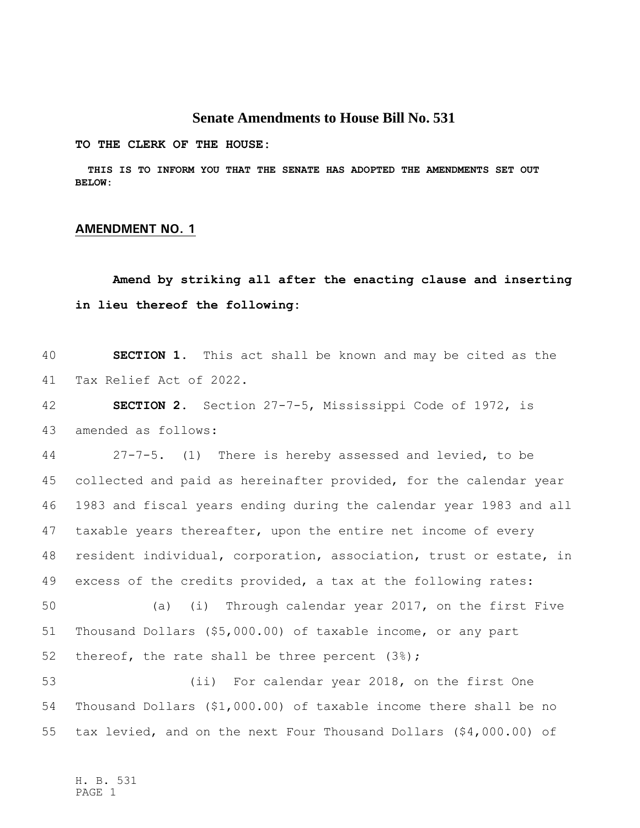## **Senate Amendments to House Bill No. 531**

**TO THE CLERK OF THE HOUSE:**

 **THIS IS TO INFORM YOU THAT THE SENATE HAS ADOPTED THE AMENDMENTS SET OUT BELOW:**

## **AMENDMENT NO. 1**

## **Amend by striking all after the enacting clause and inserting in lieu thereof the following:**

 **SECTION 1.** This act shall be known and may be cited as the Tax Relief Act of 2022.

 **SECTION 2.** Section 27-7-5, Mississippi Code of 1972, is amended as follows:

 27-7-5. (1) There is hereby assessed and levied, to be collected and paid as hereinafter provided, for the calendar year 1983 and fiscal years ending during the calendar year 1983 and all taxable years thereafter, upon the entire net income of every resident individual, corporation, association, trust or estate, in excess of the credits provided, a tax at the following rates:

 (a) (i) Through calendar year 2017, on the first Five Thousand Dollars (\$5,000.00) of taxable income, or any part thereof, the rate shall be three percent (3%);

 (ii) For calendar year 2018, on the first One Thousand Dollars (\$1,000.00) of taxable income there shall be no tax levied, and on the next Four Thousand Dollars (\$4,000.00) of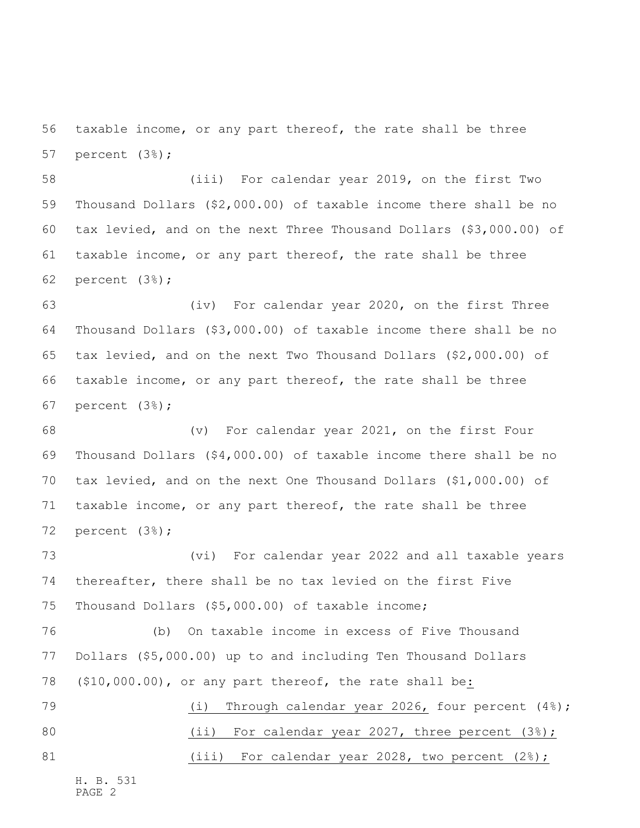taxable income, or any part thereof, the rate shall be three percent (3%);

 (iii) For calendar year 2019, on the first Two Thousand Dollars (\$2,000.00) of taxable income there shall be no tax levied, and on the next Three Thousand Dollars (\$3,000.00) of taxable income, or any part thereof, the rate shall be three percent (3%);

 (iv) For calendar year 2020, on the first Three Thousand Dollars (\$3,000.00) of taxable income there shall be no tax levied, and on the next Two Thousand Dollars (\$2,000.00) of taxable income, or any part thereof, the rate shall be three percent (3%);

 (v) For calendar year 2021, on the first Four Thousand Dollars (\$4,000.00) of taxable income there shall be no tax levied, and on the next One Thousand Dollars (\$1,000.00) of taxable income, or any part thereof, the rate shall be three percent (3%);

 (vi) For calendar year 2022 and all taxable years thereafter, there shall be no tax levied on the first Five Thousand Dollars (\$5,000.00) of taxable income;

 (b) On taxable income in excess of Five Thousand Dollars (\$5,000.00) up to and including Ten Thousand Dollars (\$10,000.00), or any part thereof, the rate shall be:

79 (i) Through calendar year 2026, four percent (4%); 80 (ii) For calendar year 2027, three percent (3%); 81 (iii) For calendar year 2028, two percent (2%);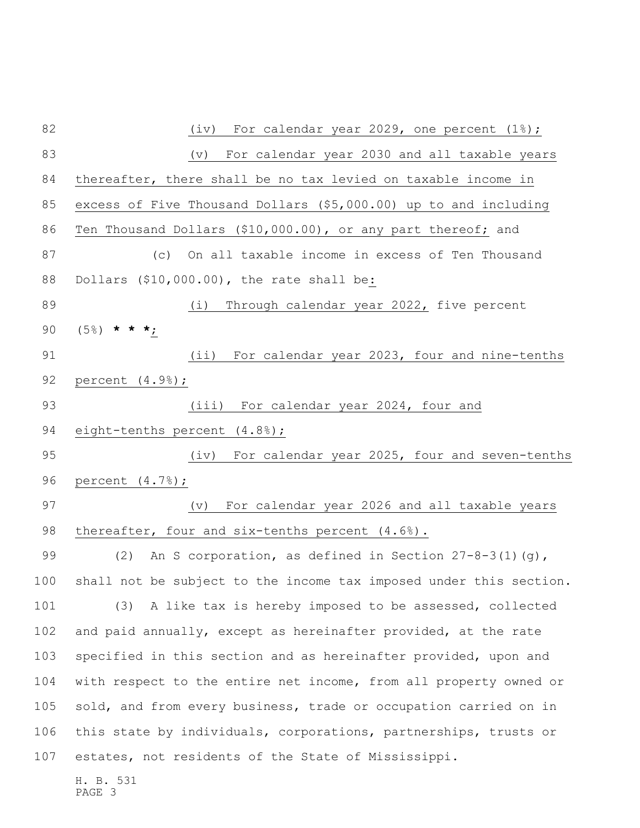H. B. 531 PAGE 3 82 (iv) For calendar year 2029, one percent (1%); (v) For calendar year 2030 and all taxable years thereafter, there shall be no tax levied on taxable income in excess of Five Thousand Dollars (\$5,000.00) up to and including Ten Thousand Dollars (\$10,000.00), or any part thereof; and (c) On all taxable income in excess of Ten Thousand Dollars (\$10,000.00), the rate shall be: (i) Through calendar year 2022, five percent (5%) **\* \* \***; (ii) For calendar year 2023, four and nine-tenths percent (4.9%); (iii) For calendar year 2024, four and 94 eight-tenths percent (4.8%); (iv) For calendar year 2025, four and seven-tenths percent (4.7%); (v) For calendar year 2026 and all taxable years 98 thereafter, four and six-tenths percent (4.6%). (2) An S corporation, as defined in Section 27-8-3(1)(g), shall not be subject to the income tax imposed under this section. (3) A like tax is hereby imposed to be assessed, collected and paid annually, except as hereinafter provided, at the rate specified in this section and as hereinafter provided, upon and with respect to the entire net income, from all property owned or sold, and from every business, trade or occupation carried on in this state by individuals, corporations, partnerships, trusts or estates, not residents of the State of Mississippi.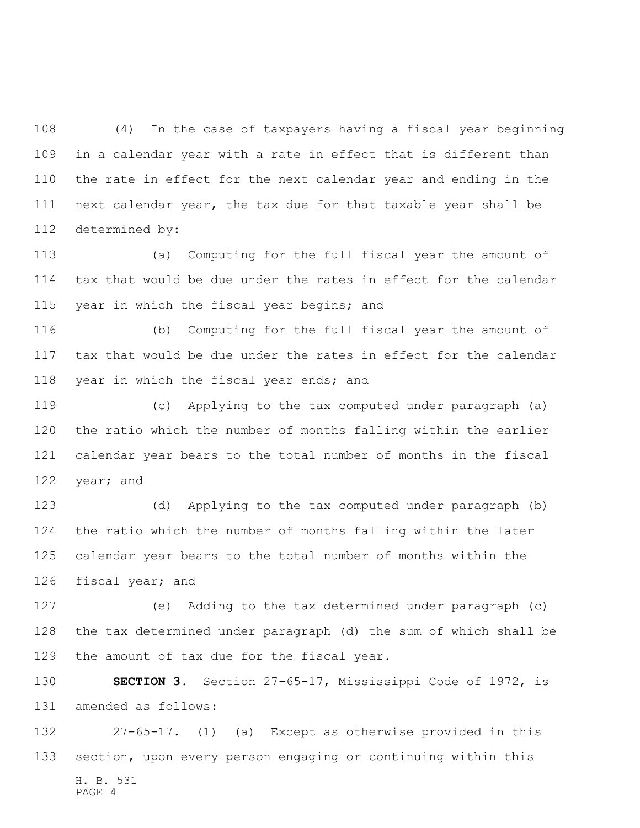(4) In the case of taxpayers having a fiscal year beginning in a calendar year with a rate in effect that is different than the rate in effect for the next calendar year and ending in the next calendar year, the tax due for that taxable year shall be determined by:

 (a) Computing for the full fiscal year the amount of tax that would be due under the rates in effect for the calendar 115 year in which the fiscal year begins; and

 (b) Computing for the full fiscal year the amount of tax that would be due under the rates in effect for the calendar 118 year in which the fiscal year ends; and

 (c) Applying to the tax computed under paragraph (a) the ratio which the number of months falling within the earlier calendar year bears to the total number of months in the fiscal year; and

 (d) Applying to the tax computed under paragraph (b) the ratio which the number of months falling within the later calendar year bears to the total number of months within the fiscal year; and

 (e) Adding to the tax determined under paragraph (c) the tax determined under paragraph (d) the sum of which shall be the amount of tax due for the fiscal year.

 **SECTION 3.** Section 27-65-17, Mississippi Code of 1972, is amended as follows:

H. B. 531 PAGE 4 27-65-17. (1) (a) Except as otherwise provided in this section, upon every person engaging or continuing within this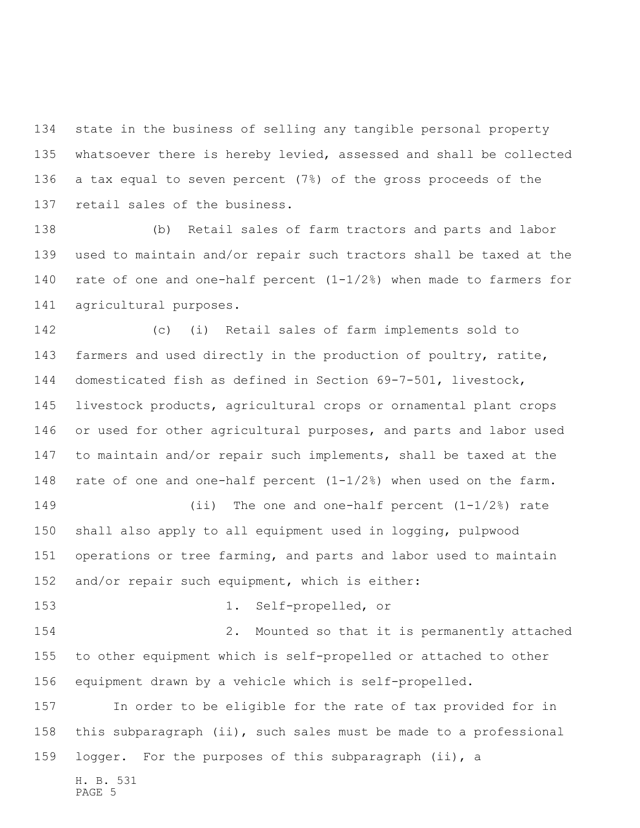state in the business of selling any tangible personal property whatsoever there is hereby levied, assessed and shall be collected a tax equal to seven percent (7%) of the gross proceeds of the retail sales of the business.

 (b) Retail sales of farm tractors and parts and labor used to maintain and/or repair such tractors shall be taxed at the rate of one and one-half percent (1-1/2%) when made to farmers for agricultural purposes.

 (c) (i) Retail sales of farm implements sold to farmers and used directly in the production of poultry, ratite, domesticated fish as defined in Section 69-7-501, livestock, livestock products, agricultural crops or ornamental plant crops or used for other agricultural purposes, and parts and labor used to maintain and/or repair such implements, shall be taxed at the rate of one and one-half percent (1-1/2%) when used on the farm. (ii) The one and one-half percent (1-1/2%) rate shall also apply to all equipment used in logging, pulpwood operations or tree farming, and parts and labor used to maintain and/or repair such equipment, which is either: 1. Self-propelled, or

 2. Mounted so that it is permanently attached to other equipment which is self-propelled or attached to other equipment drawn by a vehicle which is self-propelled.

 In order to be eligible for the rate of tax provided for in this subparagraph (ii), such sales must be made to a professional logger. For the purposes of this subparagraph (ii), a

H. B. 531

PAGE 5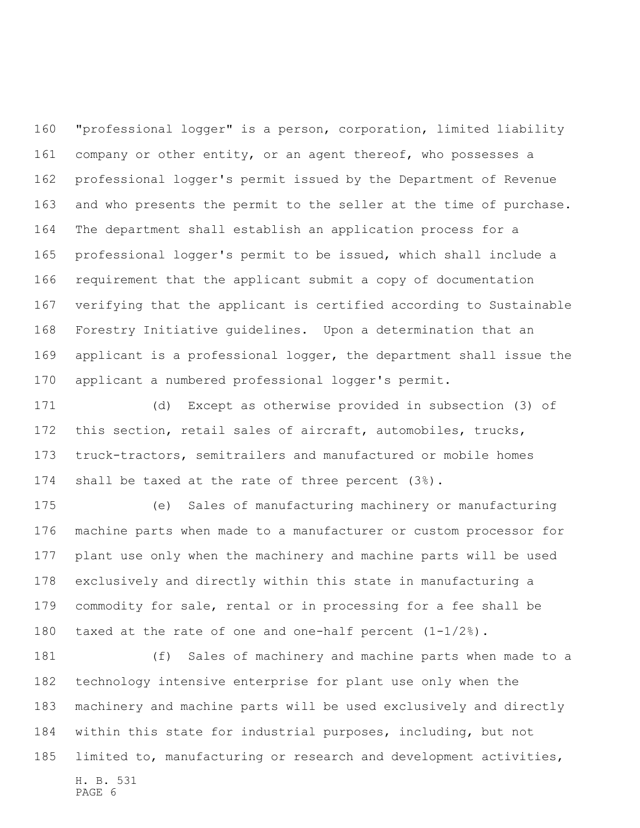"professional logger" is a person, corporation, limited liability 161 company or other entity, or an agent thereof, who possesses a professional logger's permit issued by the Department of Revenue and who presents the permit to the seller at the time of purchase. The department shall establish an application process for a professional logger's permit to be issued, which shall include a requirement that the applicant submit a copy of documentation verifying that the applicant is certified according to Sustainable Forestry Initiative guidelines. Upon a determination that an applicant is a professional logger, the department shall issue the applicant a numbered professional logger's permit.

 (d) Except as otherwise provided in subsection (3) of this section, retail sales of aircraft, automobiles, trucks, truck-tractors, semitrailers and manufactured or mobile homes shall be taxed at the rate of three percent (3%).

 (e) Sales of manufacturing machinery or manufacturing machine parts when made to a manufacturer or custom processor for plant use only when the machinery and machine parts will be used exclusively and directly within this state in manufacturing a commodity for sale, rental or in processing for a fee shall be taxed at the rate of one and one-half percent (1-1/2%).

H. B. 531 PAGE 6 (f) Sales of machinery and machine parts when made to a technology intensive enterprise for plant use only when the machinery and machine parts will be used exclusively and directly within this state for industrial purposes, including, but not limited to, manufacturing or research and development activities,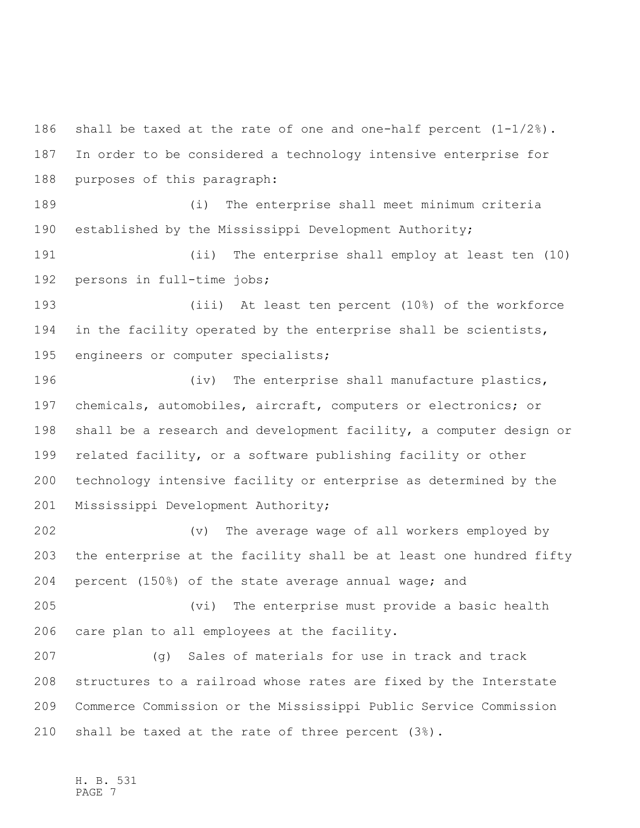shall be taxed at the rate of one and one-half percent (1-1/2%). In order to be considered a technology intensive enterprise for purposes of this paragraph:

 (i) The enterprise shall meet minimum criteria established by the Mississippi Development Authority;

 (ii) The enterprise shall employ at least ten (10) persons in full-time jobs;

 (iii) At least ten percent (10%) of the workforce in the facility operated by the enterprise shall be scientists, engineers or computer specialists;

196 (iv) The enterprise shall manufacture plastics, chemicals, automobiles, aircraft, computers or electronics; or shall be a research and development facility, a computer design or related facility, or a software publishing facility or other technology intensive facility or enterprise as determined by the Mississippi Development Authority;

 (v) The average wage of all workers employed by the enterprise at the facility shall be at least one hundred fifty percent (150%) of the state average annual wage; and

 (vi) The enterprise must provide a basic health care plan to all employees at the facility.

 (g) Sales of materials for use in track and track structures to a railroad whose rates are fixed by the Interstate Commerce Commission or the Mississippi Public Service Commission shall be taxed at the rate of three percent (3%).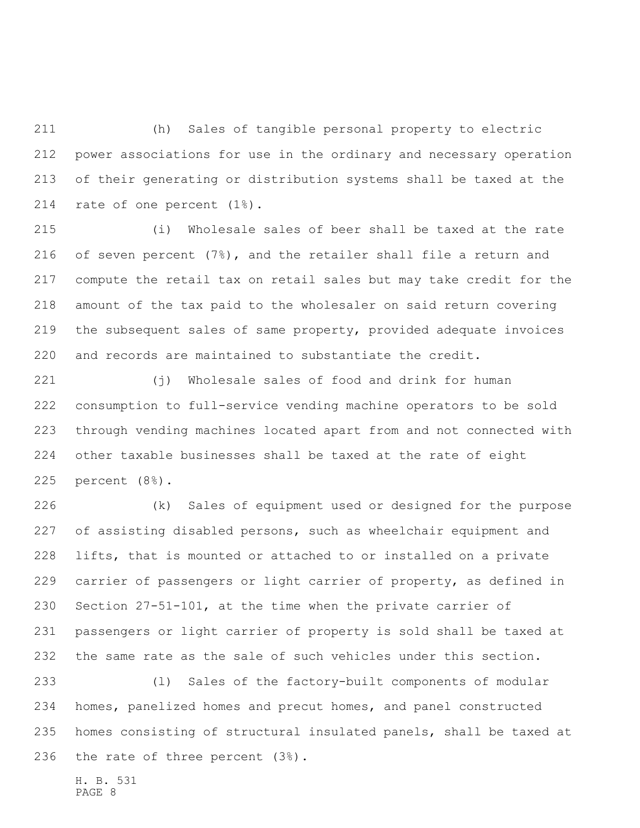(h) Sales of tangible personal property to electric power associations for use in the ordinary and necessary operation of their generating or distribution systems shall be taxed at the rate of one percent (1%).

 (i) Wholesale sales of beer shall be taxed at the rate of seven percent (7%), and the retailer shall file a return and compute the retail tax on retail sales but may take credit for the amount of the tax paid to the wholesaler on said return covering the subsequent sales of same property, provided adequate invoices and records are maintained to substantiate the credit.

 (j) Wholesale sales of food and drink for human consumption to full-service vending machine operators to be sold through vending machines located apart from and not connected with other taxable businesses shall be taxed at the rate of eight percent (8%).

 (k) Sales of equipment used or designed for the purpose of assisting disabled persons, such as wheelchair equipment and lifts, that is mounted or attached to or installed on a private carrier of passengers or light carrier of property, as defined in Section 27-51-101, at the time when the private carrier of passengers or light carrier of property is sold shall be taxed at the same rate as the sale of such vehicles under this section.

 (l) Sales of the factory-built components of modular homes, panelized homes and precut homes, and panel constructed homes consisting of structural insulated panels, shall be taxed at the rate of three percent (3%).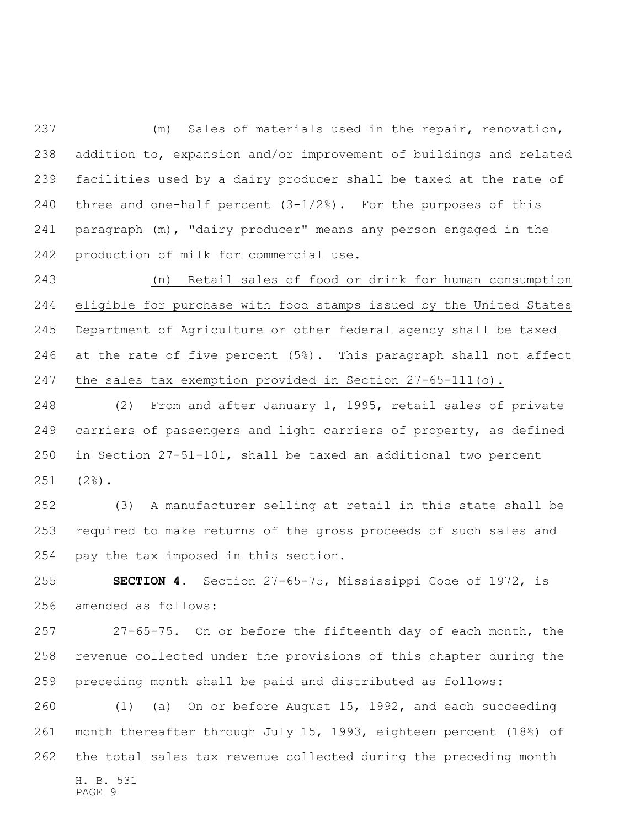(m) Sales of materials used in the repair, renovation, addition to, expansion and/or improvement of buildings and related facilities used by a dairy producer shall be taxed at the rate of three and one-half percent (3-1/2%). For the purposes of this paragraph (m), "dairy producer" means any person engaged in the production of milk for commercial use.

 (n) Retail sales of food or drink for human consumption eligible for purchase with food stamps issued by the United States Department of Agriculture or other federal agency shall be taxed at the rate of five percent (5%). This paragraph shall not affect the sales tax exemption provided in Section 27-65-111(o).

 (2) From and after January 1, 1995, retail sales of private carriers of passengers and light carriers of property, as defined in Section 27-51-101, shall be taxed an additional two percent (2%).

 (3) A manufacturer selling at retail in this state shall be required to make returns of the gross proceeds of such sales and pay the tax imposed in this section.

 **SECTION 4.** Section 27-65-75, Mississippi Code of 1972, is amended as follows:

 27-65-75. On or before the fifteenth day of each month, the revenue collected under the provisions of this chapter during the preceding month shall be paid and distributed as follows:

 (1) (a) On or before August 15, 1992, and each succeeding month thereafter through July 15, 1993, eighteen percent (18%) of the total sales tax revenue collected during the preceding month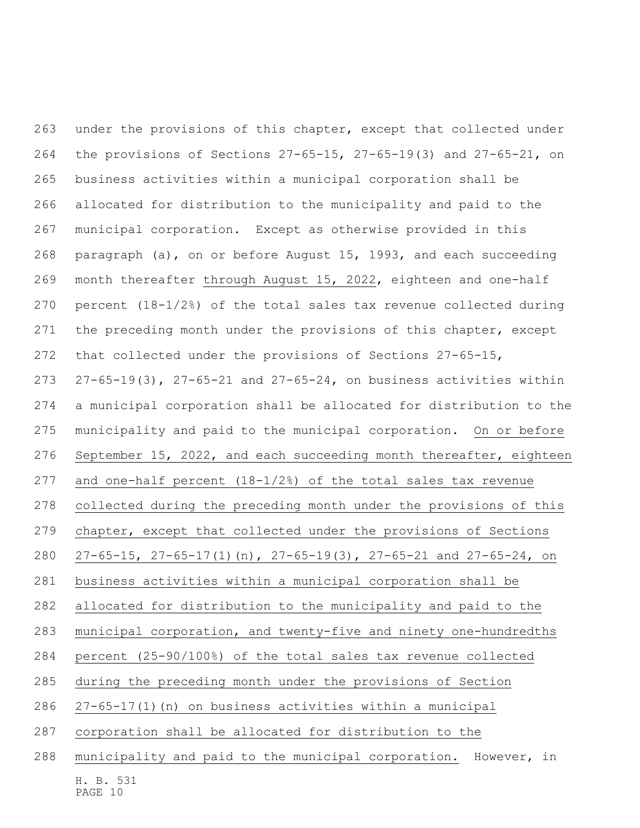under the provisions of this chapter, except that collected under the provisions of Sections 27-65-15, 27-65-19(3) and 27-65-21, on business activities within a municipal corporation shall be allocated for distribution to the municipality and paid to the municipal corporation. Except as otherwise provided in this paragraph (a), on or before August 15, 1993, and each succeeding month thereafter through August 15, 2022, eighteen and one-half percent (18-1/2%) of the total sales tax revenue collected during the preceding month under the provisions of this chapter, except that collected under the provisions of Sections 27-65-15, 27-65-19(3), 27-65-21 and 27-65-24, on business activities within a municipal corporation shall be allocated for distribution to the municipality and paid to the municipal corporation. On or before September 15, 2022, and each succeeding month thereafter, eighteen and one-half percent (18-1/2%) of the total sales tax revenue collected during the preceding month under the provisions of this chapter, except that collected under the provisions of Sections 27-65-15, 27-65-17(1)(n), 27-65-19(3), 27-65-21 and 27-65-24, on business activities within a municipal corporation shall be allocated for distribution to the municipality and paid to the municipal corporation, and twenty-five and ninety one-hundredths percent (25-90/100%) of the total sales tax revenue collected during the preceding month under the provisions of Section 27-65-17(1)(n) on business activities within a municipal corporation shall be allocated for distribution to the municipality and paid to the municipal corporation. However, in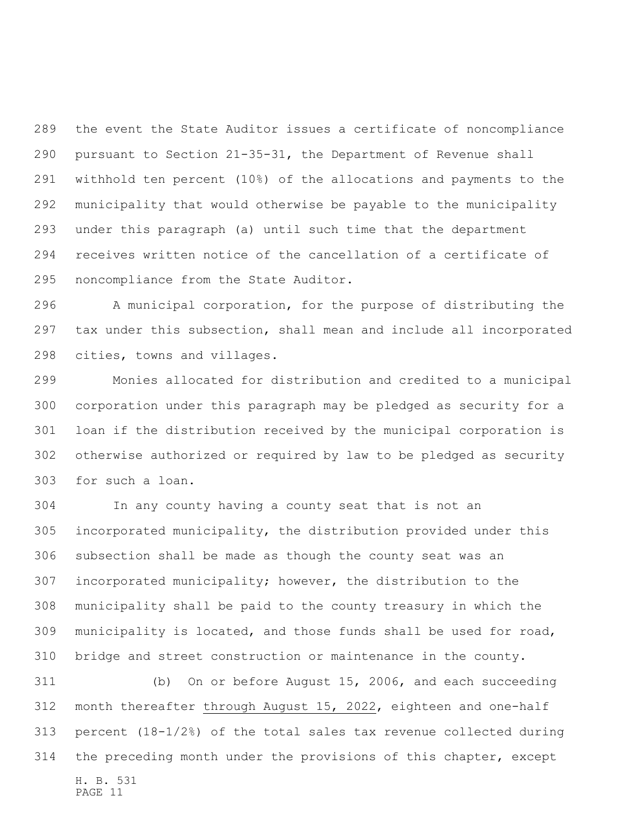the event the State Auditor issues a certificate of noncompliance pursuant to Section 21-35-31, the Department of Revenue shall withhold ten percent (10%) of the allocations and payments to the municipality that would otherwise be payable to the municipality under this paragraph (a) until such time that the department receives written notice of the cancellation of a certificate of noncompliance from the State Auditor.

 A municipal corporation, for the purpose of distributing the tax under this subsection, shall mean and include all incorporated cities, towns and villages.

 Monies allocated for distribution and credited to a municipal corporation under this paragraph may be pledged as security for a loan if the distribution received by the municipal corporation is otherwise authorized or required by law to be pledged as security for such a loan.

 In any county having a county seat that is not an incorporated municipality, the distribution provided under this subsection shall be made as though the county seat was an incorporated municipality; however, the distribution to the municipality shall be paid to the county treasury in which the municipality is located, and those funds shall be used for road, bridge and street construction or maintenance in the county.

H. B. 531 PAGE 11 (b) On or before August 15, 2006, and each succeeding 312 month thereafter through August 15, 2022, eighteen and one-half 313 percent  $(18-1/2)$  of the total sales tax revenue collected during the preceding month under the provisions of this chapter, except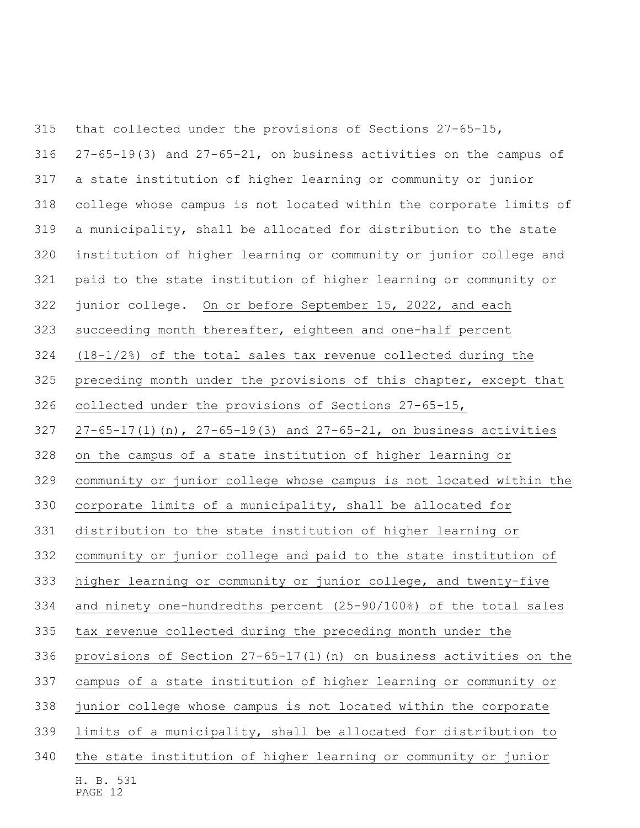H. B. 531 PAGE 12 that collected under the provisions of Sections 27-65-15, 27-65-19(3) and 27-65-21, on business activities on the campus of a state institution of higher learning or community or junior college whose campus is not located within the corporate limits of a municipality, shall be allocated for distribution to the state institution of higher learning or community or junior college and paid to the state institution of higher learning or community or 322 junior college. On or before September 15, 2022, and each succeeding month thereafter, eighteen and one-half percent (18-1/2%) of the total sales tax revenue collected during the preceding month under the provisions of this chapter, except that collected under the provisions of Sections 27-65-15, 27-65-17(1)(n), 27-65-19(3) and 27-65-21, on business activities on the campus of a state institution of higher learning or community or junior college whose campus is not located within the corporate limits of a municipality, shall be allocated for distribution to the state institution of higher learning or community or junior college and paid to the state institution of higher learning or community or junior college, and twenty-five and ninety one-hundredths percent (25-90/100%) of the total sales tax revenue collected during the preceding month under the provisions of Section 27-65-17(1)(n) on business activities on the campus of a state institution of higher learning or community or junior college whose campus is not located within the corporate limits of a municipality, shall be allocated for distribution to the state institution of higher learning or community or junior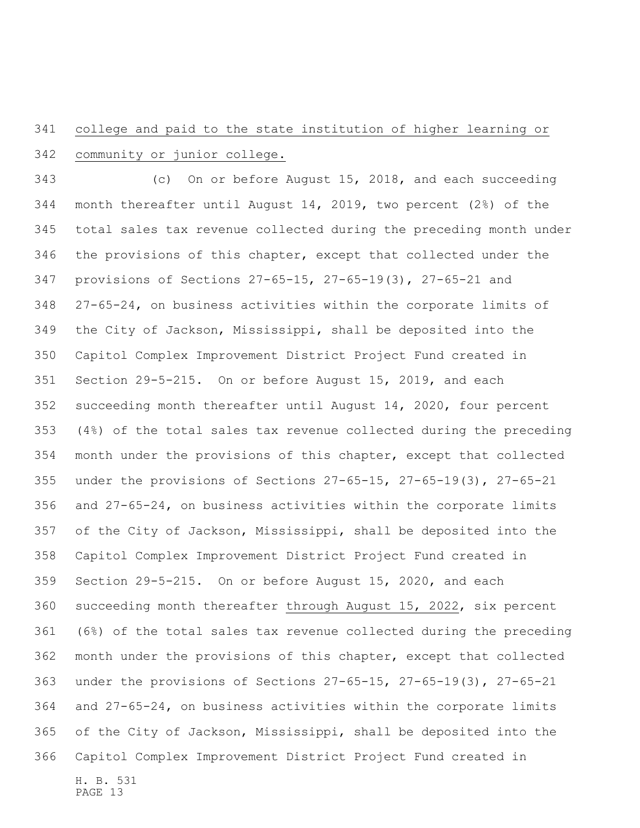## college and paid to the state institution of higher learning or community or junior college.

 (c) On or before August 15, 2018, and each succeeding month thereafter until August 14, 2019, two percent (2%) of the total sales tax revenue collected during the preceding month under the provisions of this chapter, except that collected under the provisions of Sections 27-65-15, 27-65-19(3), 27-65-21 and 27-65-24, on business activities within the corporate limits of the City of Jackson, Mississippi, shall be deposited into the Capitol Complex Improvement District Project Fund created in Section 29-5-215. On or before August 15, 2019, and each succeeding month thereafter until August 14, 2020, four percent (4%) of the total sales tax revenue collected during the preceding month under the provisions of this chapter, except that collected under the provisions of Sections 27-65-15, 27-65-19(3), 27-65-21 and 27-65-24, on business activities within the corporate limits of the City of Jackson, Mississippi, shall be deposited into the Capitol Complex Improvement District Project Fund created in Section 29-5-215. On or before August 15, 2020, and each succeeding month thereafter through August 15, 2022, six percent (6%) of the total sales tax revenue collected during the preceding month under the provisions of this chapter, except that collected under the provisions of Sections 27-65-15, 27-65-19(3), 27-65-21 and 27-65-24, on business activities within the corporate limits of the City of Jackson, Mississippi, shall be deposited into the Capitol Complex Improvement District Project Fund created in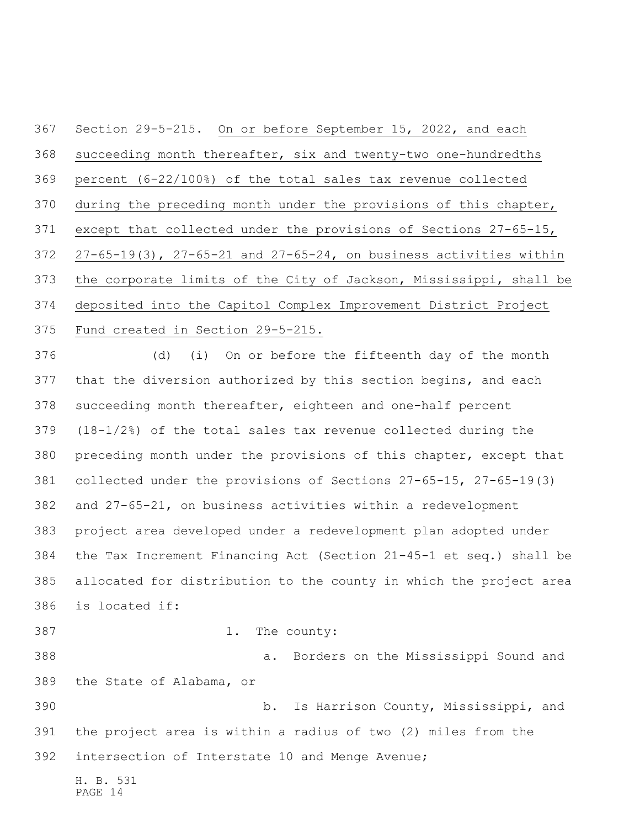Section 29-5-215. On or before September 15, 2022, and each succeeding month thereafter, six and twenty-two one-hundredths percent (6-22/100%) of the total sales tax revenue collected during the preceding month under the provisions of this chapter, except that collected under the provisions of Sections 27-65-15, 27-65-19(3), 27-65-21 and 27-65-24, on business activities within the corporate limits of the City of Jackson, Mississippi, shall be deposited into the Capitol Complex Improvement District Project Fund created in Section 29-5-215.

 (d) (i) On or before the fifteenth day of the month that the diversion authorized by this section begins, and each succeeding month thereafter, eighteen and one-half percent (18-1/2%) of the total sales tax revenue collected during the preceding month under the provisions of this chapter, except that collected under the provisions of Sections 27-65-15, 27-65-19(3) and 27-65-21, on business activities within a redevelopment project area developed under a redevelopment plan adopted under the Tax Increment Financing Act (Section 21-45-1 et seq.) shall be allocated for distribution to the county in which the project area is located if: 1. The county: a. Borders on the Mississippi Sound and

H. B. 531 b. Is Harrison County, Mississippi, and the project area is within a radius of two (2) miles from the intersection of Interstate 10 and Menge Avenue;

PAGE 14

the State of Alabama, or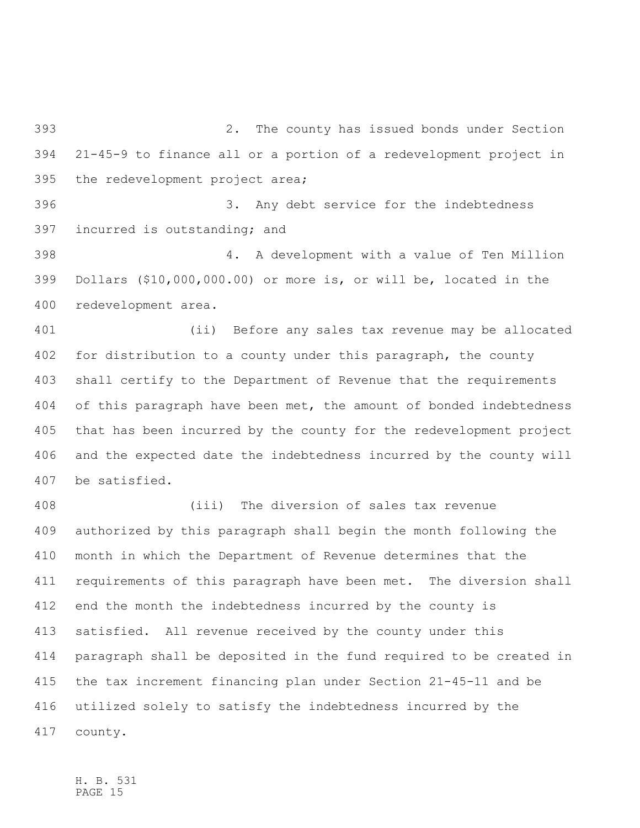2. The county has issued bonds under Section 21-45-9 to finance all or a portion of a redevelopment project in the redevelopment project area;

 3. Any debt service for the indebtedness incurred is outstanding; and

 4. A development with a value of Ten Million Dollars (\$10,000,000.00) or more is, or will be, located in the redevelopment area.

 (ii) Before any sales tax revenue may be allocated for distribution to a county under this paragraph, the county shall certify to the Department of Revenue that the requirements of this paragraph have been met, the amount of bonded indebtedness that has been incurred by the county for the redevelopment project and the expected date the indebtedness incurred by the county will be satisfied.

 (iii) The diversion of sales tax revenue authorized by this paragraph shall begin the month following the month in which the Department of Revenue determines that the requirements of this paragraph have been met. The diversion shall end the month the indebtedness incurred by the county is satisfied. All revenue received by the county under this paragraph shall be deposited in the fund required to be created in the tax increment financing plan under Section 21-45-11 and be utilized solely to satisfy the indebtedness incurred by the county.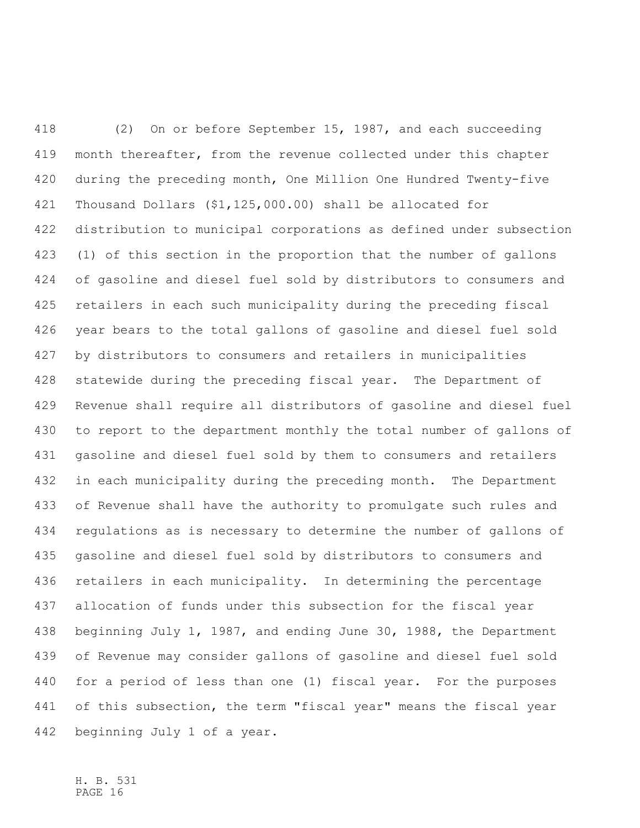(2) On or before September 15, 1987, and each succeeding month thereafter, from the revenue collected under this chapter during the preceding month, One Million One Hundred Twenty-five Thousand Dollars (\$1,125,000.00) shall be allocated for distribution to municipal corporations as defined under subsection (1) of this section in the proportion that the number of gallons of gasoline and diesel fuel sold by distributors to consumers and retailers in each such municipality during the preceding fiscal year bears to the total gallons of gasoline and diesel fuel sold by distributors to consumers and retailers in municipalities statewide during the preceding fiscal year. The Department of Revenue shall require all distributors of gasoline and diesel fuel to report to the department monthly the total number of gallons of gasoline and diesel fuel sold by them to consumers and retailers in each municipality during the preceding month. The Department of Revenue shall have the authority to promulgate such rules and regulations as is necessary to determine the number of gallons of gasoline and diesel fuel sold by distributors to consumers and retailers in each municipality. In determining the percentage allocation of funds under this subsection for the fiscal year beginning July 1, 1987, and ending June 30, 1988, the Department of Revenue may consider gallons of gasoline and diesel fuel sold for a period of less than one (1) fiscal year. For the purposes of this subsection, the term "fiscal year" means the fiscal year beginning July 1 of a year.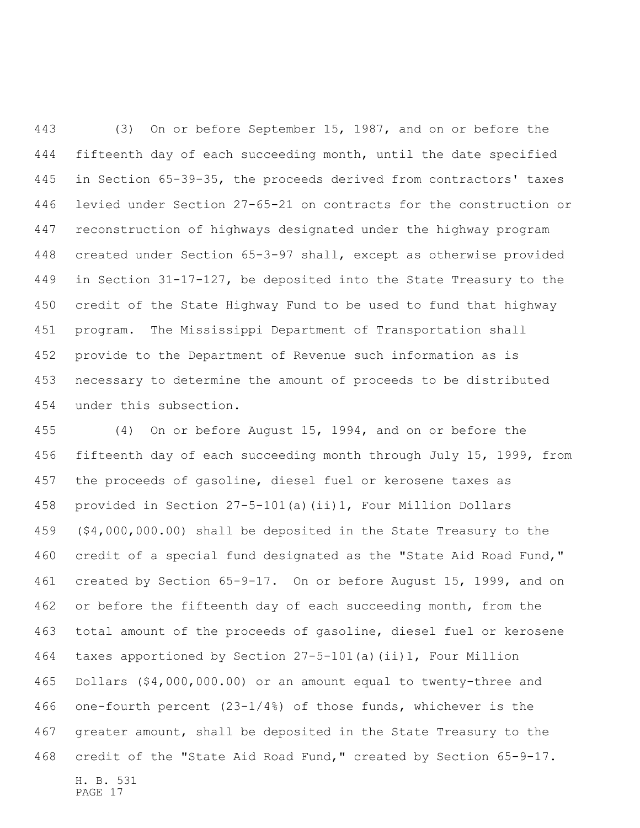(3) On or before September 15, 1987, and on or before the fifteenth day of each succeeding month, until the date specified in Section 65-39-35, the proceeds derived from contractors' taxes levied under Section 27-65-21 on contracts for the construction or reconstruction of highways designated under the highway program created under Section 65-3-97 shall, except as otherwise provided in Section 31-17-127, be deposited into the State Treasury to the credit of the State Highway Fund to be used to fund that highway program. The Mississippi Department of Transportation shall provide to the Department of Revenue such information as is necessary to determine the amount of proceeds to be distributed under this subsection.

H. B. 531 PAGE 17 (4) On or before August 15, 1994, and on or before the fifteenth day of each succeeding month through July 15, 1999, from the proceeds of gasoline, diesel fuel or kerosene taxes as provided in Section 27-5-101(a)(ii)1, Four Million Dollars (\$4,000,000.00) shall be deposited in the State Treasury to the credit of a special fund designated as the "State Aid Road Fund," created by Section 65-9-17. On or before August 15, 1999, and on 462 or before the fifteenth day of each succeeding month, from the total amount of the proceeds of gasoline, diesel fuel or kerosene taxes apportioned by Section 27-5-101(a)(ii)1, Four Million Dollars (\$4,000,000.00) or an amount equal to twenty-three and one-fourth percent (23-1/4%) of those funds, whichever is the greater amount, shall be deposited in the State Treasury to the credit of the "State Aid Road Fund," created by Section 65-9-17.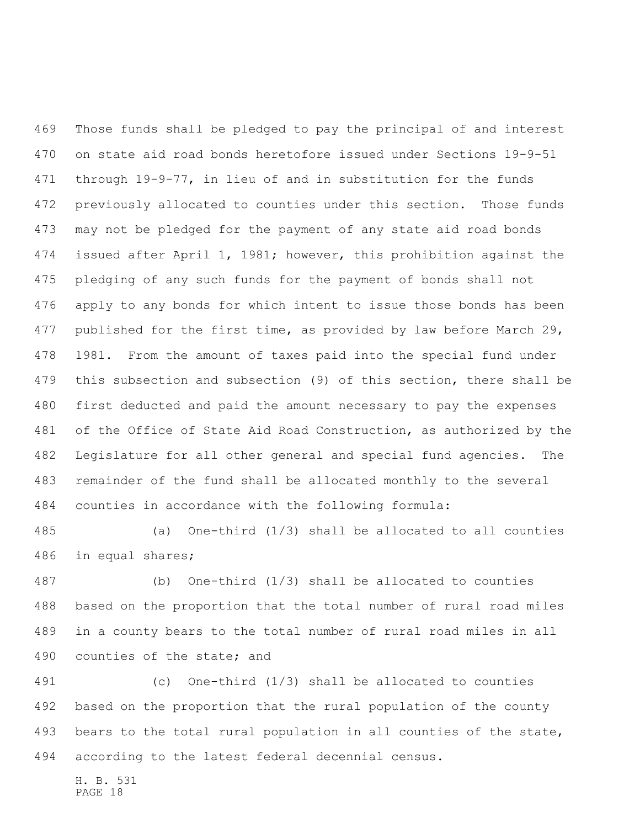Those funds shall be pledged to pay the principal of and interest on state aid road bonds heretofore issued under Sections 19-9-51 through 19-9-77, in lieu of and in substitution for the funds previously allocated to counties under this section. Those funds may not be pledged for the payment of any state aid road bonds issued after April 1, 1981; however, this prohibition against the pledging of any such funds for the payment of bonds shall not apply to any bonds for which intent to issue those bonds has been published for the first time, as provided by law before March 29, 1981. From the amount of taxes paid into the special fund under this subsection and subsection (9) of this section, there shall be first deducted and paid the amount necessary to pay the expenses of the Office of State Aid Road Construction, as authorized by the Legislature for all other general and special fund agencies. The remainder of the fund shall be allocated monthly to the several counties in accordance with the following formula:

 (a) One-third (1/3) shall be allocated to all counties in equal shares;

 (b) One-third (1/3) shall be allocated to counties based on the proportion that the total number of rural road miles in a county bears to the total number of rural road miles in all counties of the state; and

 (c) One-third (1/3) shall be allocated to counties based on the proportion that the rural population of the county bears to the total rural population in all counties of the state, according to the latest federal decennial census.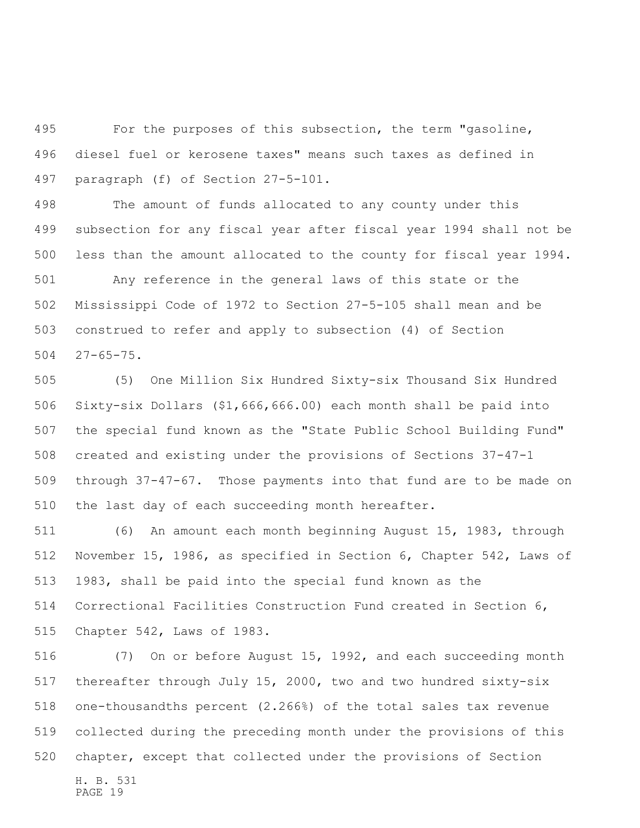For the purposes of this subsection, the term "gasoline, diesel fuel or kerosene taxes" means such taxes as defined in paragraph (f) of Section 27-5-101.

 The amount of funds allocated to any county under this subsection for any fiscal year after fiscal year 1994 shall not be less than the amount allocated to the county for fiscal year 1994.

 Any reference in the general laws of this state or the Mississippi Code of 1972 to Section 27-5-105 shall mean and be construed to refer and apply to subsection (4) of Section 27-65-75.

 (5) One Million Six Hundred Sixty-six Thousand Six Hundred Sixty-six Dollars (\$1,666,666.00) each month shall be paid into the special fund known as the "State Public School Building Fund" created and existing under the provisions of Sections 37-47-1 through 37-47-67. Those payments into that fund are to be made on the last day of each succeeding month hereafter.

 (6) An amount each month beginning August 15, 1983, through November 15, 1986, as specified in Section 6, Chapter 542, Laws of 1983, shall be paid into the special fund known as the Correctional Facilities Construction Fund created in Section 6, Chapter 542, Laws of 1983.

H. B. 531 PAGE 19 (7) On or before August 15, 1992, and each succeeding month thereafter through July 15, 2000, two and two hundred sixty-six one-thousandths percent (2.266%) of the total sales tax revenue collected during the preceding month under the provisions of this chapter, except that collected under the provisions of Section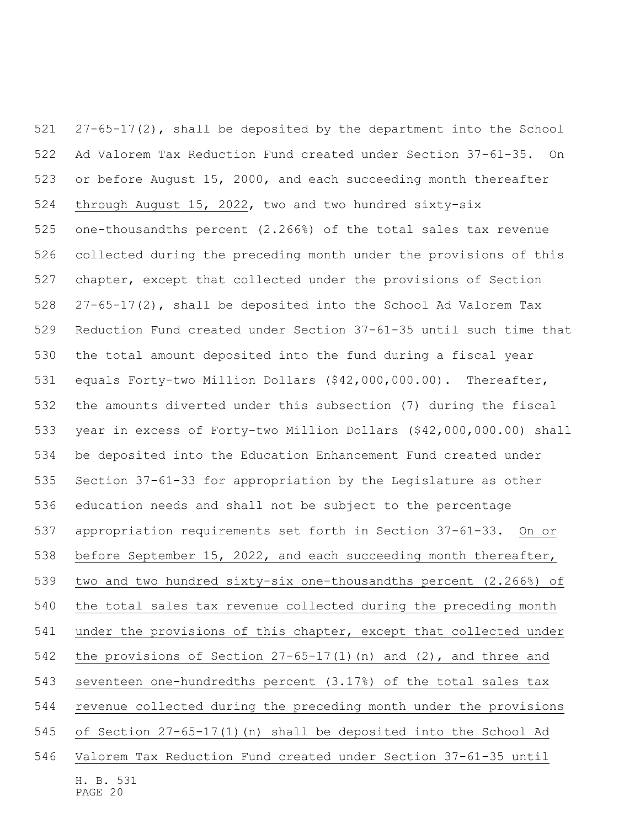H. B. 531 27-65-17(2), shall be deposited by the department into the School Ad Valorem Tax Reduction Fund created under Section 37-61-35. On or before August 15, 2000, and each succeeding month thereafter through August 15, 2022, two and two hundred sixty-six one-thousandths percent (2.266%) of the total sales tax revenue collected during the preceding month under the provisions of this chapter, except that collected under the provisions of Section 27-65-17(2), shall be deposited into the School Ad Valorem Tax Reduction Fund created under Section 37-61-35 until such time that the total amount deposited into the fund during a fiscal year equals Forty-two Million Dollars (\$42,000,000.00). Thereafter, the amounts diverted under this subsection (7) during the fiscal year in excess of Forty-two Million Dollars (\$42,000,000.00) shall be deposited into the Education Enhancement Fund created under Section 37-61-33 for appropriation by the Legislature as other education needs and shall not be subject to the percentage appropriation requirements set forth in Section 37-61-33. On or before September 15, 2022, and each succeeding month thereafter, two and two hundred sixty-six one-thousandths percent (2.266%) of the total sales tax revenue collected during the preceding month under the provisions of this chapter, except that collected under the provisions of Section 27-65-17(1)(n) and (2), and three and seventeen one-hundredths percent (3.17%) of the total sales tax revenue collected during the preceding month under the provisions of Section 27-65-17(1)(n) shall be deposited into the School Ad Valorem Tax Reduction Fund created under Section 37-61-35 until

PAGE 20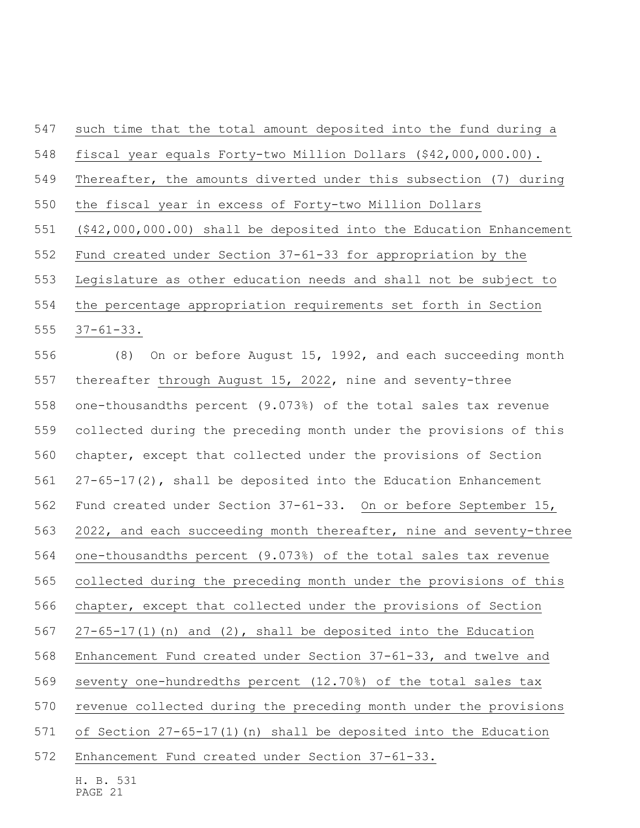such time that the total amount deposited into the fund during a fiscal year equals Forty-two Million Dollars (\$42,000,000.00). Thereafter, the amounts diverted under this subsection (7) during the fiscal year in excess of Forty-two Million Dollars (\$42,000,000.00) shall be deposited into the Education Enhancement Fund created under Section 37-61-33 for appropriation by the Legislature as other education needs and shall not be subject to the percentage appropriation requirements set forth in Section

37-61-33.

 (8) On or before August 15, 1992, and each succeeding month thereafter through August 15, 2022, nine and seventy-three one-thousandths percent (9.073%) of the total sales tax revenue collected during the preceding month under the provisions of this chapter, except that collected under the provisions of Section 27-65-17(2), shall be deposited into the Education Enhancement Fund created under Section 37-61-33. On or before September 15, 2022, and each succeeding month thereafter, nine and seventy-three one-thousandths percent (9.073%) of the total sales tax revenue collected during the preceding month under the provisions of this chapter, except that collected under the provisions of Section 27-65-17(1)(n) and (2), shall be deposited into the Education Enhancement Fund created under Section 37-61-33, and twelve and seventy one-hundredths percent (12.70%) of the total sales tax revenue collected during the preceding month under the provisions of Section 27-65-17(1)(n) shall be deposited into the Education Enhancement Fund created under Section 37-61-33.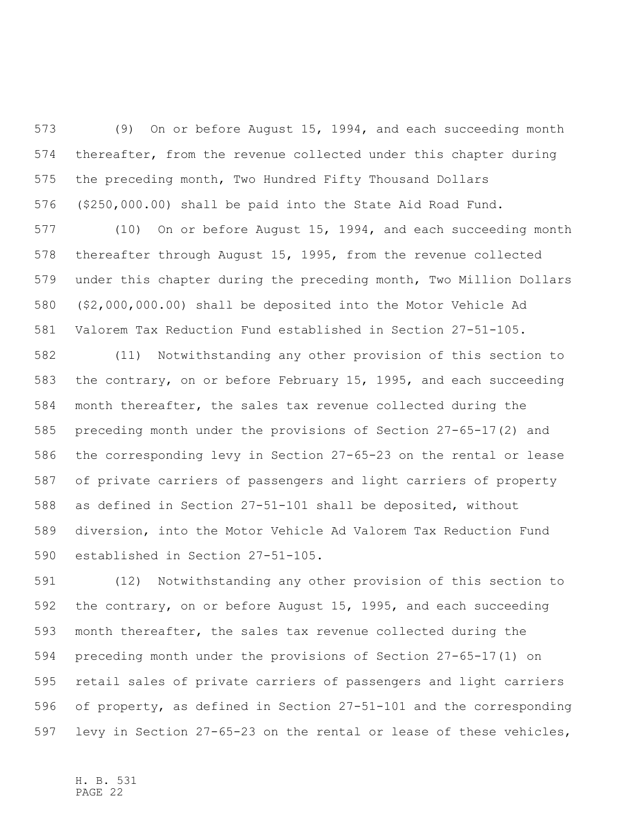(9) On or before August 15, 1994, and each succeeding month thereafter, from the revenue collected under this chapter during the preceding month, Two Hundred Fifty Thousand Dollars (\$250,000.00) shall be paid into the State Aid Road Fund.

 (10) On or before August 15, 1994, and each succeeding month thereafter through August 15, 1995, from the revenue collected under this chapter during the preceding month, Two Million Dollars (\$2,000,000.00) shall be deposited into the Motor Vehicle Ad Valorem Tax Reduction Fund established in Section 27-51-105.

 (11) Notwithstanding any other provision of this section to the contrary, on or before February 15, 1995, and each succeeding month thereafter, the sales tax revenue collected during the preceding month under the provisions of Section 27-65-17(2) and the corresponding levy in Section 27-65-23 on the rental or lease of private carriers of passengers and light carriers of property as defined in Section 27-51-101 shall be deposited, without diversion, into the Motor Vehicle Ad Valorem Tax Reduction Fund established in Section 27-51-105.

 (12) Notwithstanding any other provision of this section to the contrary, on or before August 15, 1995, and each succeeding month thereafter, the sales tax revenue collected during the preceding month under the provisions of Section 27-65-17(1) on retail sales of private carriers of passengers and light carriers of property, as defined in Section 27-51-101 and the corresponding levy in Section 27-65-23 on the rental or lease of these vehicles,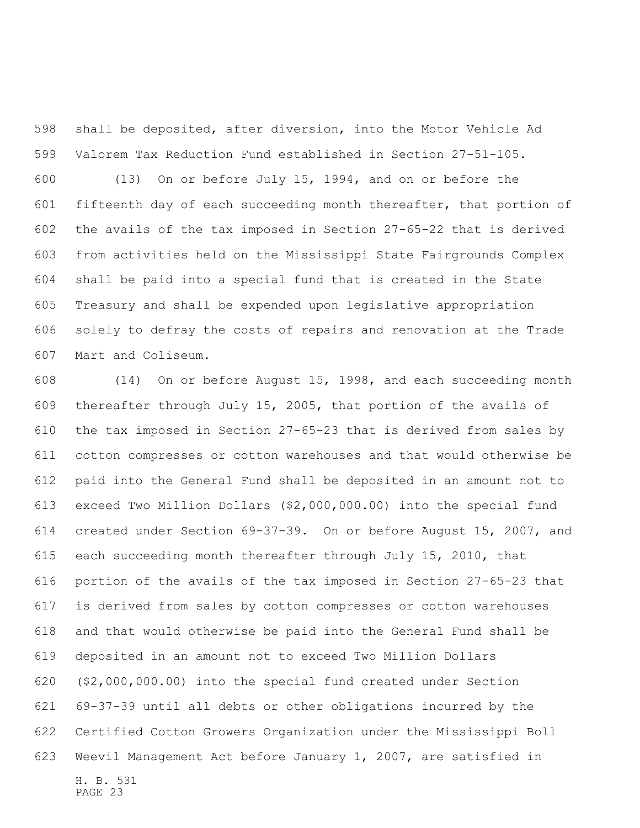shall be deposited, after diversion, into the Motor Vehicle Ad Valorem Tax Reduction Fund established in Section 27-51-105.

 (13) On or before July 15, 1994, and on or before the fifteenth day of each succeeding month thereafter, that portion of the avails of the tax imposed in Section 27-65-22 that is derived from activities held on the Mississippi State Fairgrounds Complex shall be paid into a special fund that is created in the State Treasury and shall be expended upon legislative appropriation solely to defray the costs of repairs and renovation at the Trade Mart and Coliseum.

H. B. 531 PAGE 23 (14) On or before August 15, 1998, and each succeeding month thereafter through July 15, 2005, that portion of the avails of the tax imposed in Section 27-65-23 that is derived from sales by cotton compresses or cotton warehouses and that would otherwise be paid into the General Fund shall be deposited in an amount not to exceed Two Million Dollars (\$2,000,000.00) into the special fund created under Section 69-37-39. On or before August 15, 2007, and each succeeding month thereafter through July 15, 2010, that portion of the avails of the tax imposed in Section 27-65-23 that is derived from sales by cotton compresses or cotton warehouses and that would otherwise be paid into the General Fund shall be deposited in an amount not to exceed Two Million Dollars (\$2,000,000.00) into the special fund created under Section 69-37-39 until all debts or other obligations incurred by the Certified Cotton Growers Organization under the Mississippi Boll Weevil Management Act before January 1, 2007, are satisfied in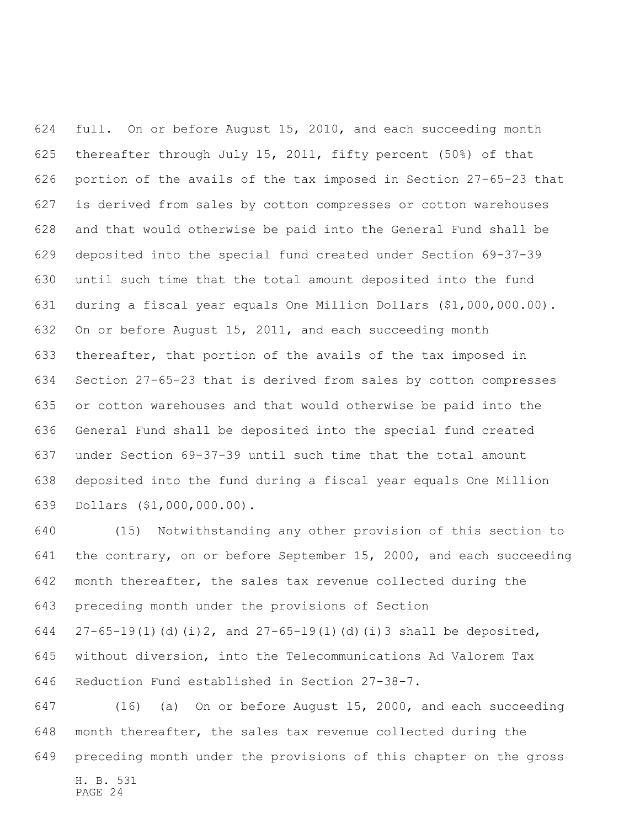full. On or before August 15, 2010, and each succeeding month thereafter through July 15, 2011, fifty percent (50%) of that portion of the avails of the tax imposed in Section 27-65-23 that is derived from sales by cotton compresses or cotton warehouses and that would otherwise be paid into the General Fund shall be deposited into the special fund created under Section 69-37-39 until such time that the total amount deposited into the fund during a fiscal year equals One Million Dollars (\$1,000,000.00). On or before August 15, 2011, and each succeeding month thereafter, that portion of the avails of the tax imposed in Section 27-65-23 that is derived from sales by cotton compresses or cotton warehouses and that would otherwise be paid into the General Fund shall be deposited into the special fund created under Section 69-37-39 until such time that the total amount deposited into the fund during a fiscal year equals One Million Dollars (\$1,000,000.00).

 (15) Notwithstanding any other provision of this section to the contrary, on or before September 15, 2000, and each succeeding month thereafter, the sales tax revenue collected during the preceding month under the provisions of Section  $27-65-19(1)(d)(i)$  2, and  $27-65-19(1)(d)(i)3$  shall be deposited, without diversion, into the Telecommunications Ad Valorem Tax Reduction Fund established in Section 27-38-7.

H. B. 531 (16) (a) On or before August 15, 2000, and each succeeding month thereafter, the sales tax revenue collected during the preceding month under the provisions of this chapter on the gross

PAGE 24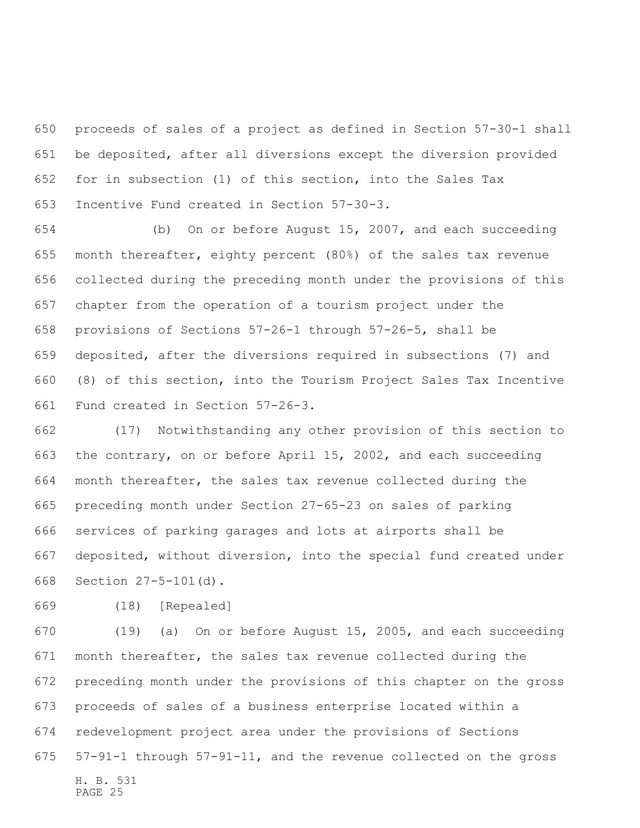proceeds of sales of a project as defined in Section 57-30-1 shall be deposited, after all diversions except the diversion provided for in subsection (1) of this section, into the Sales Tax Incentive Fund created in Section 57-30-3.

 (b) On or before August 15, 2007, and each succeeding month thereafter, eighty percent (80%) of the sales tax revenue collected during the preceding month under the provisions of this chapter from the operation of a tourism project under the provisions of Sections 57-26-1 through 57-26-5, shall be deposited, after the diversions required in subsections (7) and (8) of this section, into the Tourism Project Sales Tax Incentive Fund created in Section 57-26-3.

 (17) Notwithstanding any other provision of this section to the contrary, on or before April 15, 2002, and each succeeding month thereafter, the sales tax revenue collected during the preceding month under Section 27-65-23 on sales of parking services of parking garages and lots at airports shall be deposited, without diversion, into the special fund created under Section 27-5-101(d).

(18) [Repealed]

H. B. 531 PAGE 25 (19) (a) On or before August 15, 2005, and each succeeding month thereafter, the sales tax revenue collected during the preceding month under the provisions of this chapter on the gross proceeds of sales of a business enterprise located within a redevelopment project area under the provisions of Sections 57-91-1 through 57-91-11, and the revenue collected on the gross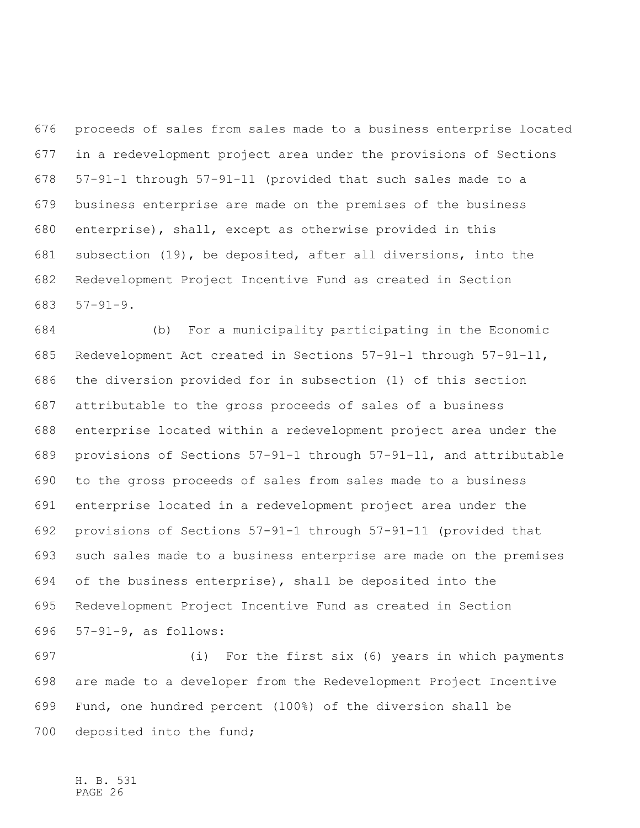proceeds of sales from sales made to a business enterprise located in a redevelopment project area under the provisions of Sections 57-91-1 through 57-91-11 (provided that such sales made to a business enterprise are made on the premises of the business enterprise), shall, except as otherwise provided in this subsection (19), be deposited, after all diversions, into the Redevelopment Project Incentive Fund as created in Section 57-91-9.

 (b) For a municipality participating in the Economic Redevelopment Act created in Sections 57-91-1 through 57-91-11, the diversion provided for in subsection (1) of this section attributable to the gross proceeds of sales of a business enterprise located within a redevelopment project area under the provisions of Sections 57-91-1 through 57-91-11, and attributable to the gross proceeds of sales from sales made to a business enterprise located in a redevelopment project area under the provisions of Sections 57-91-1 through 57-91-11 (provided that such sales made to a business enterprise are made on the premises of the business enterprise), shall be deposited into the Redevelopment Project Incentive Fund as created in Section 57-91-9, as follows:

 (i) For the first six (6) years in which payments are made to a developer from the Redevelopment Project Incentive Fund, one hundred percent (100%) of the diversion shall be deposited into the fund;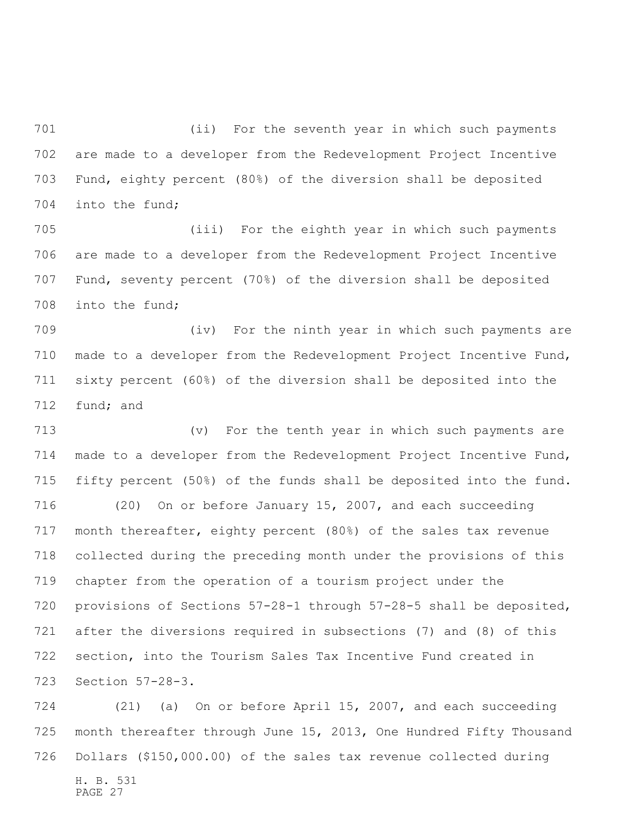(ii) For the seventh year in which such payments are made to a developer from the Redevelopment Project Incentive Fund, eighty percent (80%) of the diversion shall be deposited into the fund;

 (iii) For the eighth year in which such payments are made to a developer from the Redevelopment Project Incentive Fund, seventy percent (70%) of the diversion shall be deposited into the fund;

 (iv) For the ninth year in which such payments are made to a developer from the Redevelopment Project Incentive Fund, sixty percent (60%) of the diversion shall be deposited into the fund; and

 (v) For the tenth year in which such payments are made to a developer from the Redevelopment Project Incentive Fund, fifty percent (50%) of the funds shall be deposited into the fund. (20) On or before January 15, 2007, and each succeeding month thereafter, eighty percent (80%) of the sales tax revenue collected during the preceding month under the provisions of this chapter from the operation of a tourism project under the provisions of Sections 57-28-1 through 57-28-5 shall be deposited, after the diversions required in subsections (7) and (8) of this section, into the Tourism Sales Tax Incentive Fund created in Section 57-28-3.

H. B. 531 PAGE 27 (21) (a) On or before April 15, 2007, and each succeeding month thereafter through June 15, 2013, One Hundred Fifty Thousand Dollars (\$150,000.00) of the sales tax revenue collected during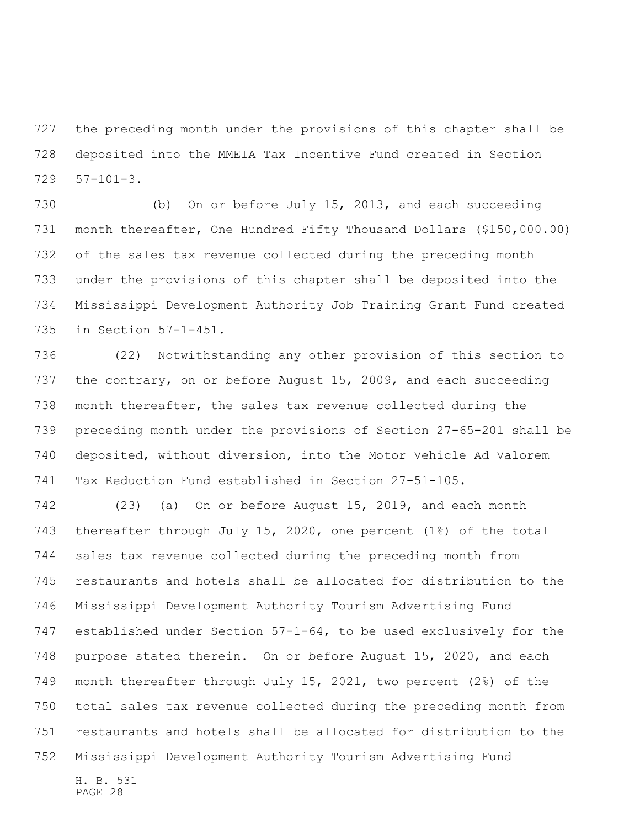the preceding month under the provisions of this chapter shall be deposited into the MMEIA Tax Incentive Fund created in Section 57-101-3.

 (b) On or before July 15, 2013, and each succeeding month thereafter, One Hundred Fifty Thousand Dollars (\$150,000.00) of the sales tax revenue collected during the preceding month under the provisions of this chapter shall be deposited into the Mississippi Development Authority Job Training Grant Fund created in Section 57-1-451.

 (22) Notwithstanding any other provision of this section to the contrary, on or before August 15, 2009, and each succeeding month thereafter, the sales tax revenue collected during the preceding month under the provisions of Section 27-65-201 shall be deposited, without diversion, into the Motor Vehicle Ad Valorem Tax Reduction Fund established in Section 27-51-105.

 (23) (a) On or before August 15, 2019, and each month thereafter through July 15, 2020, one percent (1%) of the total sales tax revenue collected during the preceding month from restaurants and hotels shall be allocated for distribution to the Mississippi Development Authority Tourism Advertising Fund established under Section 57-1-64, to be used exclusively for the purpose stated therein. On or before August 15, 2020, and each month thereafter through July 15, 2021, two percent (2%) of the total sales tax revenue collected during the preceding month from restaurants and hotels shall be allocated for distribution to the Mississippi Development Authority Tourism Advertising Fund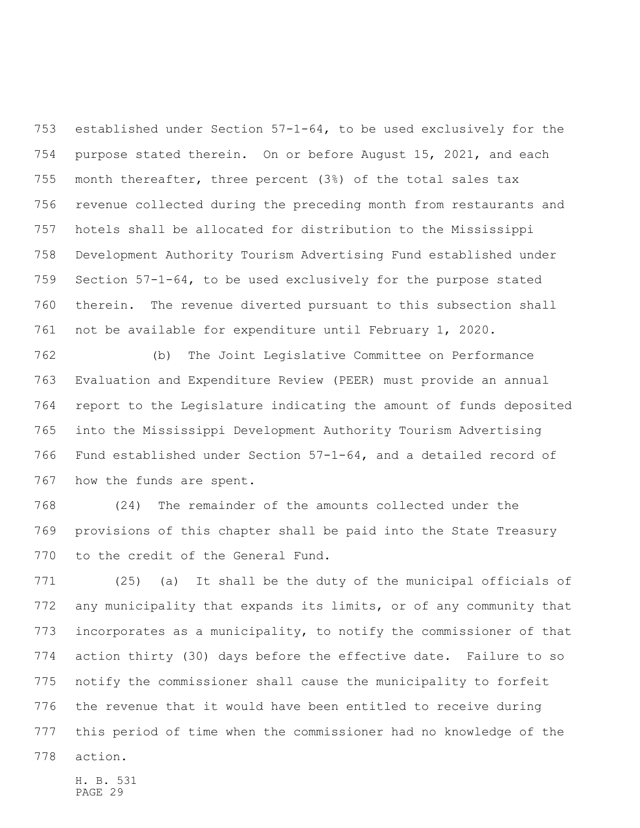established under Section 57-1-64, to be used exclusively for the purpose stated therein. On or before August 15, 2021, and each month thereafter, three percent (3%) of the total sales tax revenue collected during the preceding month from restaurants and hotels shall be allocated for distribution to the Mississippi Development Authority Tourism Advertising Fund established under Section 57-1-64, to be used exclusively for the purpose stated therein. The revenue diverted pursuant to this subsection shall not be available for expenditure until February 1, 2020.

 (b) The Joint Legislative Committee on Performance Evaluation and Expenditure Review (PEER) must provide an annual report to the Legislature indicating the amount of funds deposited into the Mississippi Development Authority Tourism Advertising Fund established under Section 57-1-64, and a detailed record of how the funds are spent.

 (24) The remainder of the amounts collected under the provisions of this chapter shall be paid into the State Treasury to the credit of the General Fund.

 (25) (a) It shall be the duty of the municipal officials of any municipality that expands its limits, or of any community that incorporates as a municipality, to notify the commissioner of that action thirty (30) days before the effective date. Failure to so notify the commissioner shall cause the municipality to forfeit the revenue that it would have been entitled to receive during this period of time when the commissioner had no knowledge of the action.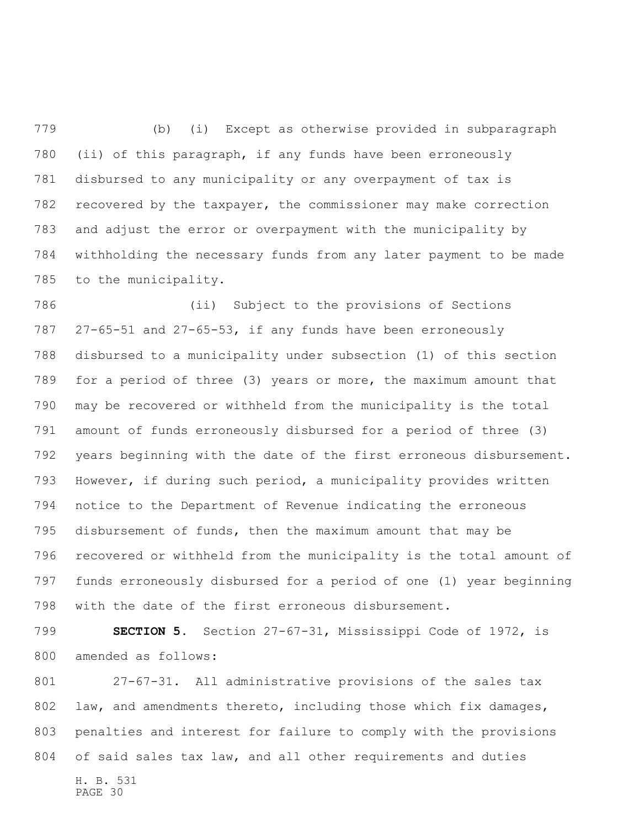(b) (i) Except as otherwise provided in subparagraph (ii) of this paragraph, if any funds have been erroneously disbursed to any municipality or any overpayment of tax is recovered by the taxpayer, the commissioner may make correction and adjust the error or overpayment with the municipality by withholding the necessary funds from any later payment to be made to the municipality.

 (ii) Subject to the provisions of Sections 27-65-51 and 27-65-53, if any funds have been erroneously disbursed to a municipality under subsection (1) of this section for a period of three (3) years or more, the maximum amount that may be recovered or withheld from the municipality is the total amount of funds erroneously disbursed for a period of three (3) years beginning with the date of the first erroneous disbursement. However, if during such period, a municipality provides written notice to the Department of Revenue indicating the erroneous disbursement of funds, then the maximum amount that may be recovered or withheld from the municipality is the total amount of funds erroneously disbursed for a period of one (1) year beginning with the date of the first erroneous disbursement.

 **SECTION 5.** Section 27-67-31, Mississippi Code of 1972, is amended as follows:

H. B. 531 27-67-31. All administrative provisions of the sales tax 802 law, and amendments thereto, including those which fix damages, penalties and interest for failure to comply with the provisions of said sales tax law, and all other requirements and duties

PAGE 30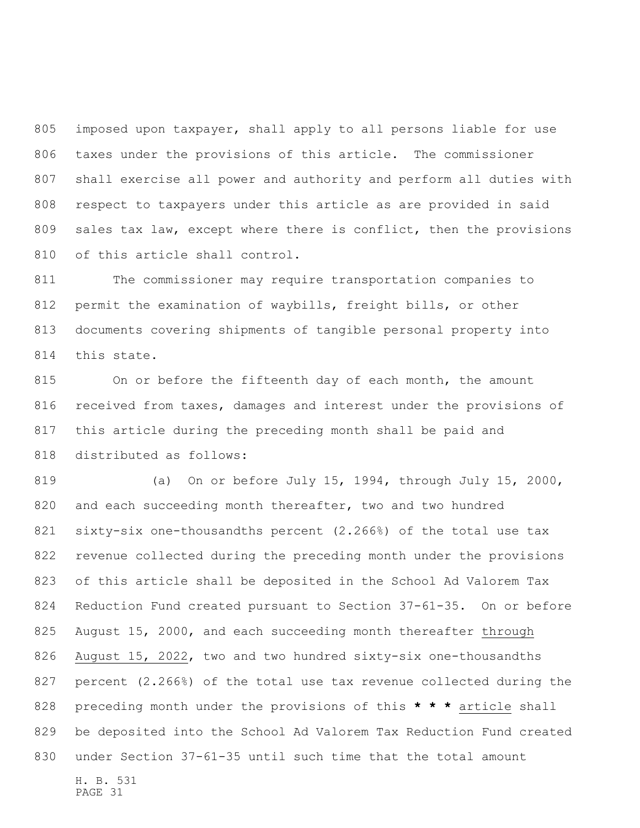imposed upon taxpayer, shall apply to all persons liable for use taxes under the provisions of this article. The commissioner shall exercise all power and authority and perform all duties with respect to taxpayers under this article as are provided in said sales tax law, except where there is conflict, then the provisions of this article shall control.

 The commissioner may require transportation companies to permit the examination of waybills, freight bills, or other documents covering shipments of tangible personal property into this state.

 On or before the fifteenth day of each month, the amount 816 received from taxes, damages and interest under the provisions of this article during the preceding month shall be paid and distributed as follows:

H. B. 531 (a) On or before July 15, 1994, through July 15, 2000, 820 and each succeeding month thereafter, two and two hundred sixty-six one-thousandths percent (2.266%) of the total use tax revenue collected during the preceding month under the provisions of this article shall be deposited in the School Ad Valorem Tax Reduction Fund created pursuant to Section 37-61-35. On or before August 15, 2000, and each succeeding month thereafter through August 15, 2022, two and two hundred sixty-six one-thousandths percent (2.266%) of the total use tax revenue collected during the preceding month under the provisions of this **\* \* \*** article shall be deposited into the School Ad Valorem Tax Reduction Fund created under Section 37-61-35 until such time that the total amount

PAGE 31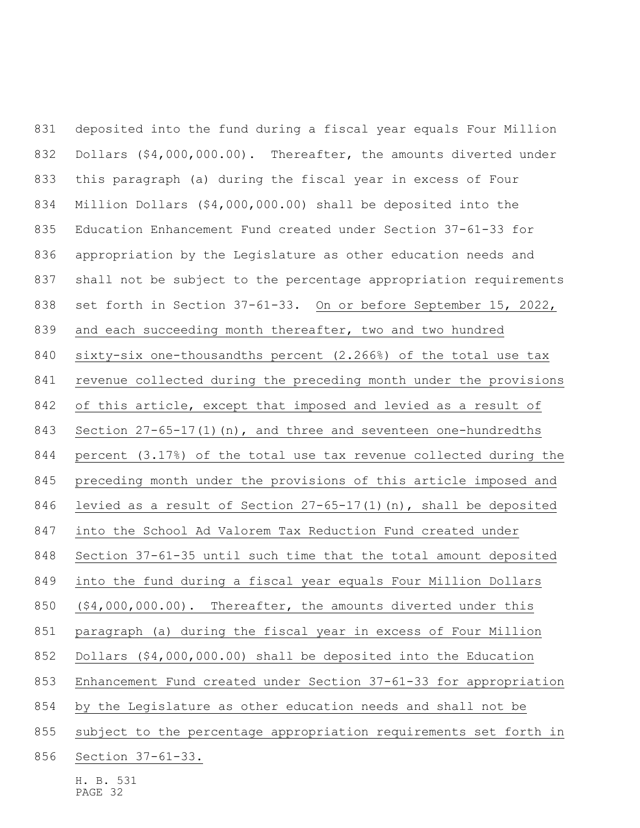deposited into the fund during a fiscal year equals Four Million Dollars (\$4,000,000.00). Thereafter, the amounts diverted under this paragraph (a) during the fiscal year in excess of Four Million Dollars (\$4,000,000.00) shall be deposited into the Education Enhancement Fund created under Section 37-61-33 for appropriation by the Legislature as other education needs and shall not be subject to the percentage appropriation requirements set forth in Section 37-61-33. On or before September 15, 2022, and each succeeding month thereafter, two and two hundred sixty-six one-thousandths percent (2.266%) of the total use tax revenue collected during the preceding month under the provisions of this article, except that imposed and levied as a result of Section 27-65-17(1)(n), and three and seventeen one-hundredths percent (3.17%) of the total use tax revenue collected during the preceding month under the provisions of this article imposed and levied as a result of Section 27-65-17(1)(n), shall be deposited into the School Ad Valorem Tax Reduction Fund created under Section 37-61-35 until such time that the total amount deposited into the fund during a fiscal year equals Four Million Dollars (\$4,000,000.00). Thereafter, the amounts diverted under this paragraph (a) during the fiscal year in excess of Four Million Dollars (\$4,000,000.00) shall be deposited into the Education Enhancement Fund created under Section 37-61-33 for appropriation by the Legislature as other education needs and shall not be subject to the percentage appropriation requirements set forth in Section 37-61-33.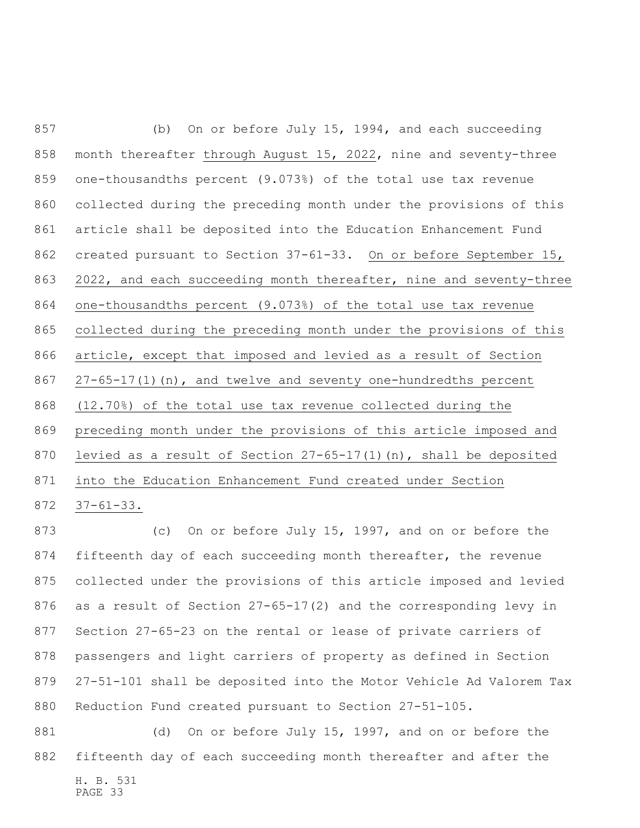(b) On or before July 15, 1994, and each succeeding 858 month thereafter through August 15, 2022, nine and seventy-three one-thousandths percent (9.073%) of the total use tax revenue collected during the preceding month under the provisions of this article shall be deposited into the Education Enhancement Fund created pursuant to Section 37-61-33. On or before September 15, 2022, and each succeeding month thereafter, nine and seventy-three one-thousandths percent (9.073%) of the total use tax revenue collected during the preceding month under the provisions of this article, except that imposed and levied as a result of Section 27-65-17(1)(n), and twelve and seventy one-hundredths percent (12.70%) of the total use tax revenue collected during the preceding month under the provisions of this article imposed and levied as a result of Section 27-65-17(1)(n), shall be deposited into the Education Enhancement Fund created under Section 37-61-33.

 (c) On or before July 15, 1997, and on or before the fifteenth day of each succeeding month thereafter, the revenue collected under the provisions of this article imposed and levied as a result of Section 27-65-17(2) and the corresponding levy in Section 27-65-23 on the rental or lease of private carriers of passengers and light carriers of property as defined in Section 27-51-101 shall be deposited into the Motor Vehicle Ad Valorem Tax Reduction Fund created pursuant to Section 27-51-105.

H. B. 531 PAGE 33 (d) On or before July 15, 1997, and on or before the fifteenth day of each succeeding month thereafter and after the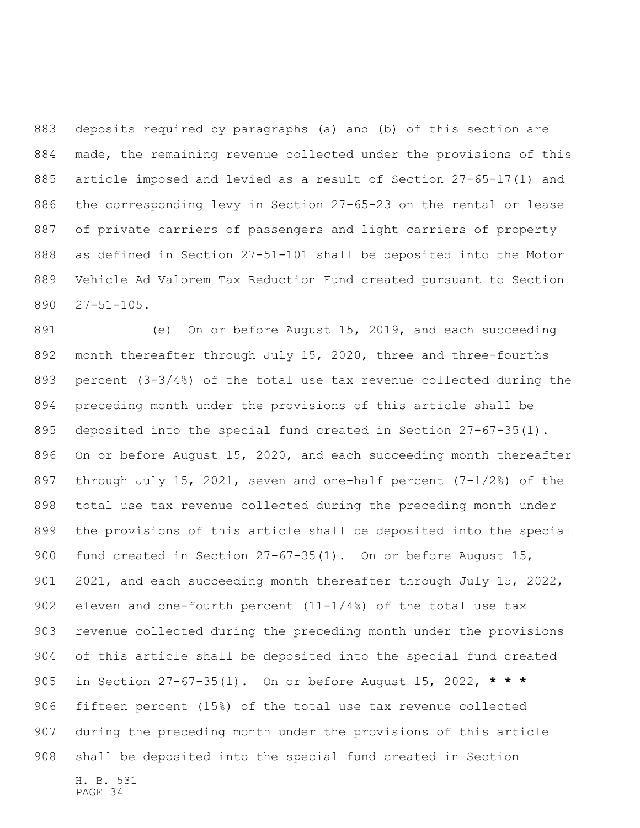deposits required by paragraphs (a) and (b) of this section are made, the remaining revenue collected under the provisions of this article imposed and levied as a result of Section 27-65-17(1) and the corresponding levy in Section 27-65-23 on the rental or lease of private carriers of passengers and light carriers of property as defined in Section 27-51-101 shall be deposited into the Motor Vehicle Ad Valorem Tax Reduction Fund created pursuant to Section 27-51-105.

H. B. 531 (e) On or before August 15, 2019, and each succeeding month thereafter through July 15, 2020, three and three-fourths percent (3-3/4%) of the total use tax revenue collected during the preceding month under the provisions of this article shall be deposited into the special fund created in Section 27-67-35(1). On or before August 15, 2020, and each succeeding month thereafter through July 15, 2021, seven and one-half percent (7-1/2%) of the total use tax revenue collected during the preceding month under the provisions of this article shall be deposited into the special 900 fund created in Section 27-67-35(1). On or before August 15, 901 2021, and each succeeding month thereafter through July 15, 2022, 902 eleven and one-fourth percent  $(11-1/4)$  of the total use tax revenue collected during the preceding month under the provisions of this article shall be deposited into the special fund created in Section 27-67-35(1). On or before August 15, 2022, **\* \* \*** fifteen percent (15%) of the total use tax revenue collected during the preceding month under the provisions of this article shall be deposited into the special fund created in Section

PAGE 34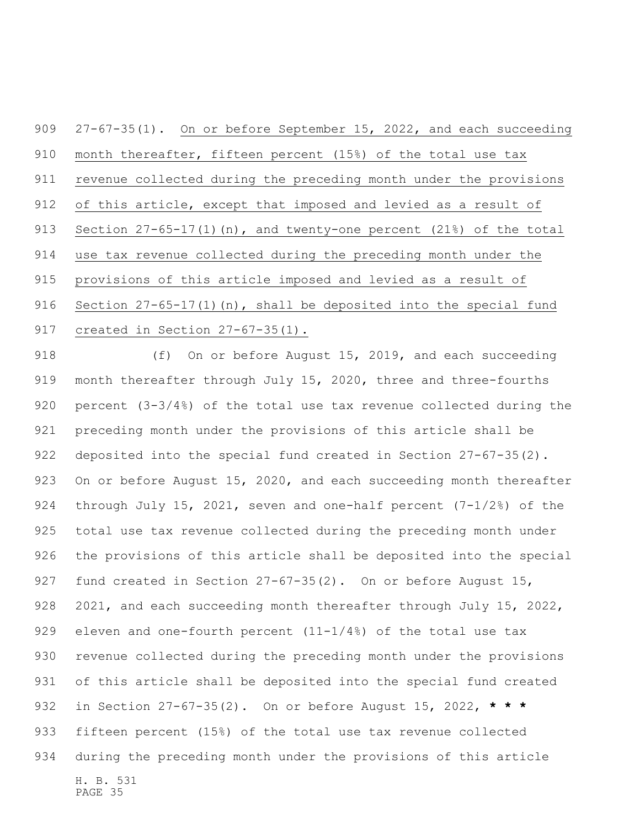27-67-35(1). On or before September 15, 2022, and each succeeding month thereafter, fifteen percent (15%) of the total use tax revenue collected during the preceding month under the provisions of this article, except that imposed and levied as a result of 913 Section 27-65-17(1)(n), and twenty-one percent (21%) of the total use tax revenue collected during the preceding month under the provisions of this article imposed and levied as a result of 916 Section 27-65-17(1)(n), shall be deposited into the special fund created in Section 27-67-35(1).

H. B. 531 PAGE 35 918 (f) On or before August 15, 2019, and each succeeding month thereafter through July 15, 2020, three and three-fourths percent (3-3/4%) of the total use tax revenue collected during the preceding month under the provisions of this article shall be deposited into the special fund created in Section 27-67-35(2). 923 On or before August 15, 2020, and each succeeding month thereafter through July 15, 2021, seven and one-half percent (7-1/2%) of the total use tax revenue collected during the preceding month under the provisions of this article shall be deposited into the special 927 fund created in Section 27-67-35(2). On or before August 15, 928 2021, and each succeeding month thereafter through July 15, 2022, 929 eleven and one-fourth percent  $(11-1/4)$  of the total use tax revenue collected during the preceding month under the provisions of this article shall be deposited into the special fund created in Section 27-67-35(2). On or before August 15, 2022, **\* \* \*** fifteen percent (15%) of the total use tax revenue collected during the preceding month under the provisions of this article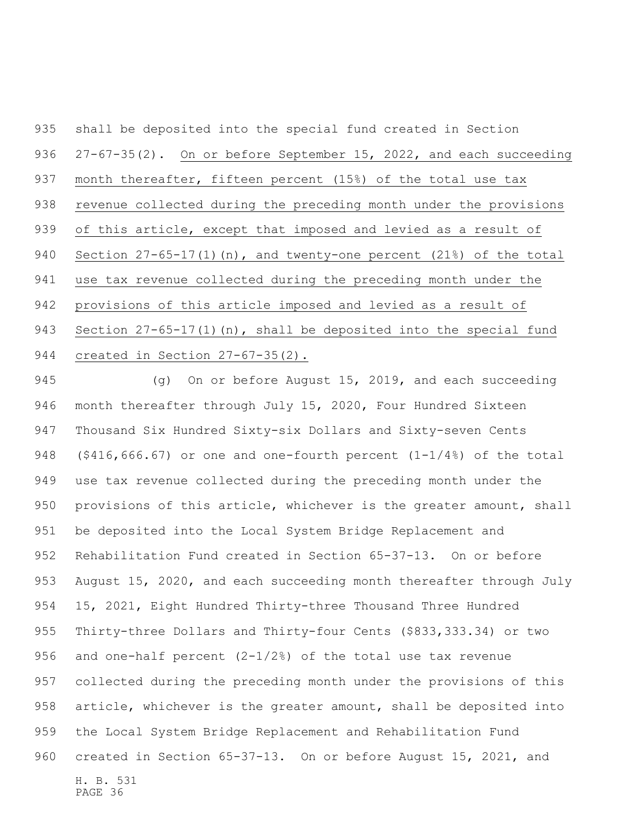shall be deposited into the special fund created in Section 936 27-67-35(2). On or before September 15, 2022, and each succeeding month thereafter, fifteen percent (15%) of the total use tax revenue collected during the preceding month under the provisions of this article, except that imposed and levied as a result of Section 27-65-17(1)(n), and twenty-one percent (21%) of the total use tax revenue collected during the preceding month under the provisions of this article imposed and levied as a result of 943 Section 27-65-17(1)(n), shall be deposited into the special fund created in Section 27-67-35(2).

H. B. 531 PAGE 36 (g) On or before August 15, 2019, and each succeeding month thereafter through July 15, 2020, Four Hundred Sixteen Thousand Six Hundred Sixty-six Dollars and Sixty-seven Cents 948 (\$416,666.67) or one and one-fourth percent  $(1-1/4)$  of the total use tax revenue collected during the preceding month under the provisions of this article, whichever is the greater amount, shall be deposited into the Local System Bridge Replacement and Rehabilitation Fund created in Section 65-37-13. On or before August 15, 2020, and each succeeding month thereafter through July 15, 2021, Eight Hundred Thirty-three Thousand Three Hundred Thirty-three Dollars and Thirty-four Cents (\$833,333.34) or two and one-half percent (2-1/2%) of the total use tax revenue collected during the preceding month under the provisions of this article, whichever is the greater amount, shall be deposited into the Local System Bridge Replacement and Rehabilitation Fund created in Section 65-37-13. On or before August 15, 2021, and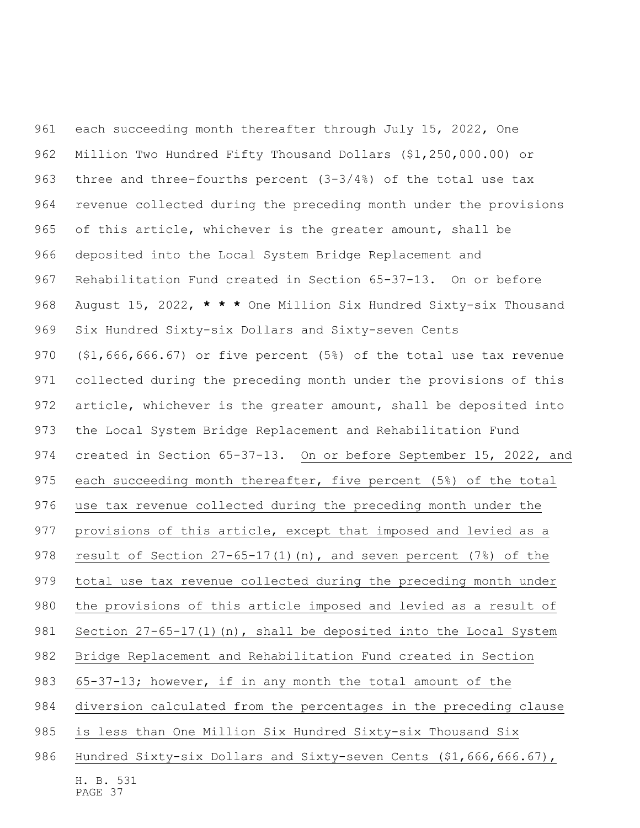each succeeding month thereafter through July 15, 2022, One Million Two Hundred Fifty Thousand Dollars (\$1,250,000.00) or three and three-fourths percent (3-3/4%) of the total use tax revenue collected during the preceding month under the provisions of this article, whichever is the greater amount, shall be deposited into the Local System Bridge Replacement and Rehabilitation Fund created in Section 65-37-13. On or before August 15, 2022, **\* \* \*** One Million Six Hundred Sixty-six Thousand Six Hundred Sixty-six Dollars and Sixty-seven Cents (\$1,666,666.67) or five percent (5%) of the total use tax revenue collected during the preceding month under the provisions of this article, whichever is the greater amount, shall be deposited into the Local System Bridge Replacement and Rehabilitation Fund created in Section 65-37-13. On or before September 15, 2022, and 975 each succeeding month thereafter, five percent (5%) of the total use tax revenue collected during the preceding month under the provisions of this article, except that imposed and levied as a 978 result of Section 27-65-17(1)(n), and seven percent (7%) of the total use tax revenue collected during the preceding month under the provisions of this article imposed and levied as a result of Section 27-65-17(1)(n), shall be deposited into the Local System Bridge Replacement and Rehabilitation Fund created in Section 65-37-13; however, if in any month the total amount of the diversion calculated from the percentages in the preceding clause is less than One Million Six Hundred Sixty-six Thousand Six Hundred Sixty-six Dollars and Sixty-seven Cents (\$1,666,666.67),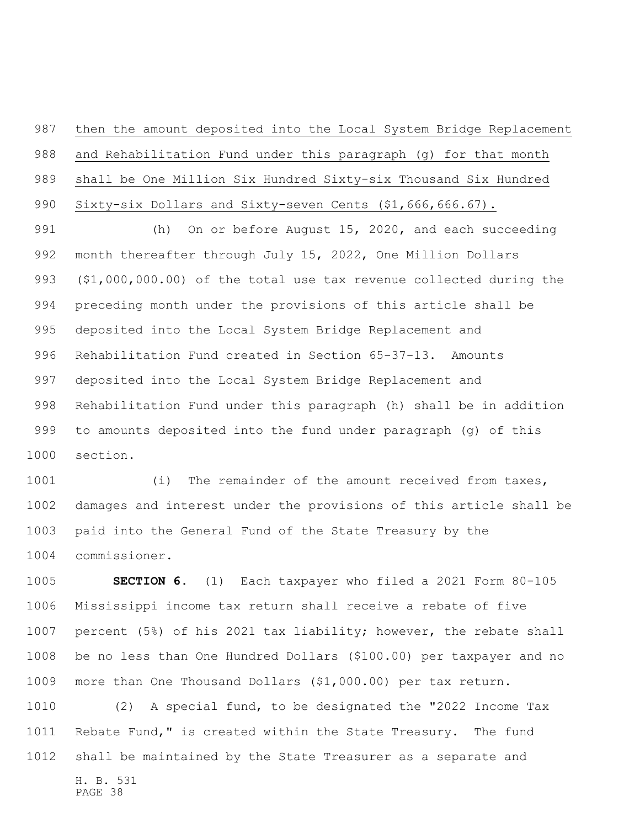then the amount deposited into the Local System Bridge Replacement 988 and Rehabilitation Fund under this paragraph (g) for that month shall be One Million Six Hundred Sixty-six Thousand Six Hundred 990 Sixty-six Dollars and Sixty-seven Cents (\$1,666,666.67).

 (h) On or before August 15, 2020, and each succeeding month thereafter through July 15, 2022, One Million Dollars (\$1,000,000.00) of the total use tax revenue collected during the preceding month under the provisions of this article shall be deposited into the Local System Bridge Replacement and Rehabilitation Fund created in Section 65-37-13. Amounts deposited into the Local System Bridge Replacement and Rehabilitation Fund under this paragraph (h) shall be in addition to amounts deposited into the fund under paragraph (g) of this section.

1001 (i) The remainder of the amount received from taxes, damages and interest under the provisions of this article shall be paid into the General Fund of the State Treasury by the commissioner.

 **SECTION 6.** (1) Each taxpayer who filed a 2021 Form 80-105 Mississippi income tax return shall receive a rebate of five percent (5%) of his 2021 tax liability; however, the rebate shall be no less than One Hundred Dollars (\$100.00) per taxpayer and no more than One Thousand Dollars (\$1,000.00) per tax return.

 (2) A special fund, to be designated the "2022 Income Tax Rebate Fund," is created within the State Treasury. The fund shall be maintained by the State Treasurer as a separate and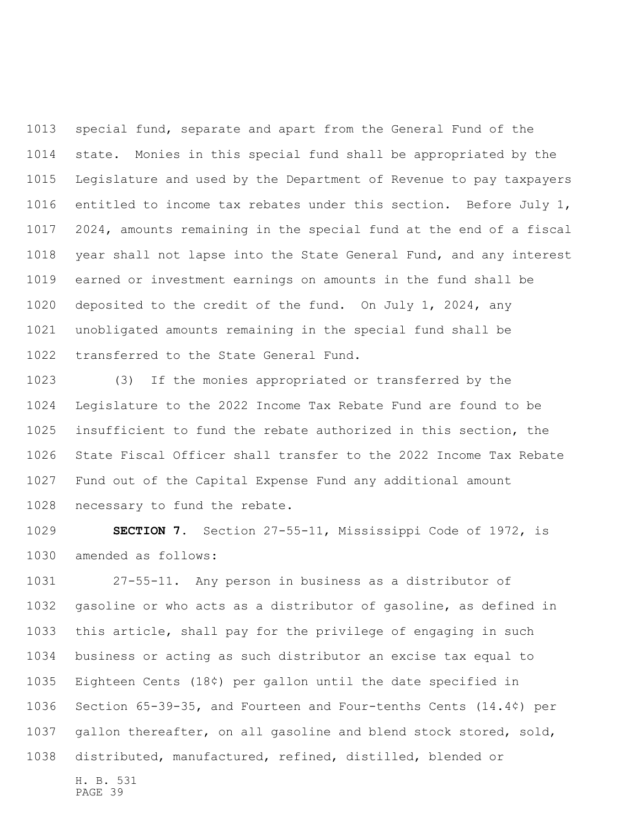special fund, separate and apart from the General Fund of the state. Monies in this special fund shall be appropriated by the Legislature and used by the Department of Revenue to pay taxpayers entitled to income tax rebates under this section. Before July 1, 2024, amounts remaining in the special fund at the end of a fiscal year shall not lapse into the State General Fund, and any interest earned or investment earnings on amounts in the fund shall be deposited to the credit of the fund. On July 1, 2024, any unobligated amounts remaining in the special fund shall be transferred to the State General Fund.

 (3) If the monies appropriated or transferred by the Legislature to the 2022 Income Tax Rebate Fund are found to be insufficient to fund the rebate authorized in this section, the State Fiscal Officer shall transfer to the 2022 Income Tax Rebate Fund out of the Capital Expense Fund any additional amount necessary to fund the rebate.

 **SECTION 7.** Section 27-55-11, Mississippi Code of 1972, is amended as follows:

 27-55-11. Any person in business as a distributor of gasoline or who acts as a distributor of gasoline, as defined in this article, shall pay for the privilege of engaging in such business or acting as such distributor an excise tax equal to Eighteen Cents (18¢) per gallon until the date specified in Section 65-39-35, and Fourteen and Four-tenths Cents (14.4¢) per gallon thereafter, on all gasoline and blend stock stored, sold, distributed, manufactured, refined, distilled, blended or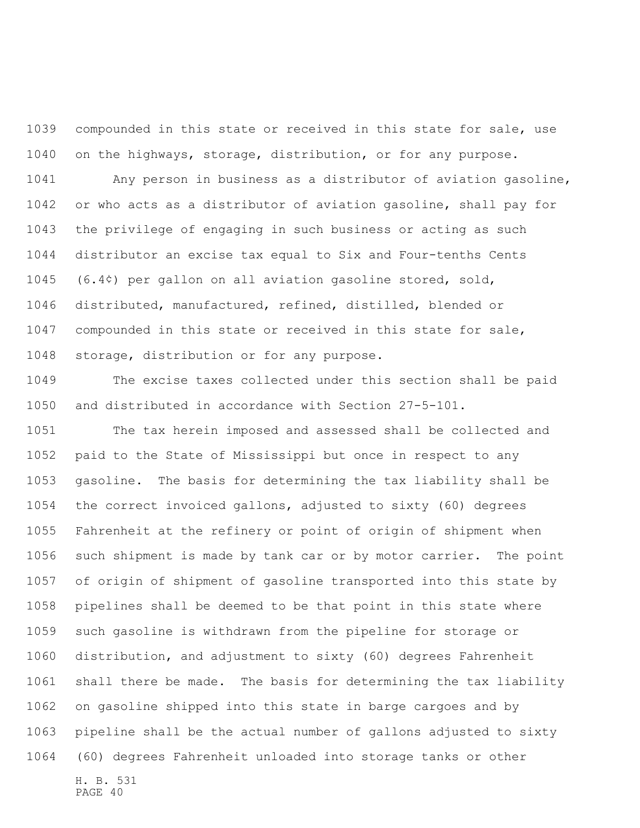compounded in this state or received in this state for sale, use on the highways, storage, distribution, or for any purpose.

 Any person in business as a distributor of aviation gasoline, or who acts as a distributor of aviation gasoline, shall pay for the privilege of engaging in such business or acting as such distributor an excise tax equal to Six and Four-tenths Cents (6.4¢) per gallon on all aviation gasoline stored, sold, distributed, manufactured, refined, distilled, blended or compounded in this state or received in this state for sale, storage, distribution or for any purpose.

 The excise taxes collected under this section shall be paid and distributed in accordance with Section 27-5-101.

H. B. 531 The tax herein imposed and assessed shall be collected and paid to the State of Mississippi but once in respect to any gasoline. The basis for determining the tax liability shall be the correct invoiced gallons, adjusted to sixty (60) degrees Fahrenheit at the refinery or point of origin of shipment when such shipment is made by tank car or by motor carrier. The point of origin of shipment of gasoline transported into this state by pipelines shall be deemed to be that point in this state where such gasoline is withdrawn from the pipeline for storage or distribution, and adjustment to sixty (60) degrees Fahrenheit shall there be made. The basis for determining the tax liability on gasoline shipped into this state in barge cargoes and by pipeline shall be the actual number of gallons adjusted to sixty (60) degrees Fahrenheit unloaded into storage tanks or other

PAGE 40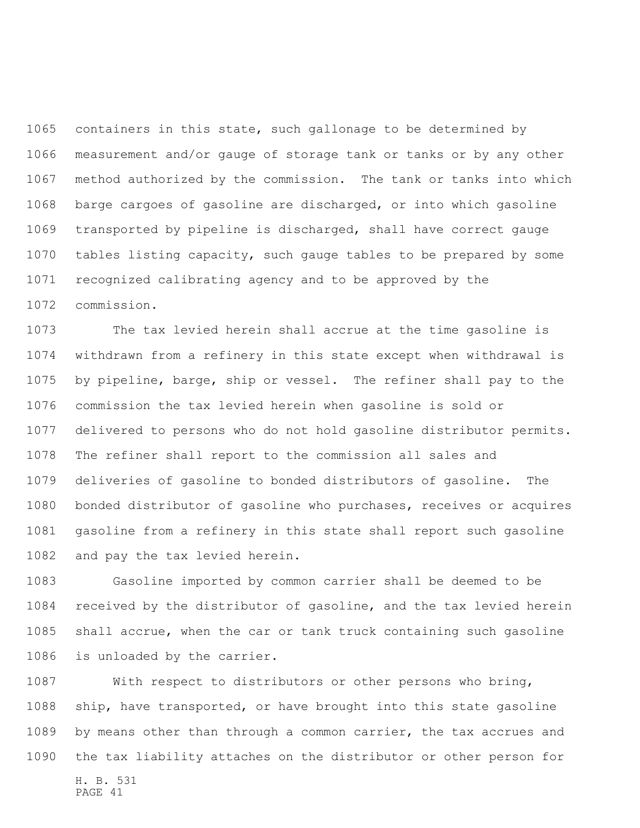containers in this state, such gallonage to be determined by measurement and/or gauge of storage tank or tanks or by any other method authorized by the commission. The tank or tanks into which barge cargoes of gasoline are discharged, or into which gasoline transported by pipeline is discharged, shall have correct gauge tables listing capacity, such gauge tables to be prepared by some recognized calibrating agency and to be approved by the commission.

 The tax levied herein shall accrue at the time gasoline is withdrawn from a refinery in this state except when withdrawal is by pipeline, barge, ship or vessel. The refiner shall pay to the commission the tax levied herein when gasoline is sold or delivered to persons who do not hold gasoline distributor permits. The refiner shall report to the commission all sales and deliveries of gasoline to bonded distributors of gasoline. The bonded distributor of gasoline who purchases, receives or acquires gasoline from a refinery in this state shall report such gasoline and pay the tax levied herein.

 Gasoline imported by common carrier shall be deemed to be received by the distributor of gasoline, and the tax levied herein shall accrue, when the car or tank truck containing such gasoline is unloaded by the carrier.

H. B. 531 PAGE 41 With respect to distributors or other persons who bring, ship, have transported, or have brought into this state gasoline by means other than through a common carrier, the tax accrues and the tax liability attaches on the distributor or other person for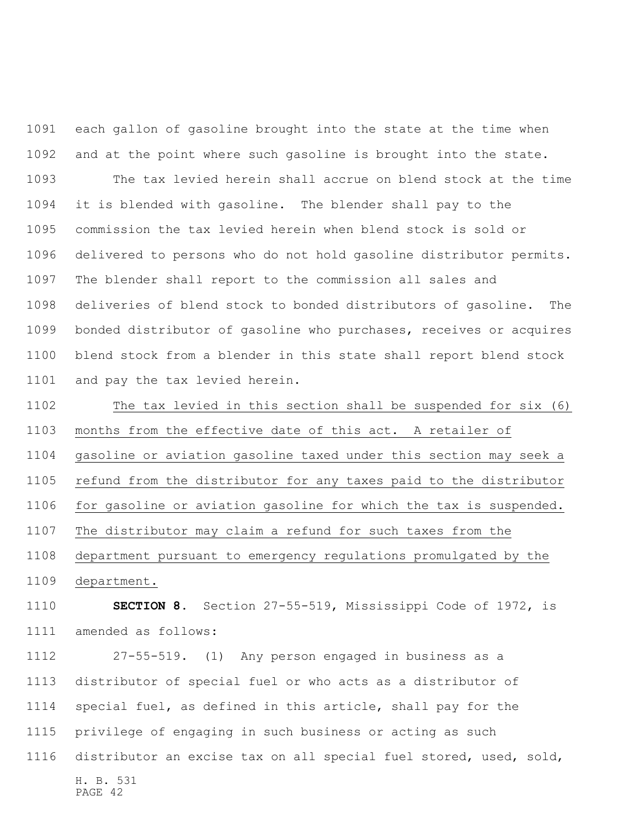each gallon of gasoline brought into the state at the time when and at the point where such gasoline is brought into the state.

 The tax levied herein shall accrue on blend stock at the time it is blended with gasoline. The blender shall pay to the commission the tax levied herein when blend stock is sold or delivered to persons who do not hold gasoline distributor permits. The blender shall report to the commission all sales and deliveries of blend stock to bonded distributors of gasoline. The bonded distributor of gasoline who purchases, receives or acquires blend stock from a blender in this state shall report blend stock and pay the tax levied herein.

 The tax levied in this section shall be suspended for six (6) months from the effective date of this act. A retailer of gasoline or aviation gasoline taxed under this section may seek a refund from the distributor for any taxes paid to the distributor for gasoline or aviation gasoline for which the tax is suspended. The distributor may claim a refund for such taxes from the department pursuant to emergency regulations promulgated by the department.

 **SECTION 8.** Section 27-55-519, Mississippi Code of 1972, is amended as follows:

H. B. 531 PAGE 42 27-55-519. (1) Any person engaged in business as a distributor of special fuel or who acts as a distributor of special fuel, as defined in this article, shall pay for the privilege of engaging in such business or acting as such distributor an excise tax on all special fuel stored, used, sold,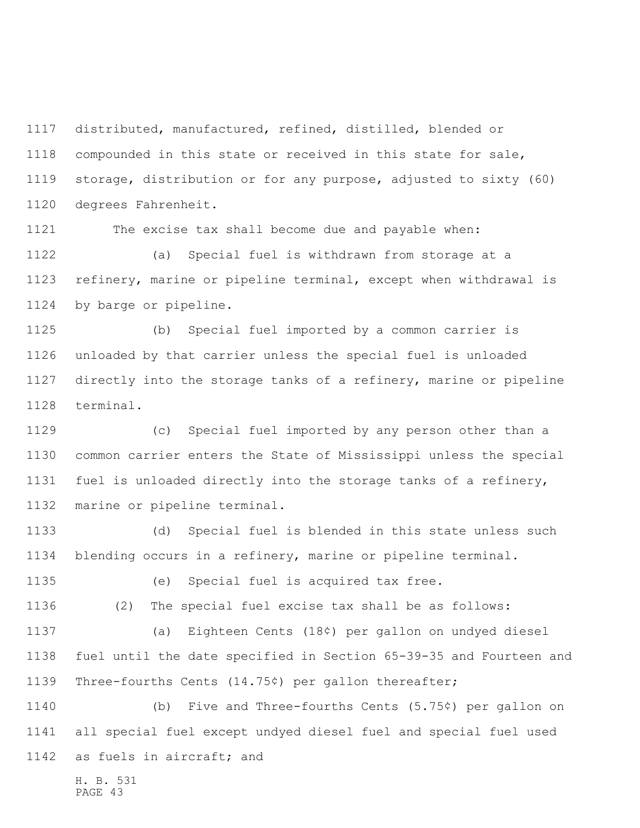distributed, manufactured, refined, distilled, blended or compounded in this state or received in this state for sale, storage, distribution or for any purpose, adjusted to sixty (60) degrees Fahrenheit.

The excise tax shall become due and payable when:

 (a) Special fuel is withdrawn from storage at a refinery, marine or pipeline terminal, except when withdrawal is by barge or pipeline.

 (b) Special fuel imported by a common carrier is unloaded by that carrier unless the special fuel is unloaded directly into the storage tanks of a refinery, marine or pipeline terminal.

 (c) Special fuel imported by any person other than a common carrier enters the State of Mississippi unless the special fuel is unloaded directly into the storage tanks of a refinery, marine or pipeline terminal.

 (d) Special fuel is blended in this state unless such blending occurs in a refinery, marine or pipeline terminal.

(e) Special fuel is acquired tax free.

(2) The special fuel excise tax shall be as follows:

 (a) Eighteen Cents (18¢) per gallon on undyed diesel fuel until the date specified in Section 65-39-35 and Fourteen and Three-fourths Cents (14.75¢) per gallon thereafter;

 (b) Five and Three-fourths Cents (5.75¢) per gallon on all special fuel except undyed diesel fuel and special fuel used as fuels in aircraft; and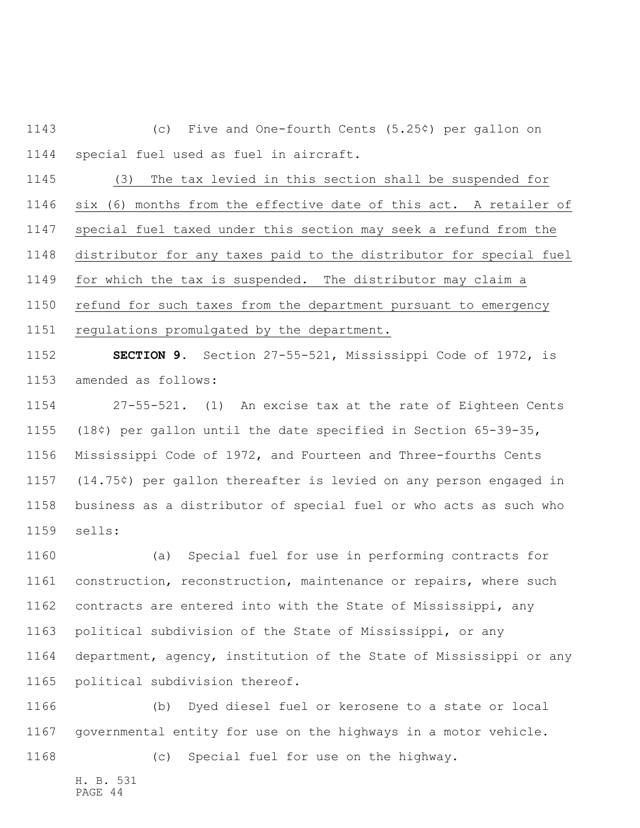(c) Five and One-fourth Cents (5.25¢) per gallon on special fuel used as fuel in aircraft.

 (3) The tax levied in this section shall be suspended for six (6) months from the effective date of this act. A retailer of special fuel taxed under this section may seek a refund from the distributor for any taxes paid to the distributor for special fuel for which the tax is suspended. The distributor may claim a refund for such taxes from the department pursuant to emergency regulations promulgated by the department.

 **SECTION 9.** Section 27-55-521, Mississippi Code of 1972, is amended as follows:

 27-55-521. (1) An excise tax at the rate of Eighteen Cents (18¢) per gallon until the date specified in Section 65-39-35, Mississippi Code of 1972, and Fourteen and Three-fourths Cents (14.75¢) per gallon thereafter is levied on any person engaged in business as a distributor of special fuel or who acts as such who sells:

 (a) Special fuel for use in performing contracts for construction, reconstruction, maintenance or repairs, where such contracts are entered into with the State of Mississippi, any political subdivision of the State of Mississippi, or any department, agency, institution of the State of Mississippi or any political subdivision thereof.

 (b) Dyed diesel fuel or kerosene to a state or local governmental entity for use on the highways in a motor vehicle.

(c) Special fuel for use on the highway.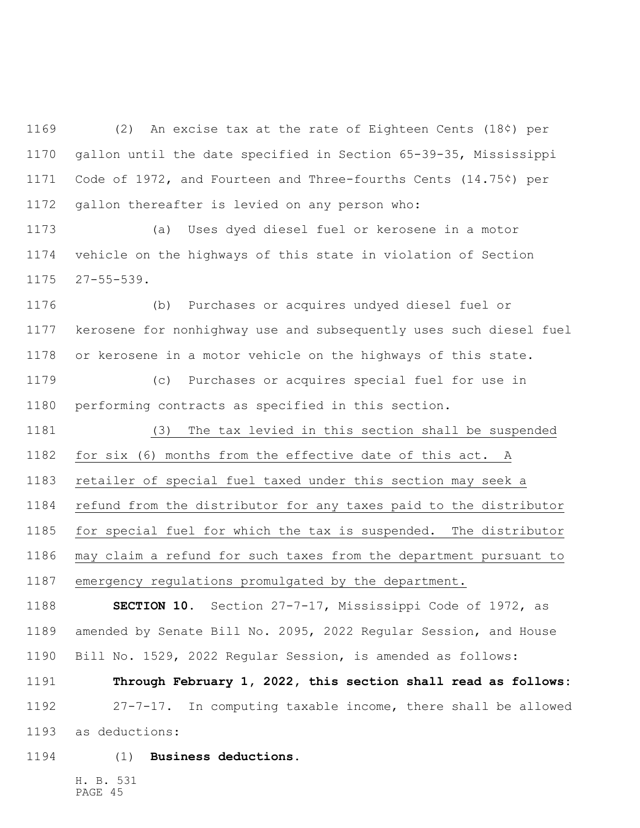(2) An excise tax at the rate of Eighteen Cents (18¢) per gallon until the date specified in Section 65-39-35, Mississippi Code of 1972, and Fourteen and Three-fourths Cents (14.75¢) per gallon thereafter is levied on any person who:

 (a) Uses dyed diesel fuel or kerosene in a motor vehicle on the highways of this state in violation of Section 27-55-539.

 (b) Purchases or acquires undyed diesel fuel or kerosene for nonhighway use and subsequently uses such diesel fuel or kerosene in a motor vehicle on the highways of this state.

 (c) Purchases or acquires special fuel for use in performing contracts as specified in this section.

 (3) The tax levied in this section shall be suspended for six (6) months from the effective date of this act. A retailer of special fuel taxed under this section may seek a refund from the distributor for any taxes paid to the distributor

 for special fuel for which the tax is suspended. The distributor may claim a refund for such taxes from the department pursuant to emergency regulations promulgated by the department.

 **SECTION 10.** Section 27-7-17, Mississippi Code of 1972, as amended by Senate Bill No. 2095, 2022 Regular Session, and House Bill No. 1529, 2022 Regular Session, is amended as follows:

 **Through February 1, 2022, this section shall read as follows:** 27-7-17. In computing taxable income, there shall be allowed as deductions:

(1) **Business deductions.**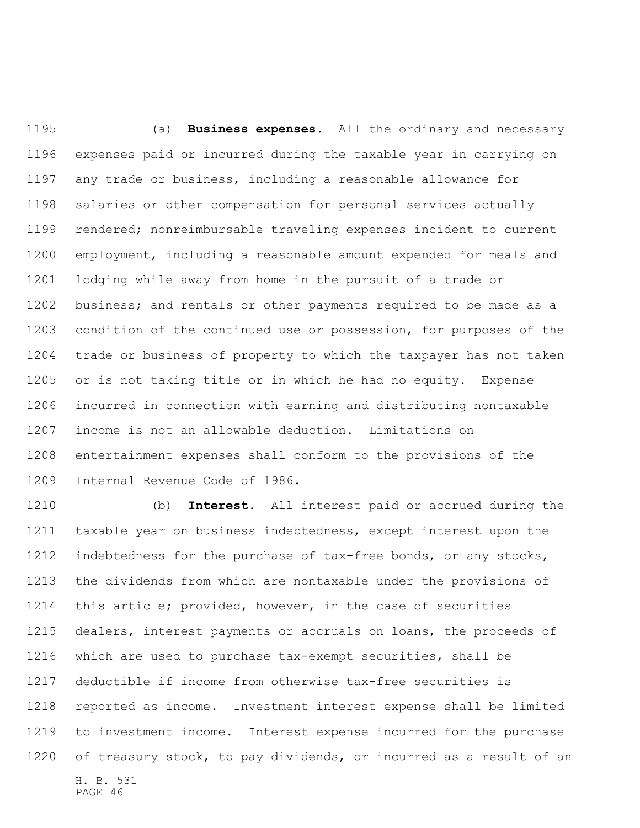(a) **Business expenses.** All the ordinary and necessary expenses paid or incurred during the taxable year in carrying on any trade or business, including a reasonable allowance for salaries or other compensation for personal services actually rendered; nonreimbursable traveling expenses incident to current employment, including a reasonable amount expended for meals and lodging while away from home in the pursuit of a trade or business; and rentals or other payments required to be made as a condition of the continued use or possession, for purposes of the trade or business of property to which the taxpayer has not taken or is not taking title or in which he had no equity. Expense incurred in connection with earning and distributing nontaxable income is not an allowable deduction. Limitations on entertainment expenses shall conform to the provisions of the Internal Revenue Code of 1986.

H. B. 531 PAGE 46 (b) **Interest.** All interest paid or accrued during the taxable year on business indebtedness, except interest upon the indebtedness for the purchase of tax-free bonds, or any stocks, the dividends from which are nontaxable under the provisions of this article; provided, however, in the case of securities dealers, interest payments or accruals on loans, the proceeds of which are used to purchase tax-exempt securities, shall be deductible if income from otherwise tax-free securities is reported as income. Investment interest expense shall be limited to investment income. Interest expense incurred for the purchase of treasury stock, to pay dividends, or incurred as a result of an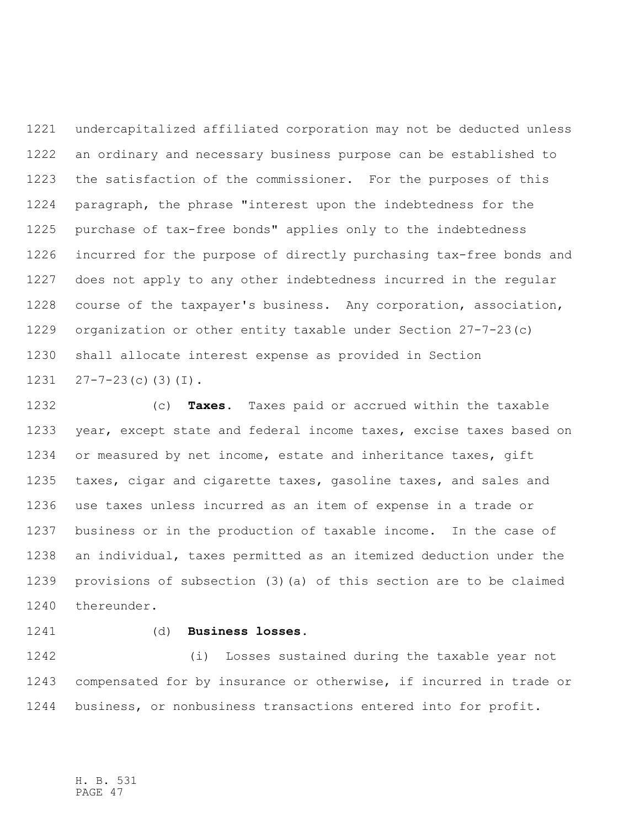undercapitalized affiliated corporation may not be deducted unless an ordinary and necessary business purpose can be established to the satisfaction of the commissioner. For the purposes of this paragraph, the phrase "interest upon the indebtedness for the purchase of tax-free bonds" applies only to the indebtedness incurred for the purpose of directly purchasing tax-free bonds and does not apply to any other indebtedness incurred in the regular course of the taxpayer's business. Any corporation, association, organization or other entity taxable under Section 27-7-23(c) shall allocate interest expense as provided in Section  $27-7-23(c)(3)(1)$ .

 (c) **Taxes.** Taxes paid or accrued within the taxable year, except state and federal income taxes, excise taxes based on or measured by net income, estate and inheritance taxes, gift taxes, cigar and cigarette taxes, gasoline taxes, and sales and use taxes unless incurred as an item of expense in a trade or business or in the production of taxable income. In the case of an individual, taxes permitted as an itemized deduction under the provisions of subsection (3)(a) of this section are to be claimed thereunder.

## (d) **Business losses.**

 (i) Losses sustained during the taxable year not compensated for by insurance or otherwise, if incurred in trade or business, or nonbusiness transactions entered into for profit.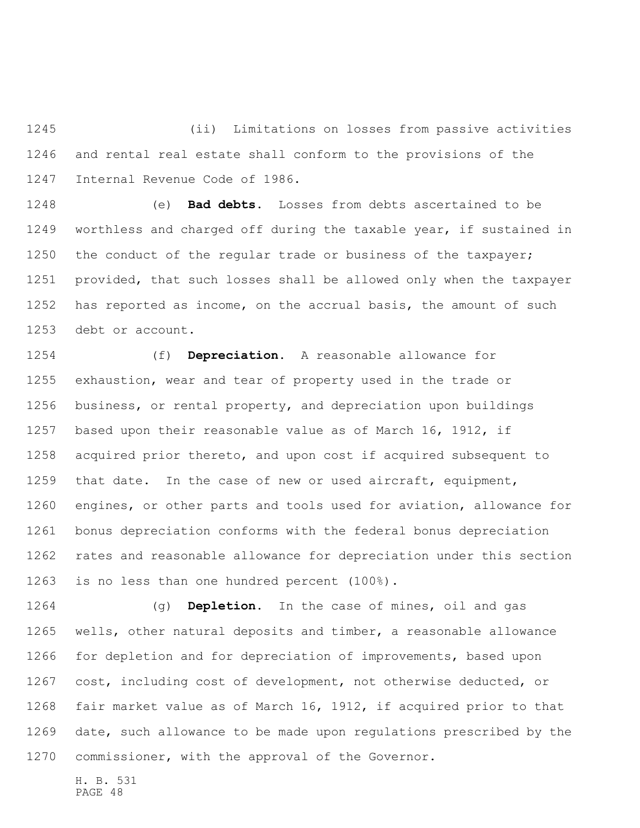(ii) Limitations on losses from passive activities and rental real estate shall conform to the provisions of the Internal Revenue Code of 1986.

 (e) **Bad debts.** Losses from debts ascertained to be worthless and charged off during the taxable year, if sustained in 1250 the conduct of the regular trade or business of the taxpayer; provided, that such losses shall be allowed only when the taxpayer has reported as income, on the accrual basis, the amount of such debt or account.

 (f) **Depreciation.** A reasonable allowance for exhaustion, wear and tear of property used in the trade or business, or rental property, and depreciation upon buildings based upon their reasonable value as of March 16, 1912, if acquired prior thereto, and upon cost if acquired subsequent to that date. In the case of new or used aircraft, equipment, engines, or other parts and tools used for aviation, allowance for bonus depreciation conforms with the federal bonus depreciation rates and reasonable allowance for depreciation under this section is no less than one hundred percent (100%).

 (g) **Depletion.** In the case of mines, oil and gas wells, other natural deposits and timber, a reasonable allowance for depletion and for depreciation of improvements, based upon cost, including cost of development, not otherwise deducted, or fair market value as of March 16, 1912, if acquired prior to that date, such allowance to be made upon regulations prescribed by the commissioner, with the approval of the Governor.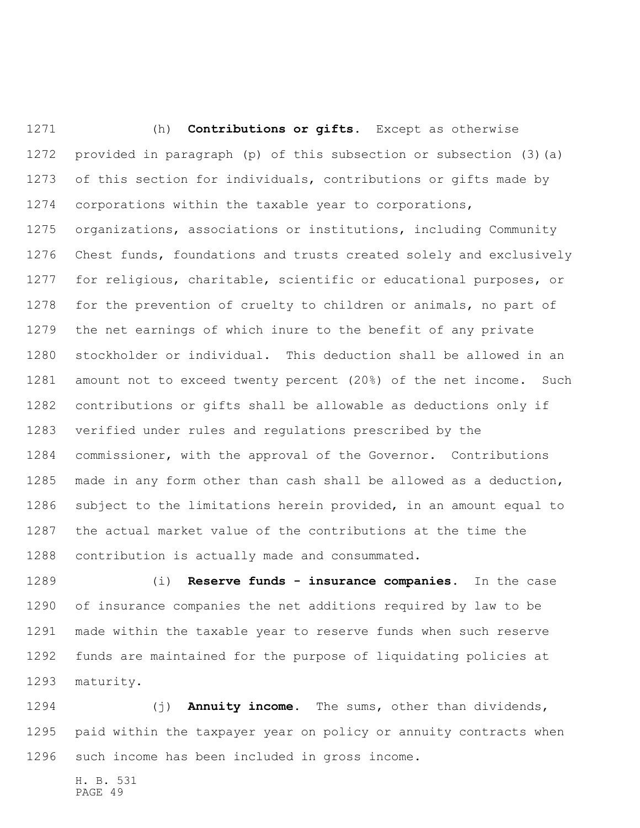(h) **Contributions or gifts.** Except as otherwise provided in paragraph (p) of this subsection or subsection (3)(a) of this section for individuals, contributions or gifts made by corporations within the taxable year to corporations, organizations, associations or institutions, including Community Chest funds, foundations and trusts created solely and exclusively for religious, charitable, scientific or educational purposes, or for the prevention of cruelty to children or animals, no part of the net earnings of which inure to the benefit of any private stockholder or individual. This deduction shall be allowed in an amount not to exceed twenty percent (20%) of the net income. Such contributions or gifts shall be allowable as deductions only if verified under rules and regulations prescribed by the commissioner, with the approval of the Governor. Contributions made in any form other than cash shall be allowed as a deduction, subject to the limitations herein provided, in an amount equal to the actual market value of the contributions at the time the contribution is actually made and consummated.

 (i) **Reserve funds - insurance companies.** In the case of insurance companies the net additions required by law to be made within the taxable year to reserve funds when such reserve funds are maintained for the purpose of liquidating policies at maturity.

 (j) **Annuity income.** The sums, other than dividends, paid within the taxpayer year on policy or annuity contracts when such income has been included in gross income.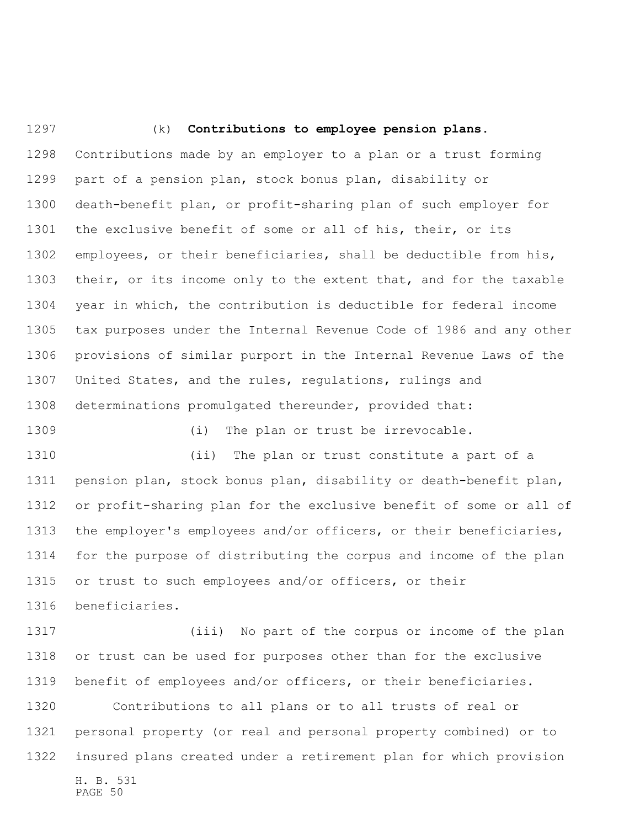(k) **Contributions to employee pension plans.** Contributions made by an employer to a plan or a trust forming part of a pension plan, stock bonus plan, disability or death-benefit plan, or profit-sharing plan of such employer for the exclusive benefit of some or all of his, their, or its employees, or their beneficiaries, shall be deductible from his, 1303 their, or its income only to the extent that, and for the taxable year in which, the contribution is deductible for federal income tax purposes under the Internal Revenue Code of 1986 and any other provisions of similar purport in the Internal Revenue Laws of the United States, and the rules, regulations, rulings and determinations promulgated thereunder, provided that: 1309 (i) The plan or trust be irrevocable. (ii) The plan or trust constitute a part of a pension plan, stock bonus plan, disability or death-benefit plan, or profit-sharing plan for the exclusive benefit of some or all of

 (iii) No part of the corpus or income of the plan or trust can be used for purposes other than for the exclusive benefit of employees and/or officers, or their beneficiaries.

the employer's employees and/or officers, or their beneficiaries,

for the purpose of distributing the corpus and income of the plan

or trust to such employees and/or officers, or their

beneficiaries.

H. B. 531 PAGE 50 Contributions to all plans or to all trusts of real or personal property (or real and personal property combined) or to insured plans created under a retirement plan for which provision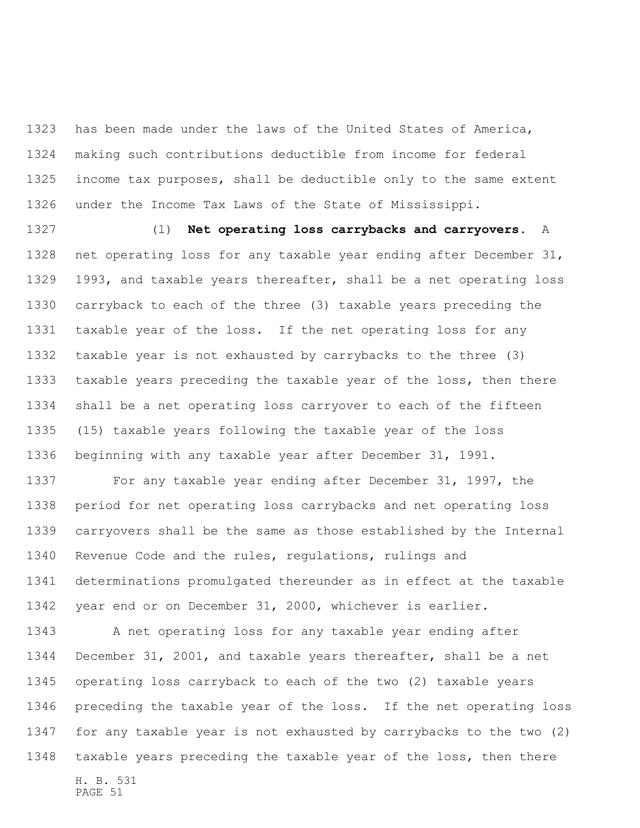has been made under the laws of the United States of America, making such contributions deductible from income for federal income tax purposes, shall be deductible only to the same extent under the Income Tax Laws of the State of Mississippi.

 (l) **Net operating loss carrybacks and carryovers.** A net operating loss for any taxable year ending after December 31, 1993, and taxable years thereafter, shall be a net operating loss carryback to each of the three (3) taxable years preceding the taxable year of the loss. If the net operating loss for any taxable year is not exhausted by carrybacks to the three (3) taxable years preceding the taxable year of the loss, then there shall be a net operating loss carryover to each of the fifteen (15) taxable years following the taxable year of the loss beginning with any taxable year after December 31, 1991.

 For any taxable year ending after December 31, 1997, the period for net operating loss carrybacks and net operating loss carryovers shall be the same as those established by the Internal Revenue Code and the rules, regulations, rulings and determinations promulgated thereunder as in effect at the taxable year end or on December 31, 2000, whichever is earlier.

H. B. 531 PAGE 51 A net operating loss for any taxable year ending after December 31, 2001, and taxable years thereafter, shall be a net operating loss carryback to each of the two (2) taxable years preceding the taxable year of the loss. If the net operating loss for any taxable year is not exhausted by carrybacks to the two (2) taxable years preceding the taxable year of the loss, then there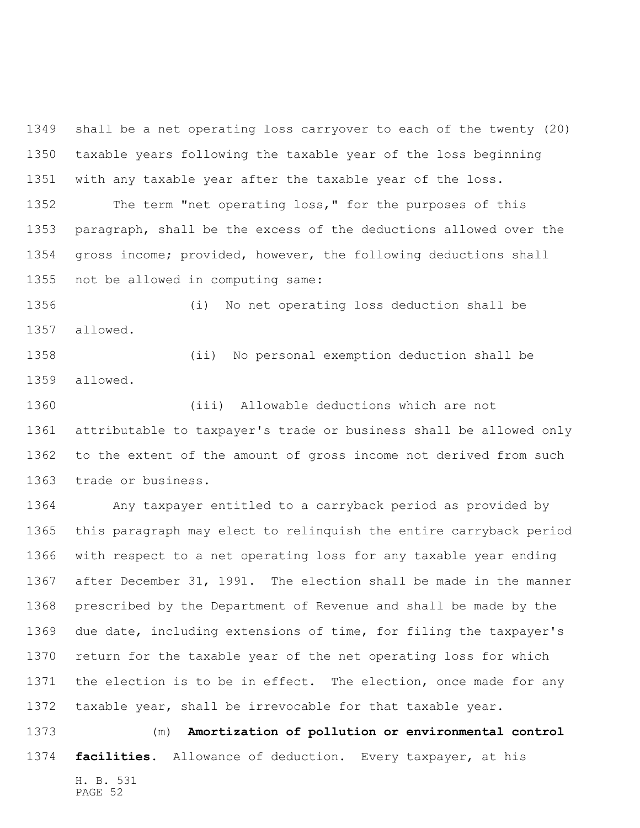shall be a net operating loss carryover to each of the twenty (20) taxable years following the taxable year of the loss beginning with any taxable year after the taxable year of the loss. The term "net operating loss," for the purposes of this paragraph, shall be the excess of the deductions allowed over the gross income; provided, however, the following deductions shall

not be allowed in computing same:

 (i) No net operating loss deduction shall be allowed.

 (ii) No personal exemption deduction shall be allowed.

 (iii) Allowable deductions which are not attributable to taxpayer's trade or business shall be allowed only to the extent of the amount of gross income not derived from such trade or business.

 Any taxpayer entitled to a carryback period as provided by this paragraph may elect to relinquish the entire carryback period with respect to a net operating loss for any taxable year ending after December 31, 1991. The election shall be made in the manner prescribed by the Department of Revenue and shall be made by the due date, including extensions of time, for filing the taxpayer's return for the taxable year of the net operating loss for which 1371 the election is to be in effect. The election, once made for any taxable year, shall be irrevocable for that taxable year.

H. B. 531 (m) **Amortization of pollution or environmental control facilities.** Allowance of deduction. Every taxpayer, at his

PAGE 52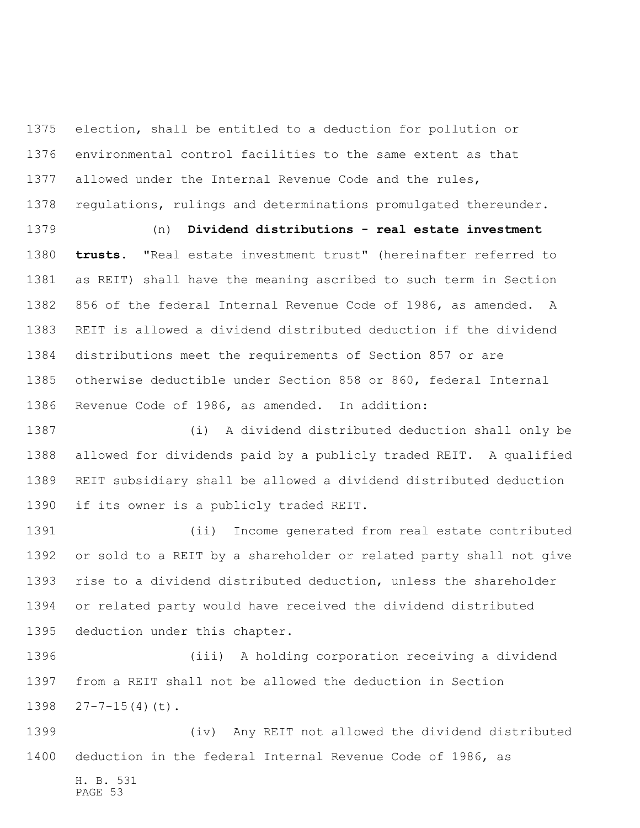election, shall be entitled to a deduction for pollution or environmental control facilities to the same extent as that allowed under the Internal Revenue Code and the rules, 1378 regulations, rulings and determinations promulgated thereunder.

 (n) **Dividend distributions - real estate investment trusts.** "Real estate investment trust" (hereinafter referred to as REIT) shall have the meaning ascribed to such term in Section 856 of the federal Internal Revenue Code of 1986, as amended. A REIT is allowed a dividend distributed deduction if the dividend distributions meet the requirements of Section 857 or are otherwise deductible under Section 858 or 860, federal Internal Revenue Code of 1986, as amended. In addition:

 (i) A dividend distributed deduction shall only be allowed for dividends paid by a publicly traded REIT. A qualified REIT subsidiary shall be allowed a dividend distributed deduction if its owner is a publicly traded REIT.

 (ii) Income generated from real estate contributed or sold to a REIT by a shareholder or related party shall not give rise to a dividend distributed deduction, unless the shareholder or related party would have received the dividend distributed deduction under this chapter.

 (iii) A holding corporation receiving a dividend from a REIT shall not be allowed the deduction in Section 1398  $27-7-15(4)(t)$ .

 (iv) Any REIT not allowed the dividend distributed deduction in the federal Internal Revenue Code of 1986, as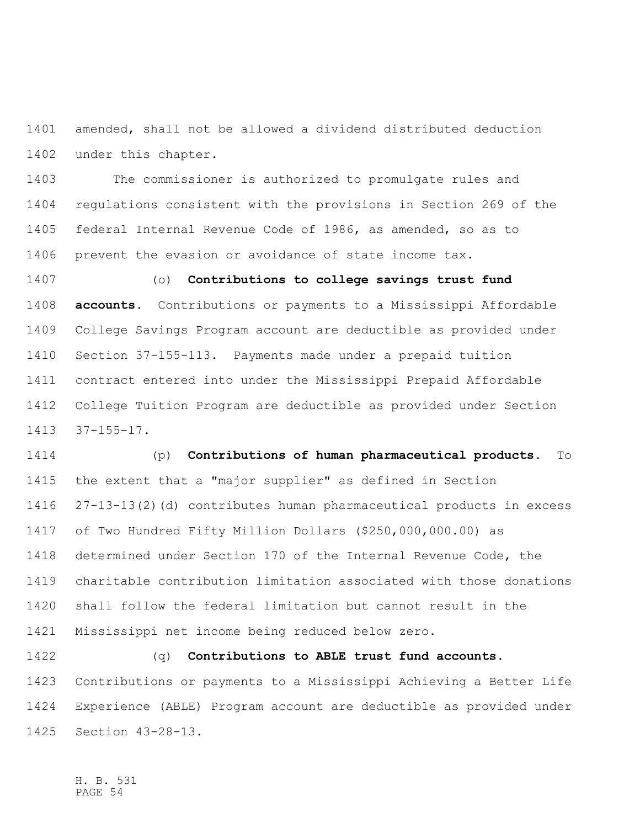amended, shall not be allowed a dividend distributed deduction under this chapter.

 The commissioner is authorized to promulgate rules and regulations consistent with the provisions in Section 269 of the federal Internal Revenue Code of 1986, as amended, so as to prevent the evasion or avoidance of state income tax.

 (o) **Contributions to college savings trust fund accounts.** Contributions or payments to a Mississippi Affordable College Savings Program account are deductible as provided under Section 37-155-113. Payments made under a prepaid tuition contract entered into under the Mississippi Prepaid Affordable College Tuition Program are deductible as provided under Section 37-155-17.

 (p) **Contributions of human pharmaceutical products.** To the extent that a "major supplier" as defined in Section 27-13-13(2)(d) contributes human pharmaceutical products in excess of Two Hundred Fifty Million Dollars (\$250,000,000.00) as determined under Section 170 of the Internal Revenue Code, the charitable contribution limitation associated with those donations shall follow the federal limitation but cannot result in the Mississippi net income being reduced below zero.

 (q) **Contributions to ABLE trust fund accounts.** Contributions or payments to a Mississippi Achieving a Better Life Experience (ABLE) Program account are deductible as provided under Section 43-28-13.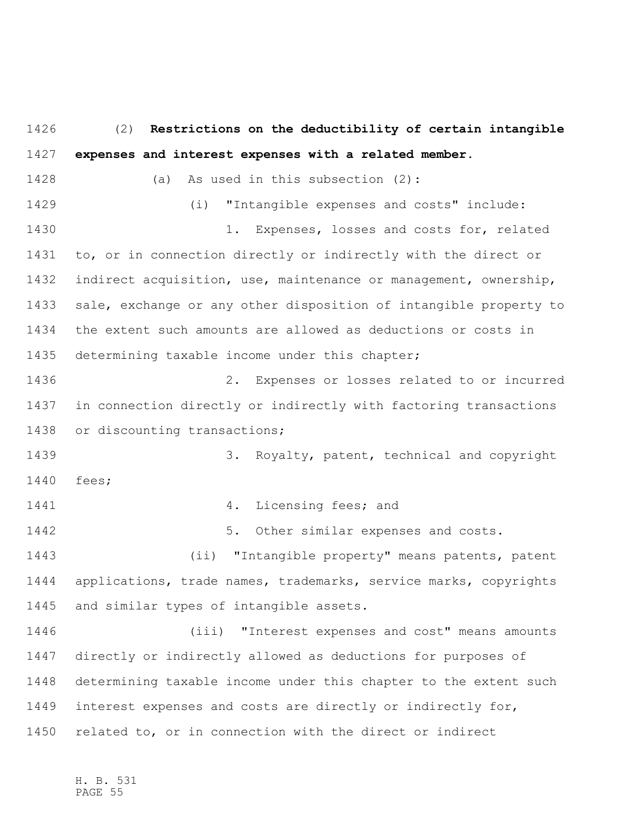(2) **Restrictions on the deductibility of certain intangible expenses and interest expenses with a related member.** (a) As used in this subsection (2): (i) "Intangible expenses and costs" include: 1. Expenses, losses and costs for, related to, or in connection directly or indirectly with the direct or indirect acquisition, use, maintenance or management, ownership, sale, exchange or any other disposition of intangible property to the extent such amounts are allowed as deductions or costs in determining taxable income under this chapter; 2. Expenses or losses related to or incurred in connection directly or indirectly with factoring transactions or discounting transactions; 3. Royalty, patent, technical and copyright fees; **4.** Licensing fees; and 5. Other similar expenses and costs. (ii) "Intangible property" means patents, patent applications, trade names, trademarks, service marks, copyrights and similar types of intangible assets. (iii) "Interest expenses and cost" means amounts directly or indirectly allowed as deductions for purposes of determining taxable income under this chapter to the extent such interest expenses and costs are directly or indirectly for, related to, or in connection with the direct or indirect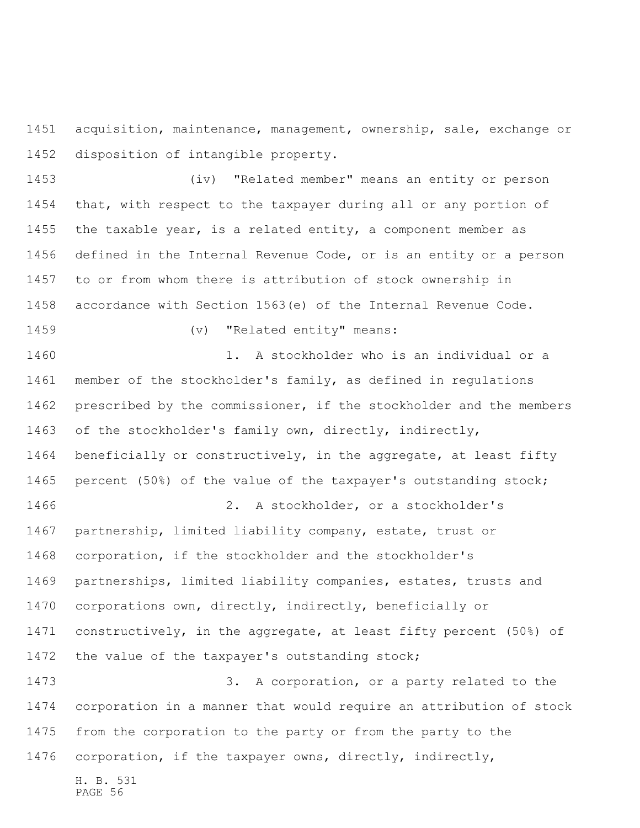acquisition, maintenance, management, ownership, sale, exchange or disposition of intangible property.

 (iv) "Related member" means an entity or person that, with respect to the taxpayer during all or any portion of the taxable year, is a related entity, a component member as defined in the Internal Revenue Code, or is an entity or a person to or from whom there is attribution of stock ownership in accordance with Section 1563(e) of the Internal Revenue Code. 1459 (v) "Related entity" means: 1460 1. A stockholder who is an individual or a member of the stockholder's family, as defined in regulations prescribed by the commissioner, if the stockholder and the members of the stockholder's family own, directly, indirectly, 1464 beneficially or constructively, in the aggregate, at least fifty percent (50%) of the value of the taxpayer's outstanding stock; 2. A stockholder, or a stockholder's partnership, limited liability company, estate, trust or corporation, if the stockholder and the stockholder's partnerships, limited liability companies, estates, trusts and corporations own, directly, indirectly, beneficially or constructively, in the aggregate, at least fifty percent (50%) of the value of the taxpayer's outstanding stock; 1473 3. A corporation, or a party related to the corporation in a manner that would require an attribution of stock

 from the corporation to the party or from the party to the corporation, if the taxpayer owns, directly, indirectly,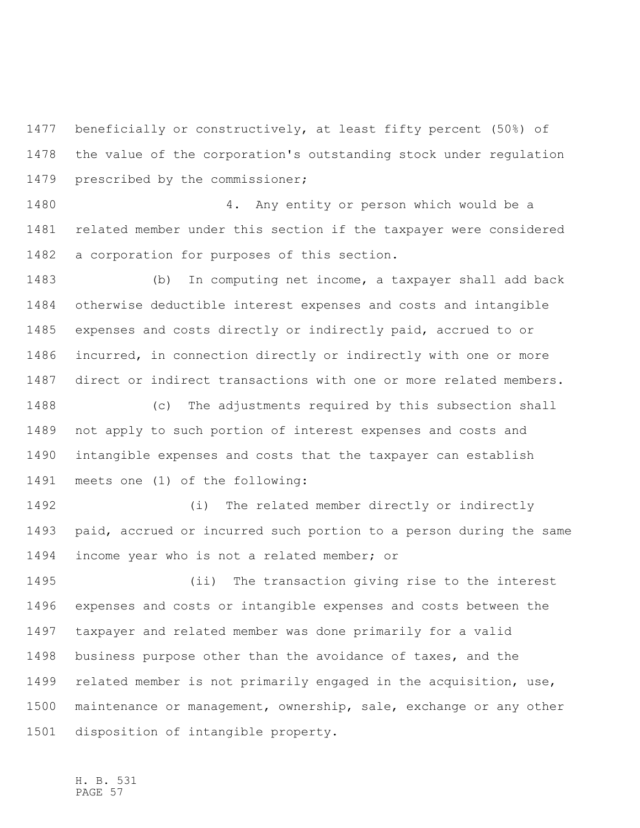beneficially or constructively, at least fifty percent (50%) of the value of the corporation's outstanding stock under regulation prescribed by the commissioner;

 4. Any entity or person which would be a related member under this section if the taxpayer were considered a corporation for purposes of this section.

 (b) In computing net income, a taxpayer shall add back otherwise deductible interest expenses and costs and intangible expenses and costs directly or indirectly paid, accrued to or incurred, in connection directly or indirectly with one or more direct or indirect transactions with one or more related members.

 (c) The adjustments required by this subsection shall not apply to such portion of interest expenses and costs and intangible expenses and costs that the taxpayer can establish meets one (1) of the following:

 (i) The related member directly or indirectly paid, accrued or incurred such portion to a person during the same income year who is not a related member; or

 (ii) The transaction giving rise to the interest expenses and costs or intangible expenses and costs between the taxpayer and related member was done primarily for a valid business purpose other than the avoidance of taxes, and the related member is not primarily engaged in the acquisition, use, maintenance or management, ownership, sale, exchange or any other disposition of intangible property.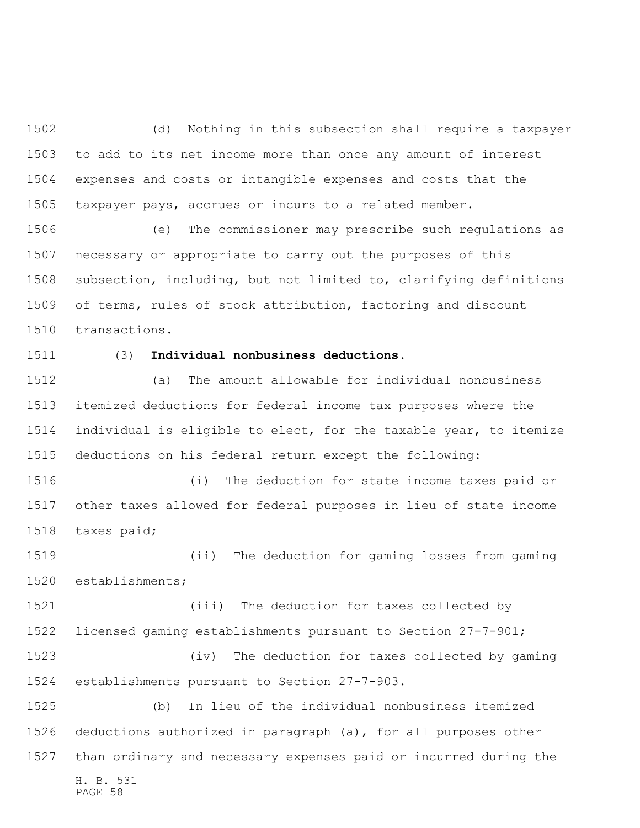(d) Nothing in this subsection shall require a taxpayer to add to its net income more than once any amount of interest expenses and costs or intangible expenses and costs that the taxpayer pays, accrues or incurs to a related member.

 (e) The commissioner may prescribe such regulations as necessary or appropriate to carry out the purposes of this subsection, including, but not limited to, clarifying definitions of terms, rules of stock attribution, factoring and discount transactions.

## (3) **Individual nonbusiness deductions.**

 (a) The amount allowable for individual nonbusiness itemized deductions for federal income tax purposes where the individual is eligible to elect, for the taxable year, to itemize deductions on his federal return except the following:

 (i) The deduction for state income taxes paid or other taxes allowed for federal purposes in lieu of state income taxes paid;

 (ii) The deduction for gaming losses from gaming establishments;

 (iii) The deduction for taxes collected by licensed gaming establishments pursuant to Section 27-7-901;

 (iv) The deduction for taxes collected by gaming establishments pursuant to Section 27-7-903.

H. B. 531 PAGE 58 (b) In lieu of the individual nonbusiness itemized deductions authorized in paragraph (a), for all purposes other than ordinary and necessary expenses paid or incurred during the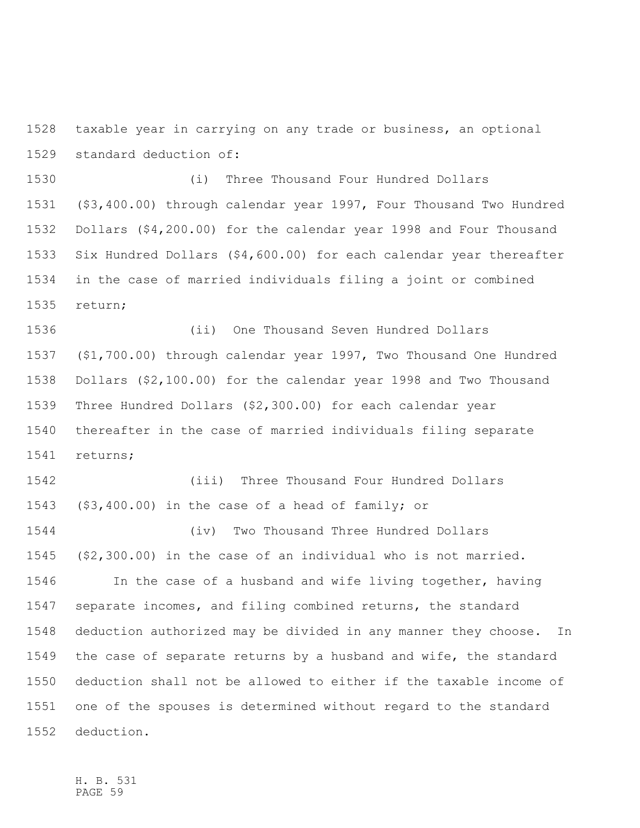taxable year in carrying on any trade or business, an optional standard deduction of:

 (i) Three Thousand Four Hundred Dollars (\$3,400.00) through calendar year 1997, Four Thousand Two Hundred Dollars (\$4,200.00) for the calendar year 1998 and Four Thousand Six Hundred Dollars (\$4,600.00) for each calendar year thereafter in the case of married individuals filing a joint or combined return;

 (ii) One Thousand Seven Hundred Dollars (\$1,700.00) through calendar year 1997, Two Thousand One Hundred Dollars (\$2,100.00) for the calendar year 1998 and Two Thousand Three Hundred Dollars (\$2,300.00) for each calendar year thereafter in the case of married individuals filing separate returns;

 (iii) Three Thousand Four Hundred Dollars (\$3,400.00) in the case of a head of family; or (iv) Two Thousand Three Hundred Dollars (\$2,300.00) in the case of an individual who is not married. In the case of a husband and wife living together, having separate incomes, and filing combined returns, the standard deduction authorized may be divided in any manner they choose. In the case of separate returns by a husband and wife, the standard deduction shall not be allowed to either if the taxable income of one of the spouses is determined without regard to the standard deduction.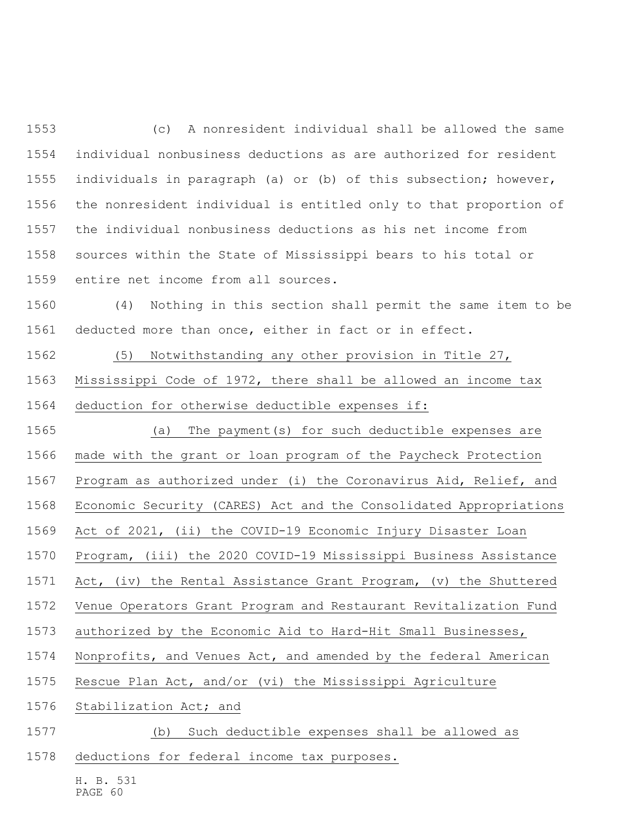(c) A nonresident individual shall be allowed the same individual nonbusiness deductions as are authorized for resident individuals in paragraph (a) or (b) of this subsection; however, the nonresident individual is entitled only to that proportion of the individual nonbusiness deductions as his net income from sources within the State of Mississippi bears to his total or entire net income from all sources.

 (4) Nothing in this section shall permit the same item to be deducted more than once, either in fact or in effect.

 (5) Notwithstanding any other provision in Title 27, Mississippi Code of 1972, there shall be allowed an income tax deduction for otherwise deductible expenses if:

 (a) The payment(s) for such deductible expenses are made with the grant or loan program of the Paycheck Protection

Program as authorized under (i) the Coronavirus Aid, Relief, and

Economic Security (CARES) Act and the Consolidated Appropriations

Act of 2021, (ii) the COVID-19 Economic Injury Disaster Loan

Program, (iii) the 2020 COVID-19 Mississippi Business Assistance

Act, (iv) the Rental Assistance Grant Program, (v) the Shuttered

Venue Operators Grant Program and Restaurant Revitalization Fund

authorized by the Economic Aid to Hard-Hit Small Businesses,

Nonprofits, and Venues Act, and amended by the federal American

Rescue Plan Act, and/or (vi) the Mississippi Agriculture

Stabilization Act; and

(b) Such deductible expenses shall be allowed as

deductions for federal income tax purposes.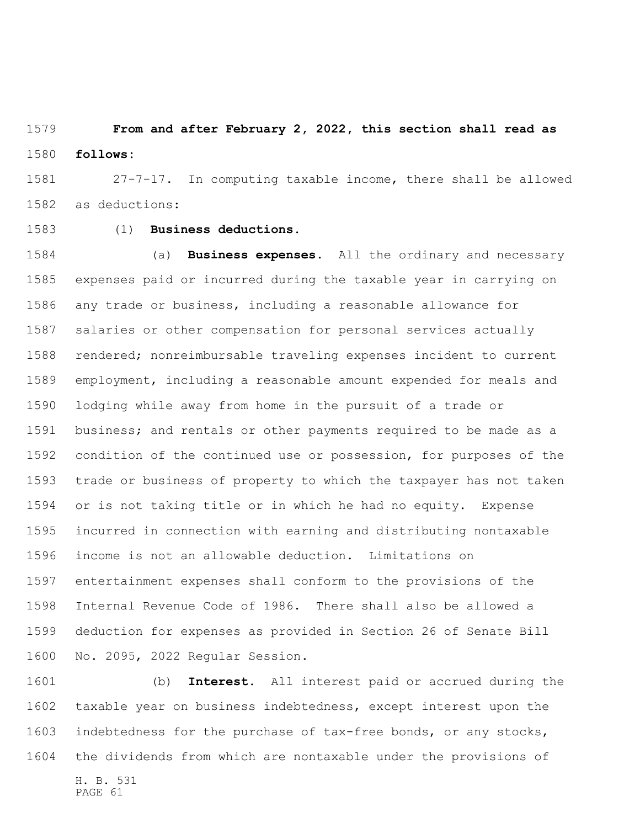**From and after February 2, 2022, this section shall read as follows:**

 27-7-17. In computing taxable income, there shall be allowed as deductions:

## (1) **Business deductions.**

 (a) **Business expenses.** All the ordinary and necessary expenses paid or incurred during the taxable year in carrying on any trade or business, including a reasonable allowance for salaries or other compensation for personal services actually rendered; nonreimbursable traveling expenses incident to current employment, including a reasonable amount expended for meals and lodging while away from home in the pursuit of a trade or business; and rentals or other payments required to be made as a condition of the continued use or possession, for purposes of the trade or business of property to which the taxpayer has not taken or is not taking title or in which he had no equity. Expense incurred in connection with earning and distributing nontaxable income is not an allowable deduction. Limitations on entertainment expenses shall conform to the provisions of the Internal Revenue Code of 1986. There shall also be allowed a deduction for expenses as provided in Section 26 of Senate Bill No. 2095, 2022 Regular Session.

H. B. 531 (b) **Interest.** All interest paid or accrued during the taxable year on business indebtedness, except interest upon the indebtedness for the purchase of tax-free bonds, or any stocks, the dividends from which are nontaxable under the provisions of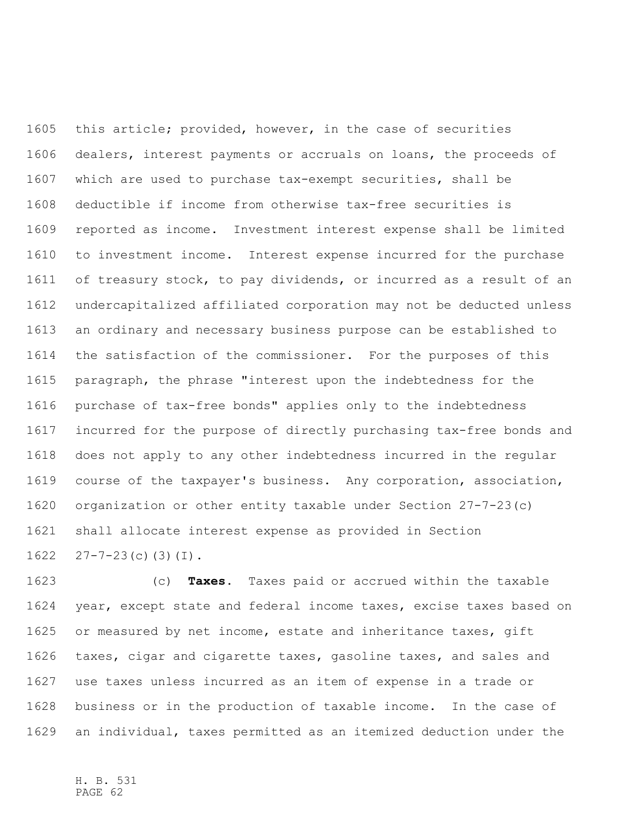this article; provided, however, in the case of securities dealers, interest payments or accruals on loans, the proceeds of which are used to purchase tax-exempt securities, shall be deductible if income from otherwise tax-free securities is reported as income. Investment interest expense shall be limited to investment income. Interest expense incurred for the purchase of treasury stock, to pay dividends, or incurred as a result of an undercapitalized affiliated corporation may not be deducted unless an ordinary and necessary business purpose can be established to the satisfaction of the commissioner. For the purposes of this paragraph, the phrase "interest upon the indebtedness for the purchase of tax-free bonds" applies only to the indebtedness incurred for the purpose of directly purchasing tax-free bonds and does not apply to any other indebtedness incurred in the regular course of the taxpayer's business. Any corporation, association, organization or other entity taxable under Section 27-7-23(c) shall allocate interest expense as provided in Section  $27 - 7 - 23$  (c) (3) (I).

 (c) **Taxes.** Taxes paid or accrued within the taxable year, except state and federal income taxes, excise taxes based on 1625 or measured by net income, estate and inheritance taxes, gift taxes, cigar and cigarette taxes, gasoline taxes, and sales and use taxes unless incurred as an item of expense in a trade or business or in the production of taxable income. In the case of an individual, taxes permitted as an itemized deduction under the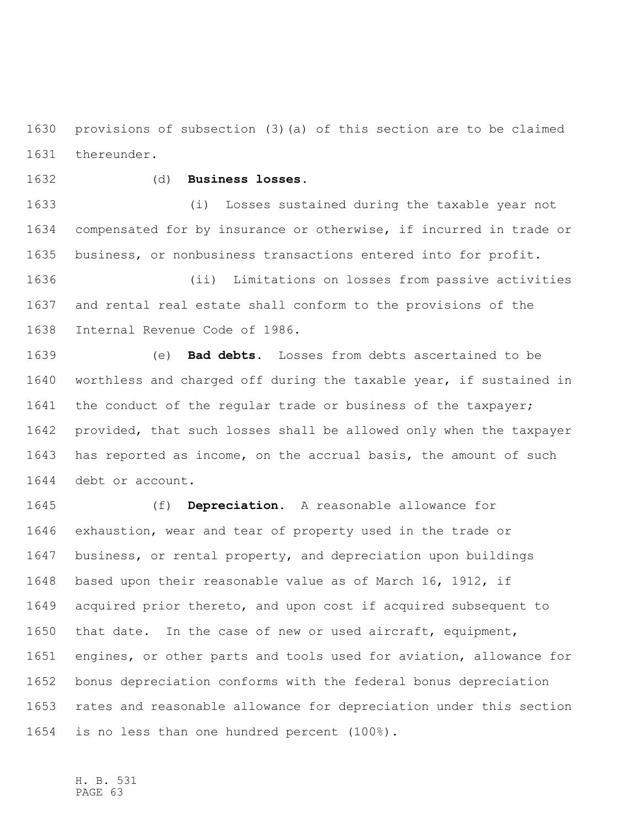provisions of subsection (3)(a) of this section are to be claimed thereunder.

## (d) **Business losses.**

 (i) Losses sustained during the taxable year not compensated for by insurance or otherwise, if incurred in trade or business, or nonbusiness transactions entered into for profit.

 (ii) Limitations on losses from passive activities and rental real estate shall conform to the provisions of the Internal Revenue Code of 1986.

 (e) **Bad debts.** Losses from debts ascertained to be worthless and charged off during the taxable year, if sustained in 1641 the conduct of the regular trade or business of the taxpayer; provided, that such losses shall be allowed only when the taxpayer has reported as income, on the accrual basis, the amount of such debt or account.

 (f) **Depreciation.** A reasonable allowance for exhaustion, wear and tear of property used in the trade or business, or rental property, and depreciation upon buildings based upon their reasonable value as of March 16, 1912, if acquired prior thereto, and upon cost if acquired subsequent to that date. In the case of new or used aircraft, equipment, engines, or other parts and tools used for aviation, allowance for bonus depreciation conforms with the federal bonus depreciation rates and reasonable allowance for depreciation under this section is no less than one hundred percent (100%).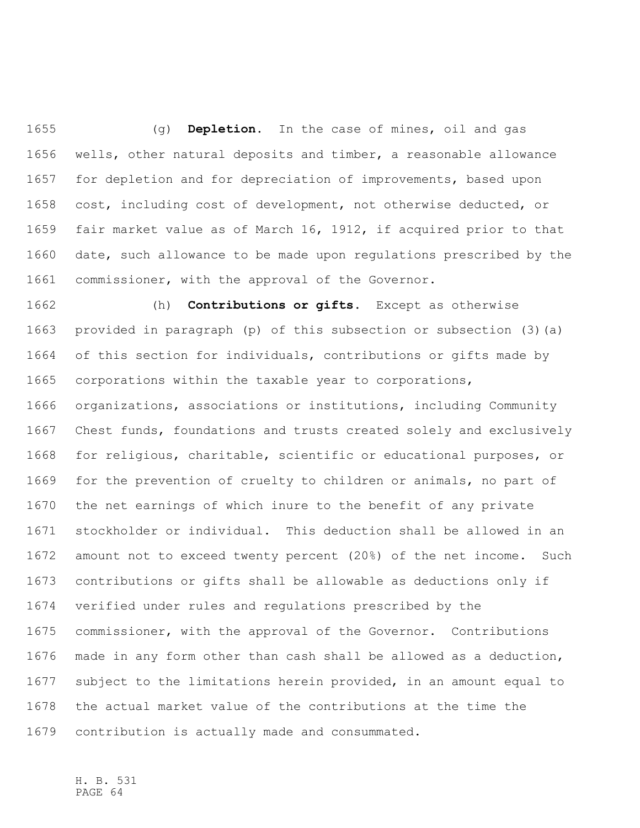(g) **Depletion.** In the case of mines, oil and gas wells, other natural deposits and timber, a reasonable allowance for depletion and for depreciation of improvements, based upon cost, including cost of development, not otherwise deducted, or fair market value as of March 16, 1912, if acquired prior to that date, such allowance to be made upon regulations prescribed by the commissioner, with the approval of the Governor.

 (h) **Contributions or gifts.** Except as otherwise provided in paragraph (p) of this subsection or subsection (3)(a) of this section for individuals, contributions or gifts made by corporations within the taxable year to corporations, organizations, associations or institutions, including Community Chest funds, foundations and trusts created solely and exclusively for religious, charitable, scientific or educational purposes, or for the prevention of cruelty to children or animals, no part of the net earnings of which inure to the benefit of any private stockholder or individual. This deduction shall be allowed in an amount not to exceed twenty percent (20%) of the net income. Such contributions or gifts shall be allowable as deductions only if verified under rules and regulations prescribed by the commissioner, with the approval of the Governor. Contributions made in any form other than cash shall be allowed as a deduction, subject to the limitations herein provided, in an amount equal to the actual market value of the contributions at the time the contribution is actually made and consummated.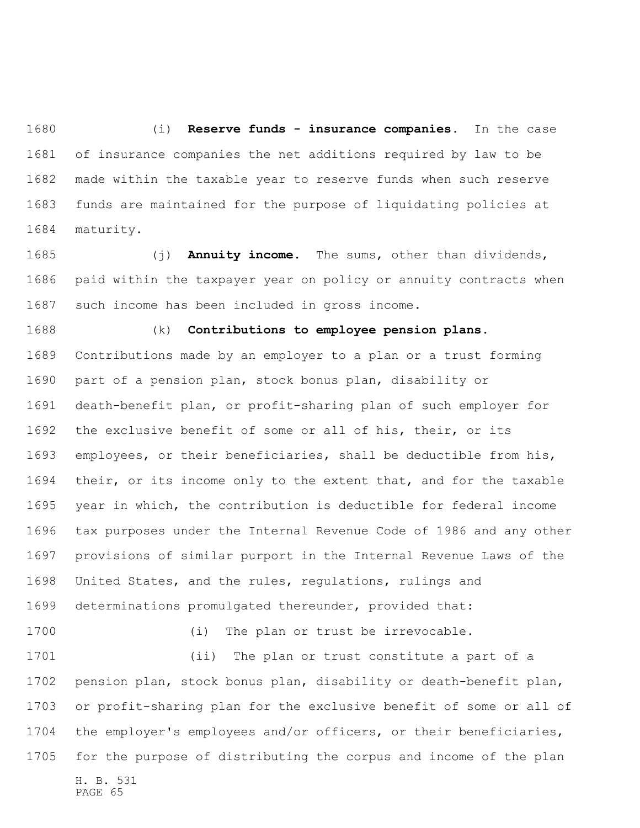(i) **Reserve funds - insurance companies.** In the case of insurance companies the net additions required by law to be made within the taxable year to reserve funds when such reserve funds are maintained for the purpose of liquidating policies at maturity.

 (j) **Annuity income.** The sums, other than dividends, paid within the taxpayer year on policy or annuity contracts when such income has been included in gross income.

 (k) **Contributions to employee pension plans.** Contributions made by an employer to a plan or a trust forming part of a pension plan, stock bonus plan, disability or death-benefit plan, or profit-sharing plan of such employer for the exclusive benefit of some or all of his, their, or its employees, or their beneficiaries, shall be deductible from his, their, or its income only to the extent that, and for the taxable year in which, the contribution is deductible for federal income tax purposes under the Internal Revenue Code of 1986 and any other provisions of similar purport in the Internal Revenue Laws of the United States, and the rules, regulations, rulings and determinations promulgated thereunder, provided that:

(i) The plan or trust be irrevocable.

H. B. 531 PAGE 65 (ii) The plan or trust constitute a part of a pension plan, stock bonus plan, disability or death-benefit plan, or profit-sharing plan for the exclusive benefit of some or all of the employer's employees and/or officers, or their beneficiaries, for the purpose of distributing the corpus and income of the plan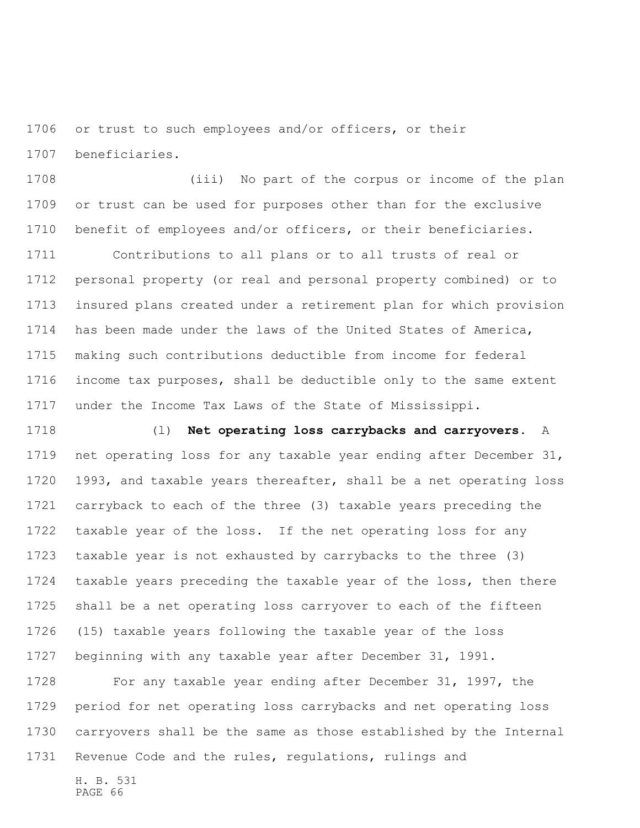or trust to such employees and/or officers, or their beneficiaries.

 (iii) No part of the corpus or income of the plan or trust can be used for purposes other than for the exclusive benefit of employees and/or officers, or their beneficiaries.

 Contributions to all plans or to all trusts of real or personal property (or real and personal property combined) or to insured plans created under a retirement plan for which provision has been made under the laws of the United States of America, making such contributions deductible from income for federal income tax purposes, shall be deductible only to the same extent under the Income Tax Laws of the State of Mississippi.

 (l) **Net operating loss carrybacks and carryovers.** A net operating loss for any taxable year ending after December 31, 1993, and taxable years thereafter, shall be a net operating loss carryback to each of the three (3) taxable years preceding the taxable year of the loss. If the net operating loss for any taxable year is not exhausted by carrybacks to the three (3) taxable years preceding the taxable year of the loss, then there shall be a net operating loss carryover to each of the fifteen (15) taxable years following the taxable year of the loss beginning with any taxable year after December 31, 1991.

 For any taxable year ending after December 31, 1997, the period for net operating loss carrybacks and net operating loss carryovers shall be the same as those established by the Internal Revenue Code and the rules, regulations, rulings and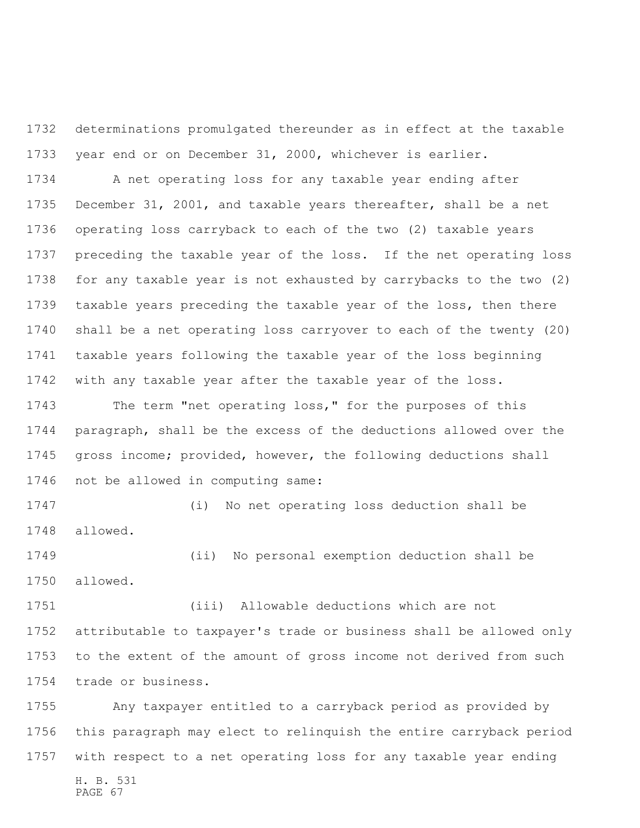determinations promulgated thereunder as in effect at the taxable year end or on December 31, 2000, whichever is earlier.

 A net operating loss for any taxable year ending after December 31, 2001, and taxable years thereafter, shall be a net operating loss carryback to each of the two (2) taxable years preceding the taxable year of the loss. If the net operating loss for any taxable year is not exhausted by carrybacks to the two (2) taxable years preceding the taxable year of the loss, then there shall be a net operating loss carryover to each of the twenty (20) taxable years following the taxable year of the loss beginning with any taxable year after the taxable year of the loss.

 The term "net operating loss," for the purposes of this paragraph, shall be the excess of the deductions allowed over the gross income; provided, however, the following deductions shall not be allowed in computing same:

 (i) No net operating loss deduction shall be allowed.

 (ii) No personal exemption deduction shall be allowed.

 (iii) Allowable deductions which are not attributable to taxpayer's trade or business shall be allowed only to the extent of the amount of gross income not derived from such trade or business.

H. B. 531 PAGE 67 Any taxpayer entitled to a carryback period as provided by this paragraph may elect to relinquish the entire carryback period with respect to a net operating loss for any taxable year ending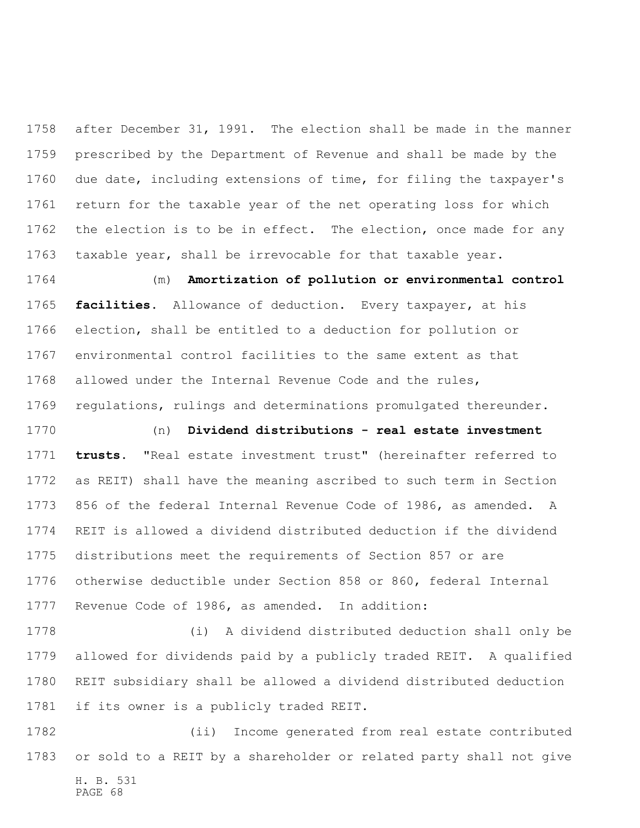after December 31, 1991. The election shall be made in the manner prescribed by the Department of Revenue and shall be made by the due date, including extensions of time, for filing the taxpayer's return for the taxable year of the net operating loss for which 1762 the election is to be in effect. The election, once made for any taxable year, shall be irrevocable for that taxable year.

 (m) **Amortization of pollution or environmental control facilities.** Allowance of deduction. Every taxpayer, at his election, shall be entitled to a deduction for pollution or environmental control facilities to the same extent as that allowed under the Internal Revenue Code and the rules, regulations, rulings and determinations promulgated thereunder.

 (n) **Dividend distributions - real estate investment trusts.** "Real estate investment trust" (hereinafter referred to as REIT) shall have the meaning ascribed to such term in Section 856 of the federal Internal Revenue Code of 1986, as amended. A REIT is allowed a dividend distributed deduction if the dividend distributions meet the requirements of Section 857 or are otherwise deductible under Section 858 or 860, federal Internal Revenue Code of 1986, as amended. In addition:

 (i) A dividend distributed deduction shall only be allowed for dividends paid by a publicly traded REIT. A qualified REIT subsidiary shall be allowed a dividend distributed deduction if its owner is a publicly traded REIT.

H. B. 531 PAGE 68 (ii) Income generated from real estate contributed or sold to a REIT by a shareholder or related party shall not give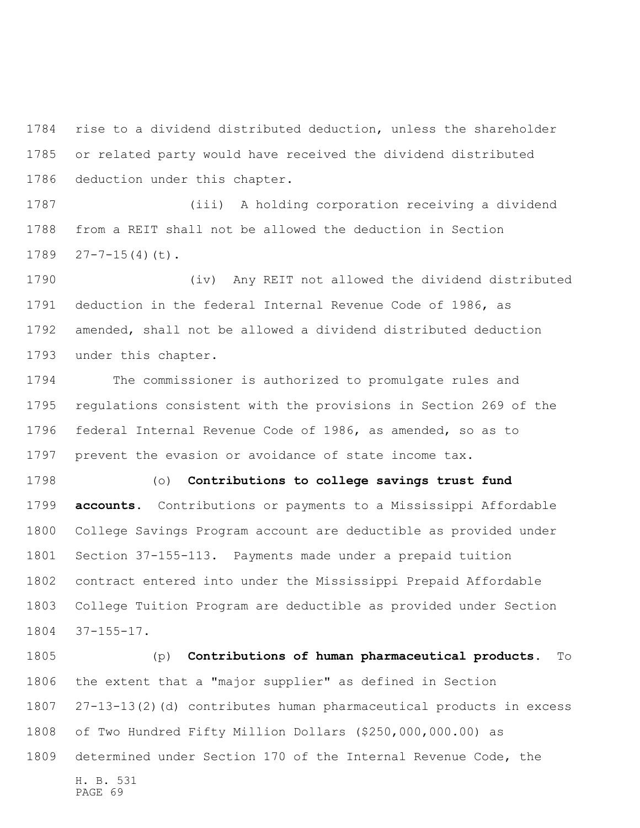rise to a dividend distributed deduction, unless the shareholder or related party would have received the dividend distributed deduction under this chapter.

 (iii) A holding corporation receiving a dividend from a REIT shall not be allowed the deduction in Section  $27-7-15(4)(t)$ .

 (iv) Any REIT not allowed the dividend distributed deduction in the federal Internal Revenue Code of 1986, as amended, shall not be allowed a dividend distributed deduction under this chapter.

 The commissioner is authorized to promulgate rules and regulations consistent with the provisions in Section 269 of the federal Internal Revenue Code of 1986, as amended, so as to prevent the evasion or avoidance of state income tax.

 (o) **Contributions to college savings trust fund accounts.** Contributions or payments to a Mississippi Affordable College Savings Program account are deductible as provided under Section 37-155-113. Payments made under a prepaid tuition contract entered into under the Mississippi Prepaid Affordable College Tuition Program are deductible as provided under Section 37-155-17.

H. B. 531 PAGE 69 (p) **Contributions of human pharmaceutical products.** To the extent that a "major supplier" as defined in Section 27-13-13(2)(d) contributes human pharmaceutical products in excess of Two Hundred Fifty Million Dollars (\$250,000,000.00) as determined under Section 170 of the Internal Revenue Code, the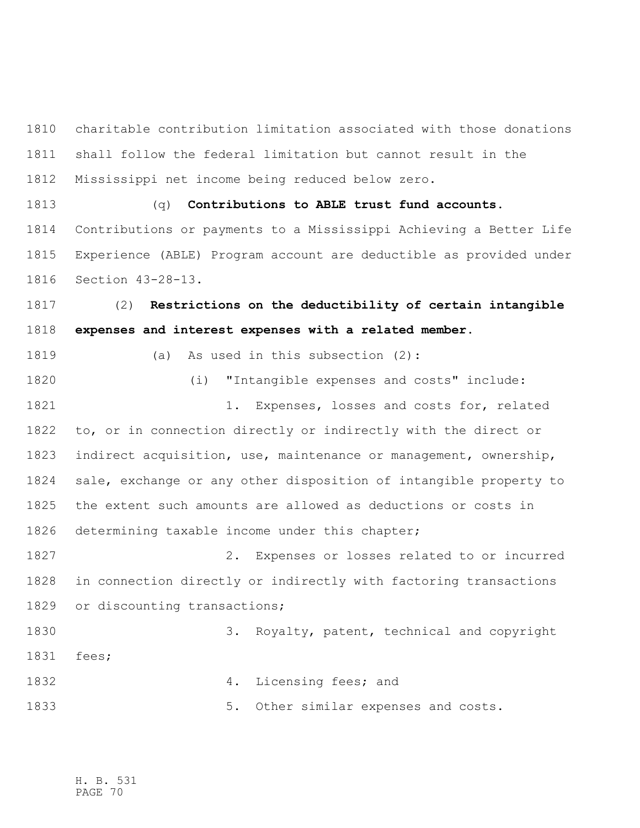charitable contribution limitation associated with those donations shall follow the federal limitation but cannot result in the Mississippi net income being reduced below zero.

 (q) **Contributions to ABLE trust fund accounts.** Contributions or payments to a Mississippi Achieving a Better Life Experience (ABLE) Program account are deductible as provided under Section 43-28-13.

 (2) **Restrictions on the deductibility of certain intangible expenses and interest expenses with a related member.**

(a) As used in this subsection (2):

 (i) "Intangible expenses and costs" include: 1. Expenses, losses and costs for, related to, or in connection directly or indirectly with the direct or indirect acquisition, use, maintenance or management, ownership, sale, exchange or any other disposition of intangible property to the extent such amounts are allowed as deductions or costs in determining taxable income under this chapter; 2. Expenses or losses related to or incurred in connection directly or indirectly with factoring transactions or discounting transactions; 3. Royalty, patent, technical and copyright

fees;

 4. Licensing fees; and 1833 1833 5. Other similar expenses and costs.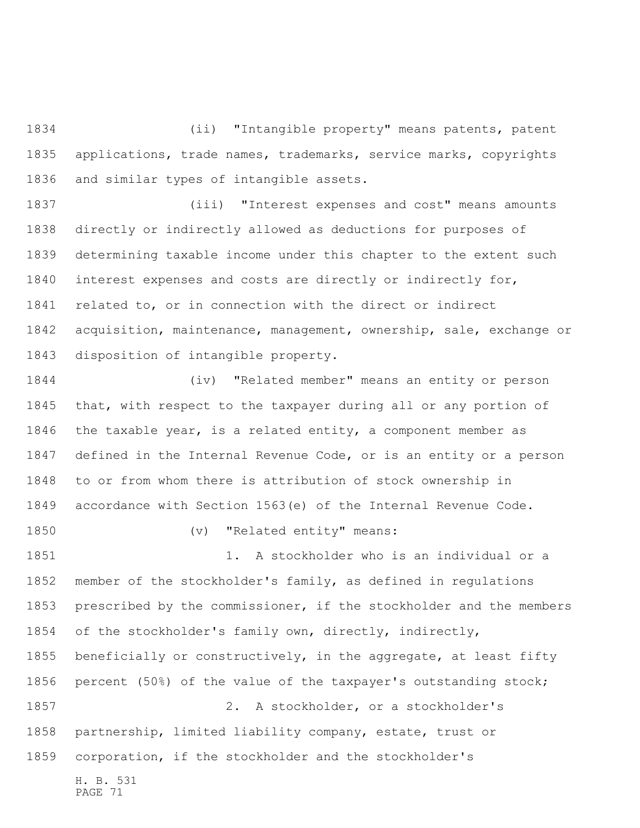(ii) "Intangible property" means patents, patent applications, trade names, trademarks, service marks, copyrights and similar types of intangible assets.

 (iii) "Interest expenses and cost" means amounts directly or indirectly allowed as deductions for purposes of determining taxable income under this chapter to the extent such interest expenses and costs are directly or indirectly for, related to, or in connection with the direct or indirect acquisition, maintenance, management, ownership, sale, exchange or disposition of intangible property.

 (iv) "Related member" means an entity or person that, with respect to the taxpayer during all or any portion of the taxable year, is a related entity, a component member as defined in the Internal Revenue Code, or is an entity or a person to or from whom there is attribution of stock ownership in accordance with Section 1563(e) of the Internal Revenue Code. 1850 (v) "Related entity" means: 1851 1851 1. A stockholder who is an individual or a member of the stockholder's family, as defined in regulations prescribed by the commissioner, if the stockholder and the members of the stockholder's family own, directly, indirectly, beneficially or constructively, in the aggregate, at least fifty

H. B. 531 PAGE 71 percent (50%) of the value of the taxpayer's outstanding stock; 2. A stockholder, or a stockholder's partnership, limited liability company, estate, trust or corporation, if the stockholder and the stockholder's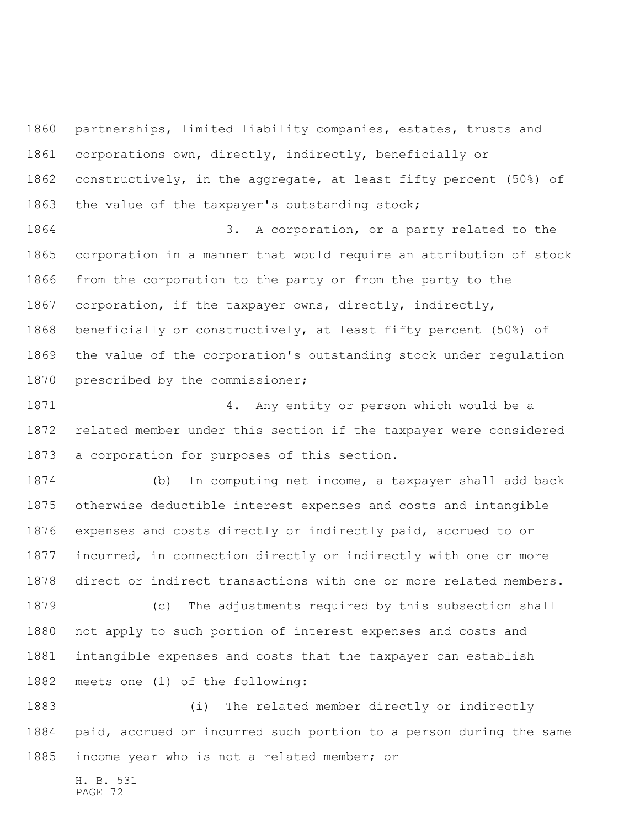partnerships, limited liability companies, estates, trusts and corporations own, directly, indirectly, beneficially or constructively, in the aggregate, at least fifty percent (50%) of the value of the taxpayer's outstanding stock;

 3. A corporation, or a party related to the corporation in a manner that would require an attribution of stock from the corporation to the party or from the party to the corporation, if the taxpayer owns, directly, indirectly, beneficially or constructively, at least fifty percent (50%) of the value of the corporation's outstanding stock under regulation 1870 prescribed by the commissioner;

 4. Any entity or person which would be a related member under this section if the taxpayer were considered a corporation for purposes of this section.

 (b) In computing net income, a taxpayer shall add back otherwise deductible interest expenses and costs and intangible expenses and costs directly or indirectly paid, accrued to or incurred, in connection directly or indirectly with one or more direct or indirect transactions with one or more related members. (c) The adjustments required by this subsection shall not apply to such portion of interest expenses and costs and intangible expenses and costs that the taxpayer can establish

meets one (1) of the following:

 (i) The related member directly or indirectly paid, accrued or incurred such portion to a person during the same income year who is not a related member; or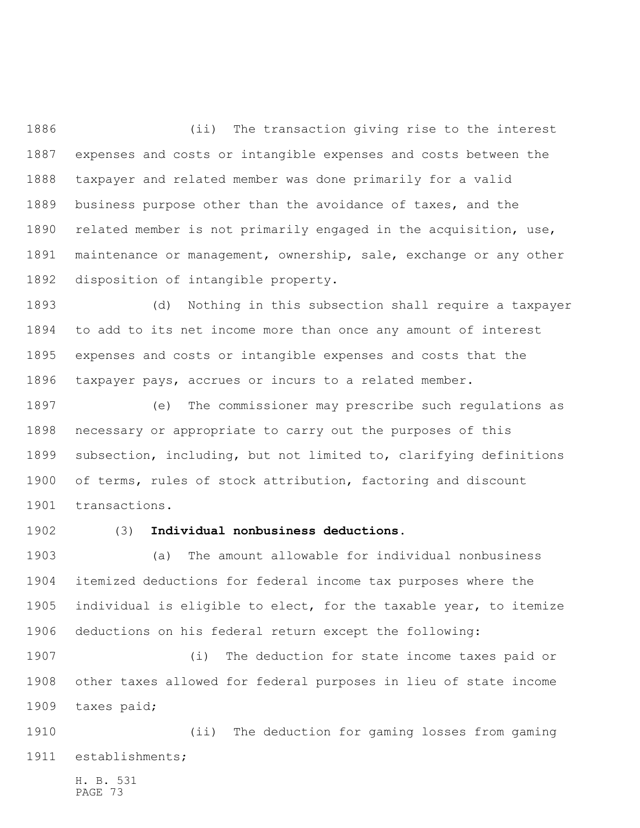(ii) The transaction giving rise to the interest expenses and costs or intangible expenses and costs between the taxpayer and related member was done primarily for a valid business purpose other than the avoidance of taxes, and the related member is not primarily engaged in the acquisition, use, maintenance or management, ownership, sale, exchange or any other disposition of intangible property.

 (d) Nothing in this subsection shall require a taxpayer to add to its net income more than once any amount of interest expenses and costs or intangible expenses and costs that the taxpayer pays, accrues or incurs to a related member.

 (e) The commissioner may prescribe such regulations as necessary or appropriate to carry out the purposes of this subsection, including, but not limited to, clarifying definitions of terms, rules of stock attribution, factoring and discount transactions.

## (3) **Individual nonbusiness deductions.**

 (a) The amount allowable for individual nonbusiness itemized deductions for federal income tax purposes where the individual is eligible to elect, for the taxable year, to itemize deductions on his federal return except the following:

 (i) The deduction for state income taxes paid or other taxes allowed for federal purposes in lieu of state income taxes paid;

 (ii) The deduction for gaming losses from gaming establishments;

H. B. 531 PAGE 73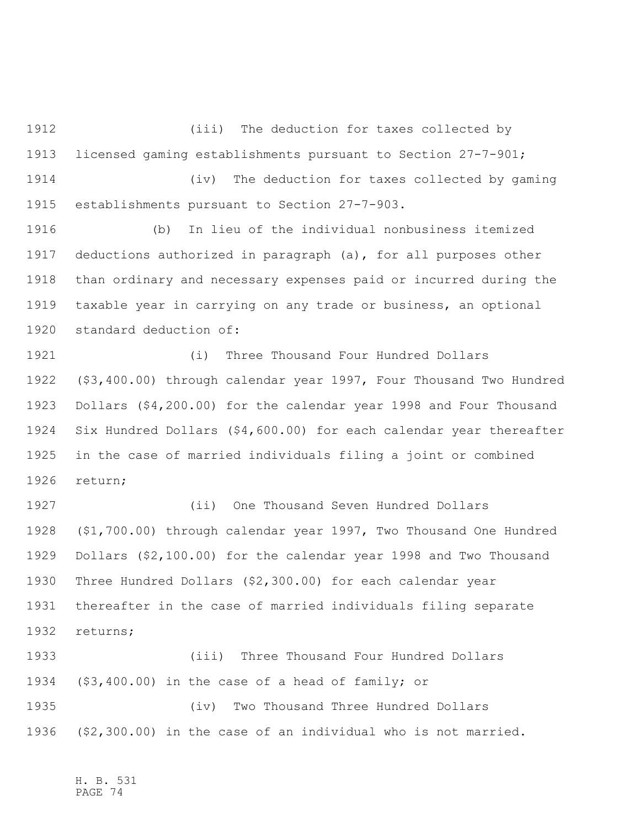(iii) The deduction for taxes collected by licensed gaming establishments pursuant to Section 27-7-901;

 (iv) The deduction for taxes collected by gaming establishments pursuant to Section 27-7-903.

 (b) In lieu of the individual nonbusiness itemized deductions authorized in paragraph (a), for all purposes other than ordinary and necessary expenses paid or incurred during the taxable year in carrying on any trade or business, an optional standard deduction of:

 (i) Three Thousand Four Hundred Dollars (\$3,400.00) through calendar year 1997, Four Thousand Two Hundred Dollars (\$4,200.00) for the calendar year 1998 and Four Thousand Six Hundred Dollars (\$4,600.00) for each calendar year thereafter in the case of married individuals filing a joint or combined return;

 (ii) One Thousand Seven Hundred Dollars (\$1,700.00) through calendar year 1997, Two Thousand One Hundred Dollars (\$2,100.00) for the calendar year 1998 and Two Thousand Three Hundred Dollars (\$2,300.00) for each calendar year thereafter in the case of married individuals filing separate returns;

 (iii) Three Thousand Four Hundred Dollars (\$3,400.00) in the case of a head of family; or (iv) Two Thousand Three Hundred Dollars (\$2,300.00) in the case of an individual who is not married.

H. B. 531 PAGE 74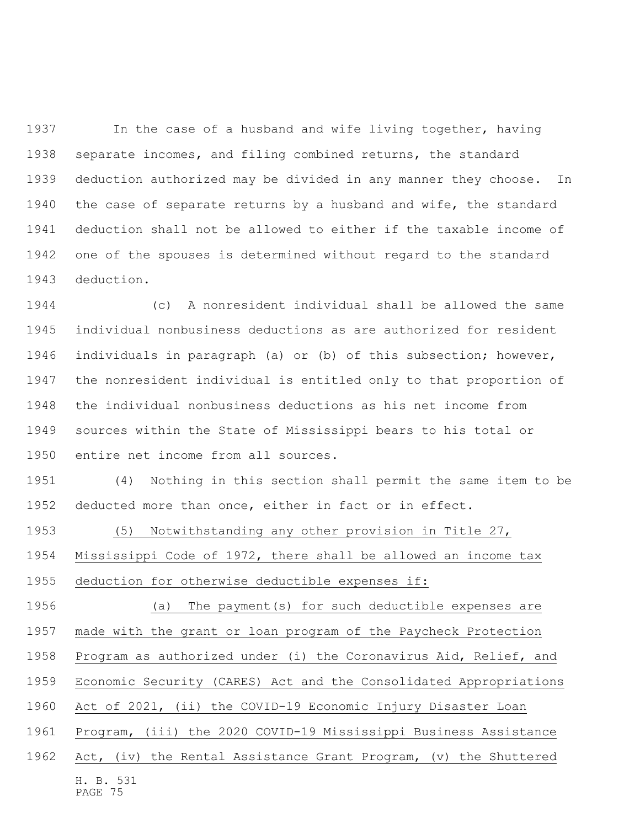In the case of a husband and wife living together, having separate incomes, and filing combined returns, the standard deduction authorized may be divided in any manner they choose. In 1940 the case of separate returns by a husband and wife, the standard deduction shall not be allowed to either if the taxable income of one of the spouses is determined without regard to the standard deduction.

 (c) A nonresident individual shall be allowed the same individual nonbusiness deductions as are authorized for resident individuals in paragraph (a) or (b) of this subsection; however, the nonresident individual is entitled only to that proportion of the individual nonbusiness deductions as his net income from sources within the State of Mississippi bears to his total or entire net income from all sources.

 (4) Nothing in this section shall permit the same item to be deducted more than once, either in fact or in effect.

(5) Notwithstanding any other provision in Title 27,

Mississippi Code of 1972, there shall be allowed an income tax

deduction for otherwise deductible expenses if:

 (a) The payment(s) for such deductible expenses are made with the grant or loan program of the Paycheck Protection Program as authorized under (i) the Coronavirus Aid, Relief, and Economic Security (CARES) Act and the Consolidated Appropriations

Act of 2021, (ii) the COVID-19 Economic Injury Disaster Loan

Program, (iii) the 2020 COVID-19 Mississippi Business Assistance

H. B. 531 PAGE 75 Act, (iv) the Rental Assistance Grant Program, (v) the Shuttered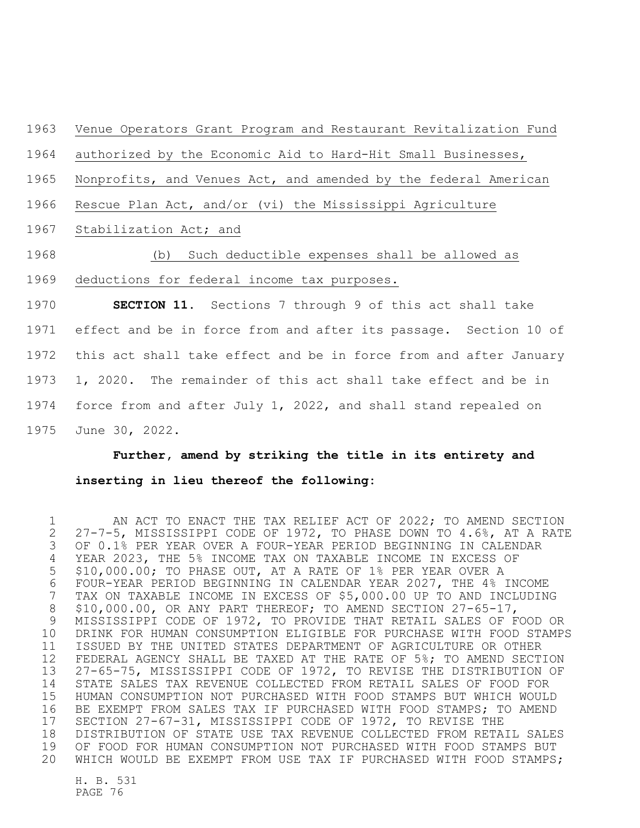## Venue Operators Grant Program and Restaurant Revitalization Fund

authorized by the Economic Aid to Hard-Hit Small Businesses,

Nonprofits, and Venues Act, and amended by the federal American

Rescue Plan Act, and/or (vi) the Mississippi Agriculture

Stabilization Act; and

## (b) Such deductible expenses shall be allowed as deductions for federal income tax purposes.

 **SECTION 11.** Sections 7 through 9 of this act shall take effect and be in force from and after its passage. Section 10 of this act shall take effect and be in force from and after January 1, 2020. The remainder of this act shall take effect and be in force from and after July 1, 2022, and shall stand repealed on June 30, 2022.

## **Further, amend by striking the title in its entirety and inserting in lieu thereof the following:**

1 AN ACT TO ENACT THE TAX RELIEF ACT OF 2022; TO AMEND SECTION 27-7-5, MISSISSIPPI CODE OF 1972, TO PHASE DOWN TO 4.6%, AT A RATE OF 0.1% PER YEAR OVER A FOUR-YEAR PERIOD BEGINNING IN CALENDAR YEAR 2023, THE 5% INCOME TAX ON TAXABLE INCOME IN EXCESS OF \$10,000.00; TO PHASE OUT, AT A RATE OF 1% PER YEAR OVER A FOUR-YEAR PERIOD BEGINNING IN CALENDAR YEAR 2027, THE 4% INCOME TAX ON TAXABLE INCOME IN EXCESS OF \$5,000.00 UP TO AND INCLUDING 8 \$10,000.00, OR ANY PART THEREOF; TO AMEND SECTION 27-65-17, MISSISSIPPI CODE OF 1972, TO PROVIDE THAT RETAIL SALES OF FOOD OR DRINK FOR HUMAN CONSUMPTION ELIGIBLE FOR PURCHASE WITH FOOD STAMPS ISSUED BY THE UNITED STATES DEPARTMENT OF AGRICULTURE OR OTHER FEDERAL AGENCY SHALL BE TAXED AT THE RATE OF 5%; TO AMEND SECTION 27-65-75, MISSISSIPPI CODE OF 1972, TO REVISE THE DISTRIBUTION OF STATE SALES TAX REVENUE COLLECTED FROM RETAIL SALES OF FOOD FOR HUMAN CONSUMPTION NOT PURCHASED WITH FOOD STAMPS BUT WHICH WOULD BE EXEMPT FROM SALES TAX IF PURCHASED WITH FOOD STAMPS; TO AMEND SECTION 27-67-31, MISSISSIPPI CODE OF 1972, TO REVISE THE DISTRIBUTION OF STATE USE TAX REVENUE COLLECTED FROM RETAIL SALES OF FOOD FOR HUMAN CONSUMPTION NOT PURCHASED WITH FOOD STAMPS BUT WHICH WOULD BE EXEMPT FROM USE TAX IF PURCHASED WITH FOOD STAMPS;

H. B. 531 PAGE 76